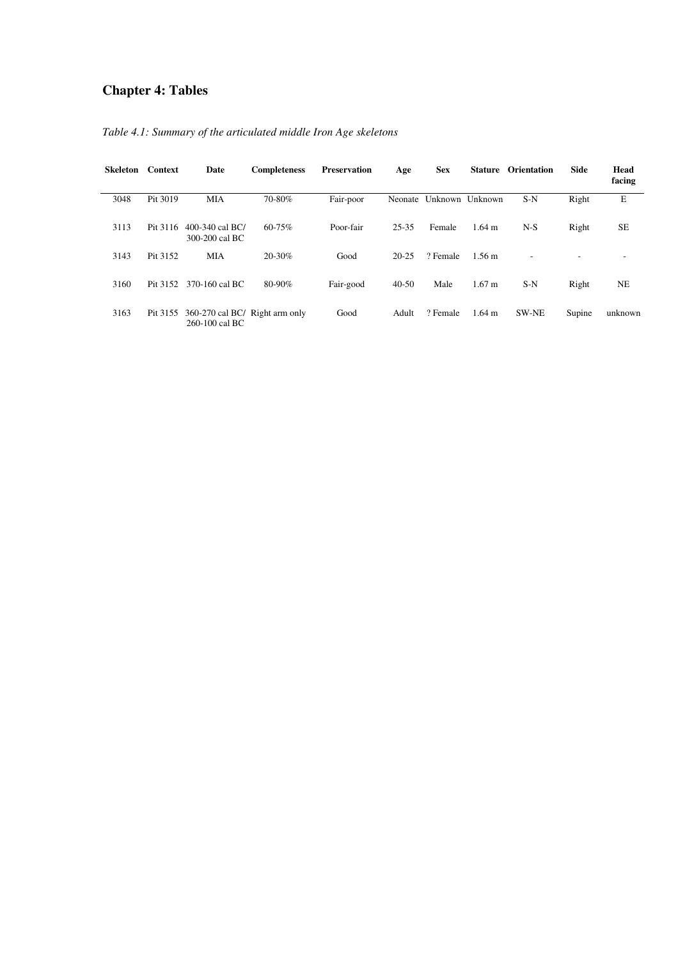# **Chapter 4: Tables**

| <b>Skeleton</b> | Context  | Date                                             | <b>Completeness</b> | <b>Preservation</b> | Age       | <b>Sex</b> | Stature           | <b>Orientation</b> | <b>Side</b> | Head<br>facing |
|-----------------|----------|--------------------------------------------------|---------------------|---------------------|-----------|------------|-------------------|--------------------|-------------|----------------|
| 3048            | Pit 3019 | <b>MIA</b>                                       | 70-80%              | Fair-poor           | Neonate   | Unknown    | Unknown           | $S-N$              | Right       | E              |
| 3113            | Pit 3116 | 400-340 cal BC/<br>300-200 cal BC                | $60 - 75%$          | Poor-fair           | 25-35     | Female     | $1.64 \text{ m}$  | $N-S$              | Right       | <b>SE</b>      |
| 3143            | Pit 3152 | MIA                                              | $20 - 30%$          | Good                | $20 - 25$ | ? Female   | $1.56 \text{ m}$  |                    |             |                |
| 3160            | Pit 3152 | 370-160 cal BC                                   | 80-90%              | Fair-good           | $40-50$   | Male       | 1.67 <sub>m</sub> | $S-N$              | Right       | NE             |
| 3163            | Pit 3155 | 360-270 cal BC/ Right arm only<br>260-100 cal BC |                     | Good                | Adult     | ? Female   | $1.64 \text{ m}$  | <b>SW-NE</b>       | Supine      | unknown        |

*Table 4.1: Summary of the articulated middle Iron Age skeletons*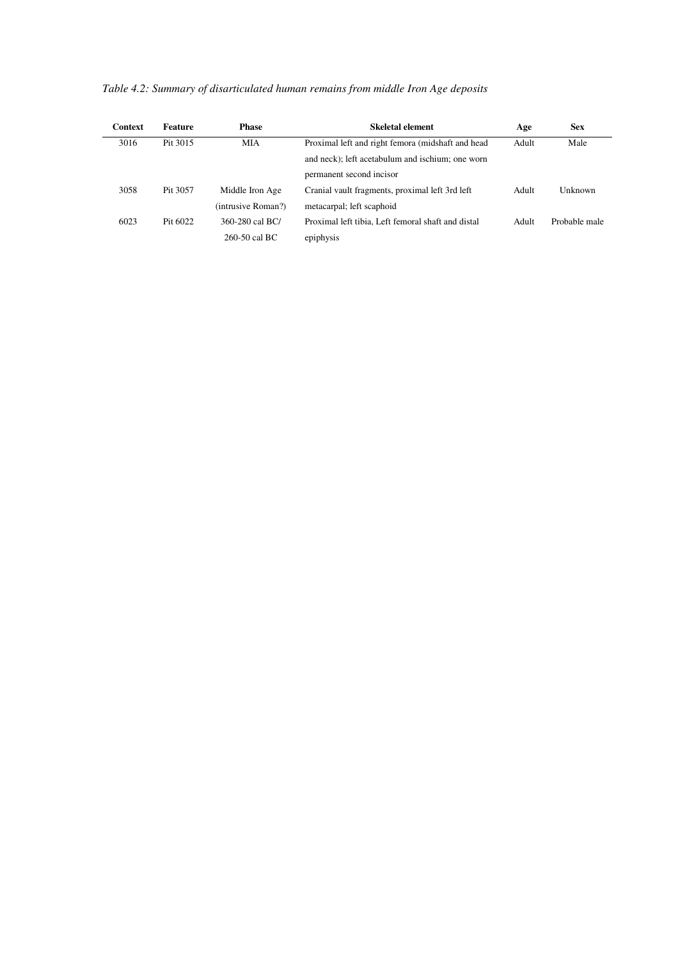| <b>Context</b> | <b>Feature</b> | <b>Phase</b>       | Skeletal element                                   | Age   | <b>Sex</b>    |
|----------------|----------------|--------------------|----------------------------------------------------|-------|---------------|
| 3016           | Pit 3015       | MIA                | Proximal left and right femora (midshaft and head  | Adult | Male          |
|                |                |                    | and neck); left acetabulum and ischium; one worn   |       |               |
|                |                |                    | permanent second incisor                           |       |               |
| 3058           | Pit 3057       | Middle Iron Age    | Cranial vault fragments, proximal left 3rd left    | Adult | Unknown       |
|                |                | (intrusive Roman?) | metacarpal; left scaphoid                          |       |               |
| 6023           | Pit 6022       | 360-280 cal BC/    | Proximal left tibia. Left femoral shaft and distal | Adult | Probable male |
|                |                | $260-50$ cal BC    | epiphysis                                          |       |               |

*Table 4.2: Summary of disarticulated human remains from middle Iron Age deposits*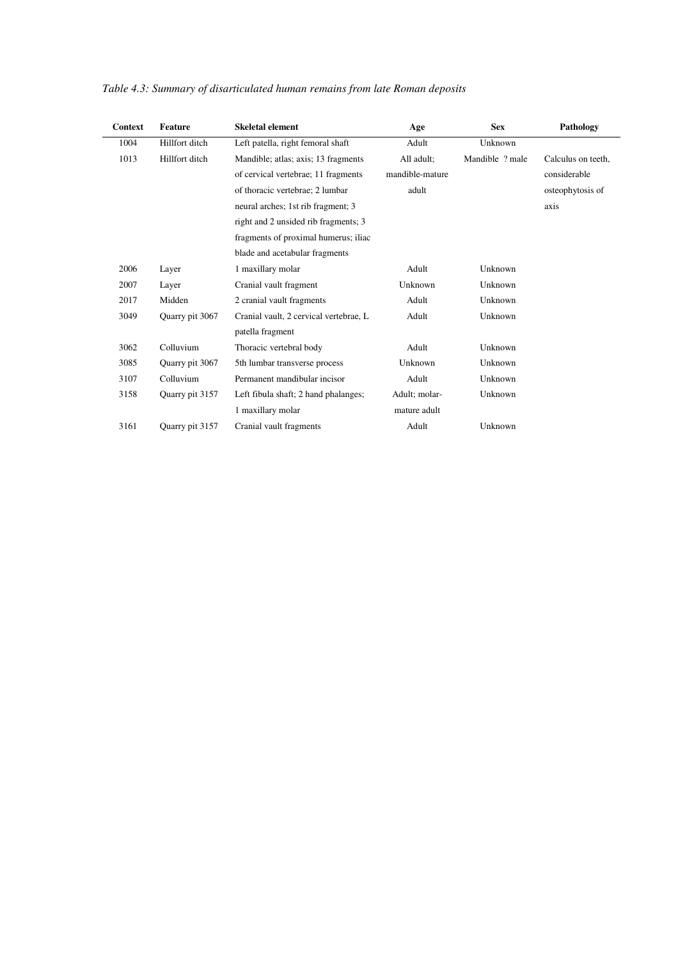| <b>Context</b> | <b>Feature</b>  | <b>Skeletal element</b>                | Age             | <b>Sex</b>      | Pathology          |
|----------------|-----------------|----------------------------------------|-----------------|-----------------|--------------------|
| 1004           | Hillfort ditch  | Left patella, right femoral shaft      | Adult           | Unknown         |                    |
| 1013           | Hillfort ditch  | Mandible; atlas; axis; 13 fragments    | All adult;      | Mandible ? male | Calculus on teeth, |
|                |                 | of cervical vertebrae; 11 fragments    | mandible-mature |                 | considerable       |
|                |                 | of thoracic vertebrae; 2 lumbar        | adult           |                 | osteophytosis of   |
|                |                 | neural arches; 1st rib fragment; 3     |                 |                 | axis               |
|                |                 | right and 2 unsided rib fragments; 3   |                 |                 |                    |
|                |                 | fragments of proximal humerus; iliac   |                 |                 |                    |
|                |                 | blade and acetabular fragments         |                 |                 |                    |
| 2006           | Layer           | 1 maxillary molar                      | Adult           | Unknown         |                    |
| 2007           | Layer           | Cranial vault fragment                 | Unknown         | Unknown         |                    |
| 2017           | Midden          | 2 cranial vault fragments              | Adult           | Unknown         |                    |
| 3049           | Quarry pit 3067 | Cranial vault, 2 cervical vertebrae, L | Adult           | Unknown         |                    |
|                |                 | patella fragment                       |                 |                 |                    |
| 3062           | Colluvium       | Thoracic vertebral body                | Adult           | Unknown         |                    |
| 3085           | Ouarry pit 3067 | 5th lumbar transverse process          | Unknown         | Unknown         |                    |
| 3107           | Colluvium       | Permanent mandibular incisor           | Adult           | Unknown         |                    |
| 3158           | Quarry pit 3157 | Left fibula shaft; 2 hand phalanges;   | Adult; molar-   | Unknown         |                    |
|                |                 | 1 maxillary molar                      | mature adult    |                 |                    |
| 3161           | Quarry pit 3157 | Cranial vault fragments                | Adult           | Unknown         |                    |

## *Table 4.3: Summary of disarticulated human remains from late Roman deposits*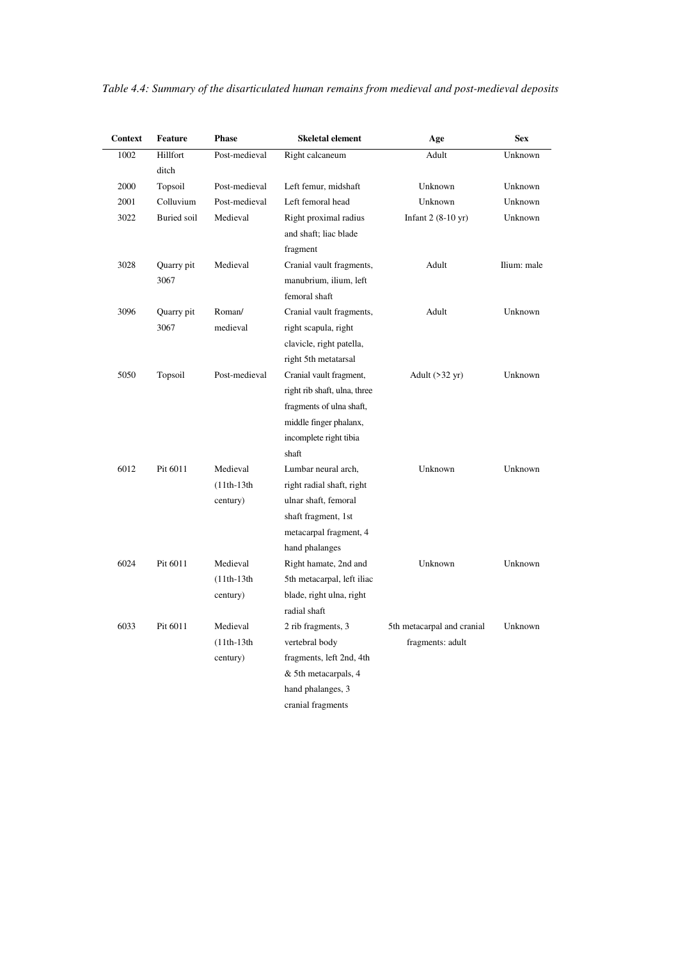| <b>Context</b> | <b>Feature</b>     | <b>Phase</b>                         | <b>Skeletal element</b>                                                                                                                          | Age                                            | <b>Sex</b>  |
|----------------|--------------------|--------------------------------------|--------------------------------------------------------------------------------------------------------------------------------------------------|------------------------------------------------|-------------|
| 1002           | Hillfort<br>ditch  | Post-medieval                        | Right calcaneum                                                                                                                                  | Adult                                          | Unknown     |
| 2000           | Topsoil            | Post-medieval                        | Left femur, midshaft                                                                                                                             | Unknown                                        | Unknown     |
| 2001           | Colluvium          | Post-medieval                        | Left femoral head                                                                                                                                | Unknown                                        | Unknown     |
| 3022           | Buried soil        | Medieval                             | Right proximal radius<br>and shaft; liac blade<br>fragment                                                                                       | Infant $2(8-10 \text{ yr})$                    | Unknown     |
| 3028           | Quarry pit<br>3067 | Medieval                             | Cranial vault fragments,<br>manubrium, ilium, left<br>femoral shaft                                                                              | Adult                                          | Ilium: male |
| 3096           | Quarry pit         | Roman/                               | Cranial vault fragments,                                                                                                                         | Adult                                          | Unknown     |
|                | 3067               | medieval                             | right scapula, right<br>clavicle, right patella,<br>right 5th metatarsal                                                                         |                                                |             |
| 5050           | Topsoil            | Post-medieval                        | Cranial vault fragment,<br>right rib shaft, ulna, three<br>fragments of ulna shaft,<br>middle finger phalanx,<br>incomplete right tibia<br>shaft | Adult $( >32 \text{ yr})$                      | Unknown     |
| 6012           | Pit 6011           | Medieval<br>$(11th-13th$<br>century) | Lumbar neural arch,<br>right radial shaft, right<br>ulnar shaft, femoral<br>shaft fragment, 1st<br>metacarpal fragment, 4<br>hand phalanges      | Unknown                                        | Unknown     |
| 6024           | Pit 6011           | Medieval<br>$(11th-13th$<br>century) | Right hamate, 2nd and<br>5th metacarpal, left iliac<br>blade, right ulna, right<br>radial shaft                                                  | Unknown                                        | Unknown     |
| 6033           | Pit 6011           | Medieval<br>$(11th-13th$<br>century) | 2 rib fragments, 3<br>vertebral body<br>fragments, left 2nd, 4th<br>& 5th metacarpals, 4<br>hand phalanges, 3<br>cranial fragments               | 5th metacarpal and cranial<br>fragments: adult | Unknown     |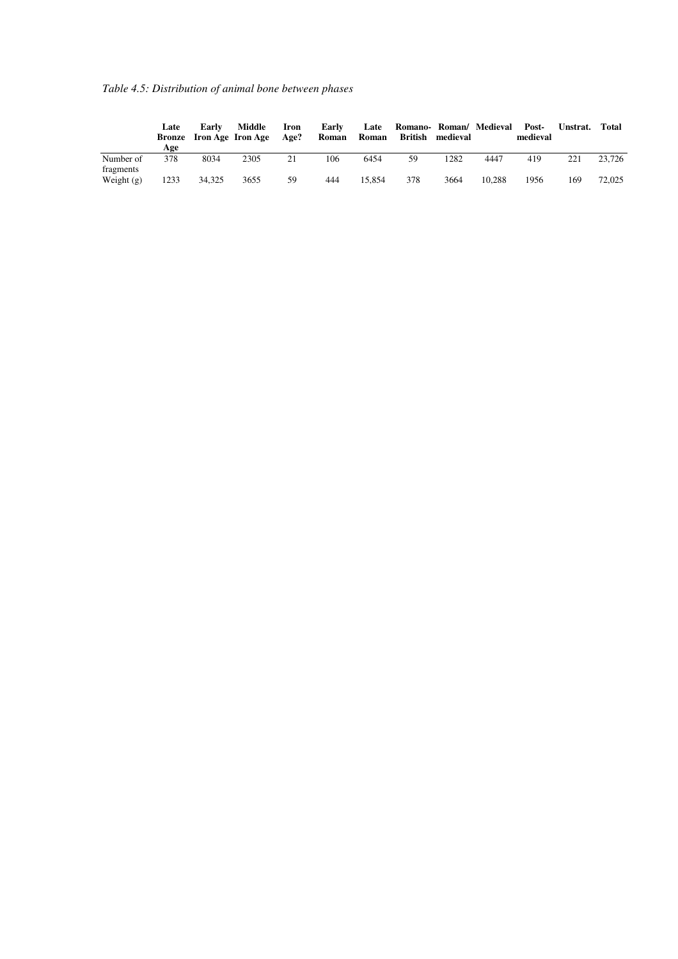*Table 4.5: Distribution of animal bone between phases* 

|                        | Late<br>Age | Early<br><b>Bronze</b> Iron Age Iron Age | Middle | Iron<br>Age? | Early<br>Roman | Late<br>Roman | Romano- Roman/ Medieval<br>British | medieval |        | Post-<br>medieval | Unstrat. | Total  |
|------------------------|-------------|------------------------------------------|--------|--------------|----------------|---------------|------------------------------------|----------|--------|-------------------|----------|--------|
| Number of<br>fragments | 378         | 8034                                     | 2305   | 21           | 106            | 6454          | 59                                 | 1282     | 4447   | 419               | 221      | 23.726 |
| Weight $(g)$           | 1233        | 34.325                                   | 3655   | 59           | 444            | 15.854        | 378                                | 3664     | 10.288 | 1956              | 169      | 72,025 |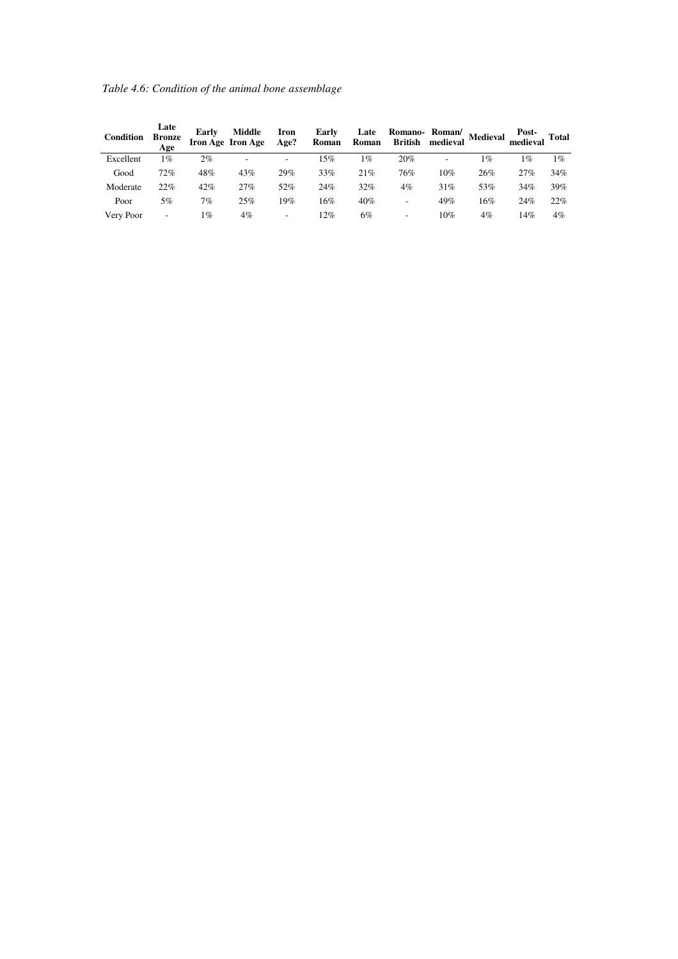*Table 4.6: Condition of the animal bone assemblage* 

| <b>Condition</b> | Late<br><b>Bronze</b><br>Age | Early | Middle<br>Iron Age Iron Age | Iron<br>Age? | Early<br>Roman | Late<br>Roman | Romano-Roman/<br><b>British</b> | medieval | Medieval | Post-<br>medieval | <b>Total</b> |
|------------------|------------------------------|-------|-----------------------------|--------------|----------------|---------------|---------------------------------|----------|----------|-------------------|--------------|
| Excellent        | 1%                           | 2%    | -                           | ۰            | 15%            | 1%            | 20%                             | ۰        | 1%       | 1%                | $1\%$        |
| Good             | 72%                          | 48%   | 43%                         | 29%          | 33%            | 21%           | 76%                             | 10%      | 26%      | 27%               | 34%          |
| Moderate         | 22%                          | 42%   | 27%                         | 52%          | 24%            | 32%           | 4%                              | 31%      | 53%      | 34%               | 39%          |
| Poor             | 5%                           | 7%    | 25%                         | 19%          | 16%            | 40%           | ۰                               | 49%      | 16%      | 24%               | 22%          |
| Very Poor        | $\overline{\phantom{a}}$     | 1%    | 4%                          | -            | 12%            | 6%            | ۰                               | 10%      | 4%       | 14%               | $4\%$        |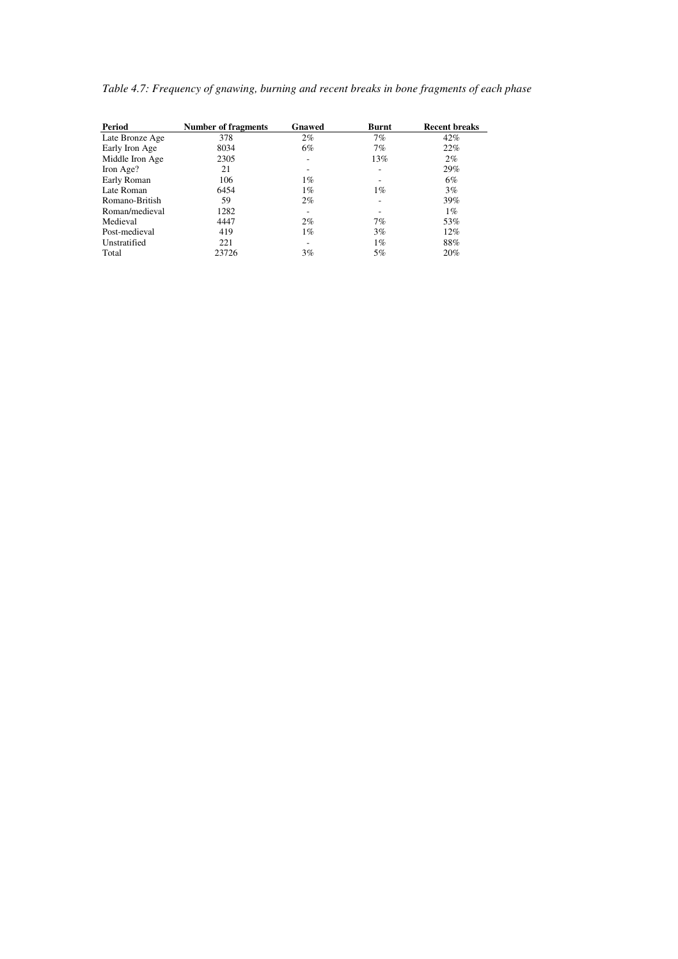| Period          | <b>Number of fragments</b> | Gnawed | <b>Burnt</b> | <b>Recent breaks</b> |
|-----------------|----------------------------|--------|--------------|----------------------|
| Late Bronze Age | 378                        | 2%     | 7%           | 42%                  |
| Early Iron Age  | 8034                       | 6%     | 7%           | 22%                  |
| Middle Iron Age | 2305                       |        | 13%          | $2\%$                |
| Iron Age?       | 21                         |        | ۰            | 29%                  |
| Early Roman     | 106                        | $1\%$  |              | 6%                   |
| Late Roman      | 6454                       | $1\%$  | $1\%$        | 3%                   |
| Romano-British  | 59                         | 2%     | ۰            | 39%                  |
| Roman/medieval  | 1282                       |        |              | $1\%$                |
| Medieval        | 4447                       | 2%     | 7%           | 53%                  |
| Post-medieval   | 419                        | $1\%$  | 3%           | 12%                  |
| Unstratified    | 221                        |        | $1\%$        | 88%                  |
| Total           | 23726                      | 3%     | 5%           | 20%                  |

| Table 4.7: Frequency of gnawing, burning and recent breaks in bone fragments of each phase |  |  |
|--------------------------------------------------------------------------------------------|--|--|
|                                                                                            |  |  |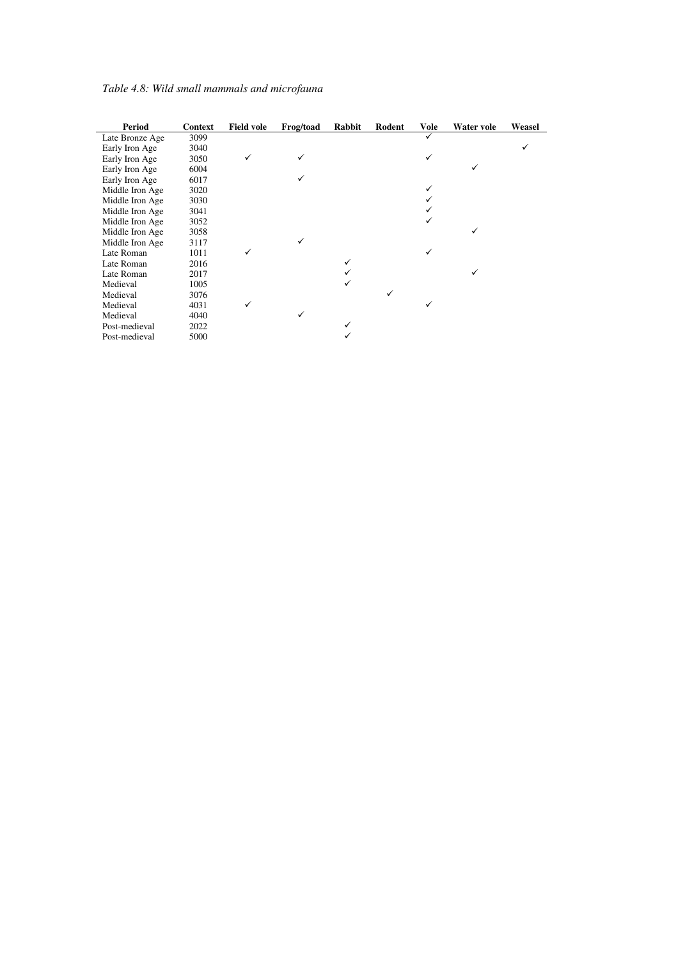| Table 4.8: Wild small mammals and microfauna |  |
|----------------------------------------------|--|
|                                              |  |

| <b>Period</b>   | Context | <b>Field vole</b> | Frog/toad | Rabbit | Rodent | <b>Vole</b> | Water vole | Weasel |
|-----------------|---------|-------------------|-----------|--------|--------|-------------|------------|--------|
| Late Bronze Age | 3099    |                   |           |        |        | ✓           |            |        |
| Early Iron Age  | 3040    |                   |           |        |        |             |            |        |
| Early Iron Age  | 3050    | ✓                 | ✓         |        |        | ✓           |            |        |
| Early Iron Age  | 6004    |                   |           |        |        |             | ✓          |        |
| Early Iron Age  | 6017    |                   | ✓         |        |        |             |            |        |
| Middle Iron Age | 3020    |                   |           |        |        | ✓           |            |        |
| Middle Iron Age | 3030    |                   |           |        |        |             |            |        |
| Middle Iron Age | 3041    |                   |           |        |        |             |            |        |
| Middle Iron Age | 3052    |                   |           |        |        |             |            |        |
| Middle Iron Age | 3058    |                   |           |        |        |             | √          |        |
| Middle Iron Age | 3117    |                   | ✓         |        |        |             |            |        |
| Late Roman      | 1011    | ✓                 |           |        |        |             |            |        |
| Late Roman      | 2016    |                   |           |        |        |             |            |        |
| Late Roman      | 2017    |                   |           |        |        |             | √          |        |
| Medieval        | 1005    |                   |           |        |        |             |            |        |
| Medieval        | 3076    |                   |           |        |        |             |            |        |
| Medieval        | 4031    | ✓                 |           |        |        | ✓           |            |        |
| Medieval        | 4040    |                   | ✓         |        |        |             |            |        |
| Post-medieval   | 2022    |                   |           |        |        |             |            |        |
| Post-medieval   | 5000    |                   |           |        |        |             |            |        |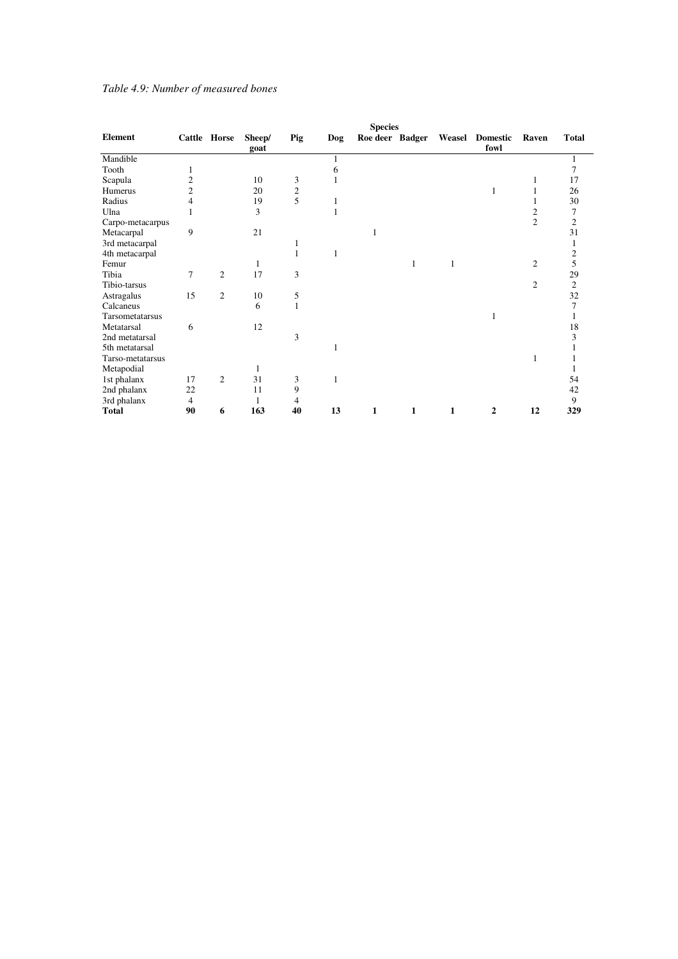#### *Table 4.9: Number of measured bones*

|                  |                |                |                |     |     | <b>Species</b>  |   |   |                               |                |                |
|------------------|----------------|----------------|----------------|-----|-----|-----------------|---|---|-------------------------------|----------------|----------------|
| Element          |                | Cattle Horse   | Sheep/<br>goat | Pig | Dog | Roe deer Badger |   |   | Weasel Domestic Raven<br>fowl |                | <b>Total</b>   |
| Mandible         |                |                |                |     |     |                 |   |   |                               |                |                |
| Tooth            | 1              |                |                |     | 6   |                 |   |   |                               |                | 7              |
| Scapula          | 2              |                | 10             | 3   | 1   |                 |   |   |                               | 1              | 17             |
| Humerus          | $\overline{c}$ |                | 20             | 2   |     |                 |   |   | 1                             |                | 26             |
| Radius           | 4              |                | 19             | 5   | 1   |                 |   |   |                               |                | 30             |
| Ulna             |                |                | 3              |     | 1   |                 |   |   |                               | 2              | 7              |
| Carpo-metacarpus |                |                |                |     |     |                 |   |   |                               | $\overline{c}$ | $\overline{c}$ |
| Metacarpal       | 9              |                | 21             |     |     | 1               |   |   |                               |                | 31             |
| 3rd metacarpal   |                |                |                |     |     |                 |   |   |                               |                |                |
| 4th metacarpal   |                |                |                | 1   | 1   |                 |   |   |                               |                | 2              |
| Femur            |                |                | 1              |     |     |                 | 1 | 1 |                               | $\overline{c}$ | 5              |
| Tibia            | 7              | 2              | 17             | 3   |     |                 |   |   |                               |                | 29             |
| Tibio-tarsus     |                |                |                |     |     |                 |   |   |                               | 2              | $\overline{c}$ |
| Astragalus       | 15             | $\overline{c}$ | 10             | 5   |     |                 |   |   |                               |                | 32             |
| Calcaneus        |                |                | 6              | 1   |     |                 |   |   |                               |                | 7              |
| Tarsometatarsus  |                |                |                |     |     |                 |   |   |                               |                |                |
| Metatarsal       | 6              |                | 12             |     |     |                 |   |   |                               |                | 18             |
| 2nd metatarsal   |                |                |                | 3   |     |                 |   |   |                               |                | 3              |
| 5th metatarsal   |                |                |                |     | 1   |                 |   |   |                               |                |                |
| Tarso-metatarsus |                |                |                |     |     |                 |   |   |                               | 1              |                |
| Metapodial       |                |                | 1              |     |     |                 |   |   |                               |                |                |
| 1st phalanx      | 17             | $\overline{2}$ | 31             | 3   | 1   |                 |   |   |                               |                | 54             |
| 2nd phalanx      | 22             |                | 11             | 9   |     |                 |   |   |                               |                | 42             |
| 3rd phalanx      | $\overline{4}$ |                | 1              | 4   |     |                 |   |   |                               |                | 9              |
| Total            | 90             | 6              | 163            | 40  | 13  | 1               | 1 | 1 | 2                             | 12             | 329            |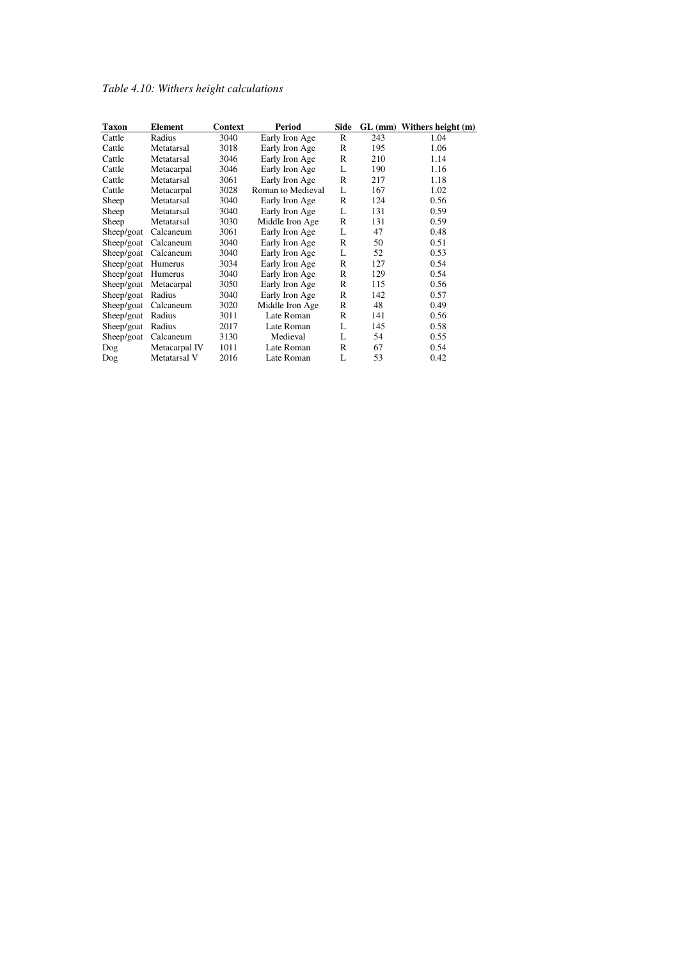## *Table 4.10: Withers height calculations*

| <b>Taxon</b> | Element       | Context | Period            | Side         |     | GL (mm) Withers height (m) |
|--------------|---------------|---------|-------------------|--------------|-----|----------------------------|
| Cattle       | Radius        | 3040    | Early Iron Age    | $\mathbb{R}$ | 243 | 1.04                       |
| Cattle       | Metatarsal    | 3018    | Early Iron Age    | R            | 195 | 1.06                       |
| Cattle       | Metatarsal    | 3046    | Early Iron Age    | R            | 210 | 1.14                       |
| Cattle       | Metacarpal    | 3046    | Early Iron Age    | L            | 190 | 1.16                       |
| Cattle       | Metatarsal    | 3061    | Early Iron Age    | R            | 217 | 1.18                       |
| Cattle       | Metacarpal    | 3028    | Roman to Medieval | L            | 167 | 1.02                       |
| Sheep        | Metatarsal    | 3040    | Early Iron Age    | $\mathbb{R}$ | 124 | 0.56                       |
| Sheep        | Metatarsal    | 3040    | Early Iron Age    | L            | 131 | 0.59                       |
| Sheep        | Metatarsal    | 3030    | Middle Iron Age   | R            | 131 | 0.59                       |
| Sheep/goat   | Calcaneum     | 3061    | Early Iron Age    | L            | 47  | 0.48                       |
| Sheep/goat   | Calcaneum     | 3040    | Early Iron Age    | R            | 50  | 0.51                       |
| Sheep/goat   | Calcaneum     | 3040    | Early Iron Age    | L            | 52  | 0.53                       |
| Sheep/goat   | Humerus       | 3034    | Early Iron Age    | $\mathbb{R}$ | 127 | 0.54                       |
| Sheep/goat   | Humerus       | 3040    | Early Iron Age    | R            | 129 | 0.54                       |
| Sheep/goat   | Metacarpal    | 3050    | Early Iron Age    | R            | 115 | 0.56                       |
| Sheep/goat   | Radius        | 3040    | Early Iron Age    | R            | 142 | 0.57                       |
| Sheep/goat   | Calcaneum     | 3020    | Middle Iron Age   | $\mathbb{R}$ | 48  | 0.49                       |
| Sheep/goat   | Radius        | 3011    | Late Roman        | $\mathbb{R}$ | 141 | 0.56                       |
| Sheep/goat   | Radius        | 2017    | Late Roman        | L            | 145 | 0.58                       |
| Sheep/goat   | Calcaneum     | 3130    | Medieval          | L            | 54  | 0.55                       |
| Dog          | Metacarpal IV | 1011    | Late Roman        | R            | 67  | 0.54                       |
| Dog          | Metatarsal V  | 2016    | Late Roman        | L            | 53  | 0.42                       |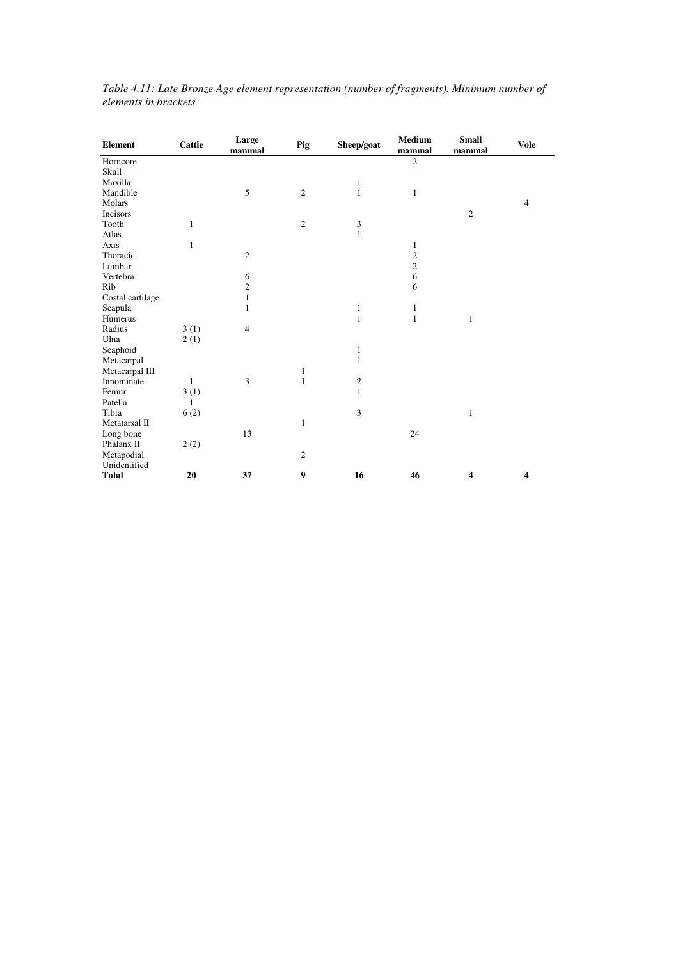| <b>Element</b>   | Cattle       | Large<br>mammal | Pig            | Sheep/goat   | Medium<br>mammal | <b>Small</b><br>mammal | <b>Vole</b>    |
|------------------|--------------|-----------------|----------------|--------------|------------------|------------------------|----------------|
| Horncore         |              |                 |                |              | $\overline{c}$   |                        |                |
| Skull            |              |                 |                |              |                  |                        |                |
| Maxilla          |              |                 |                | 1            |                  |                        |                |
| Mandible         |              | 5               | $\overline{c}$ | $\mathbf{1}$ | $\mathbf{1}$     |                        |                |
| Molars           |              |                 |                |              |                  |                        | $\overline{4}$ |
| Incisors         |              |                 |                |              |                  | $\overline{2}$         |                |
| Tooth            | 1            |                 | $\overline{c}$ | 3            |                  |                        |                |
| Atlas            |              |                 |                | $\mathbf{1}$ |                  |                        |                |
| Axis             | $\mathbf{1}$ |                 |                |              | 1                |                        |                |
| Thoracic         |              | $\mathfrak{2}$  |                |              | $\overline{c}$   |                        |                |
| Lumbar           |              |                 |                |              | $\overline{c}$   |                        |                |
| Vertebra         |              | 6               |                |              | 6                |                        |                |
| Rib              |              | $\overline{c}$  |                |              | 6                |                        |                |
| Costal cartilage |              | $\mathbf{1}$    |                |              |                  |                        |                |
| Scapula          |              | 1               |                | $\mathbf{1}$ | 1                |                        |                |
| Humerus          |              |                 |                | $\mathbf{1}$ | $\mathbf{1}$     | 1                      |                |
| Radius           | 3(1)         | $\overline{4}$  |                |              |                  |                        |                |
| Ulna             | 2(1)         |                 |                |              |                  |                        |                |
| Scaphoid         |              |                 |                | $\mathbf{1}$ |                  |                        |                |
| Metacarpal       |              |                 |                | $\mathbf{1}$ |                  |                        |                |
| Metacarpal III   |              |                 | 1              |              |                  |                        |                |
| Innominate       | 1            | 3               | $\mathbf{1}$   | $\sqrt{2}$   |                  |                        |                |
| Femur            | 3(1)         |                 |                | $\mathbf{1}$ |                  |                        |                |
| Patella          | $\mathbf{1}$ |                 |                |              |                  |                        |                |
| Tibia            | 6(2)         |                 |                | 3            |                  | $\mathbf{1}$           |                |
| Metatarsal II    |              |                 | $\mathbf{1}$   |              |                  |                        |                |
| Long bone        |              | 13              |                |              | 24               |                        |                |
| Phalanx II       | 2(2)         |                 |                |              |                  |                        |                |
| Metapodial       |              |                 | $\mathbf{2}$   |              |                  |                        |                |
| Unidentified     |              |                 |                |              |                  |                        |                |
| <b>Total</b>     | 20           | 37              | 9              | 16           | 46               | 4                      | 4              |

*Table 4.11: Late Bronze Age element representation (number of fragments). Minimum number of elements in brackets*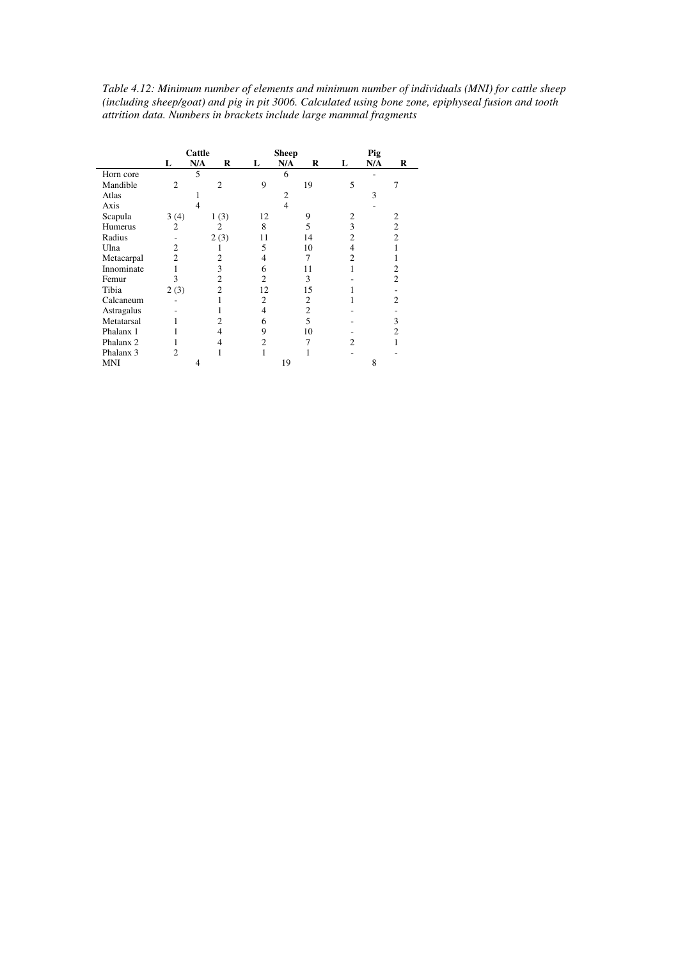| Table 4.12: Minimum number of elements and minimum number of individuals (MNI) for cattle sheep     |
|-----------------------------------------------------------------------------------------------------|
| (including sheep/goat) and pig in pit 3006. Calculated using bone zone, epiphyseal fusion and tooth |
| attrition data. Numbers in brackets include large mammal fragments                                  |

|                      |                | Cattle         |    | <b>Sheep</b>   | Pig |     |                |  |
|----------------------|----------------|----------------|----|----------------|-----|-----|----------------|--|
|                      | L              | N/A<br>R       | L  | N/A<br>R       | L   | N/A | R              |  |
| Horn core            |                | 5              |    | 6              |     |     |                |  |
| Mandible             | $\overline{2}$ | $\mathfrak{D}$ | 9  | 19             | 5   |     |                |  |
| Atlas                |                |                |    | 2              |     | 3   |                |  |
| Axis                 |                | 4              |    | 4              |     |     |                |  |
| Scapula              | 3(4)           | 1(3)           | 12 | 9              | 2   |     | 2              |  |
| Humerus              | $\overline{2}$ | $\overline{2}$ | 8  | 5              | 3   |     | $\overline{c}$ |  |
| Radius               |                | 2(3)           | 11 | 14             | 2   |     | 2              |  |
| Ulna                 | $\overline{c}$ | J.             | 5  | 10             | 4   |     |                |  |
| Metacarpal           | 2              | 2              | 4  | 7              | 2   |     |                |  |
| Innominate           |                | 3              | 6  | 11             |     |     | 2              |  |
| Femur                | 3              | 2              | 2  | 3              |     |     | 2              |  |
| Tibia                | 2(3)           | 2              | 12 | 15             |     |     |                |  |
| Calcaneum            |                |                | 2  | 2              |     |     | 2              |  |
| Astragalus           |                |                | 4  | $\overline{2}$ |     |     |                |  |
| Metatarsal           |                | 2              | 6  | 5              |     |     | 3              |  |
| Phalanx 1            |                | $\overline{4}$ | 9  | 10             |     |     | 2              |  |
| Phalanx 2            | 1              | 4              | 2  | 7              | 2   |     |                |  |
| Phalanx <sub>3</sub> | $\overline{c}$ |                |    |                |     |     |                |  |
| MNI                  |                | 4              |    | 19             |     | 8   |                |  |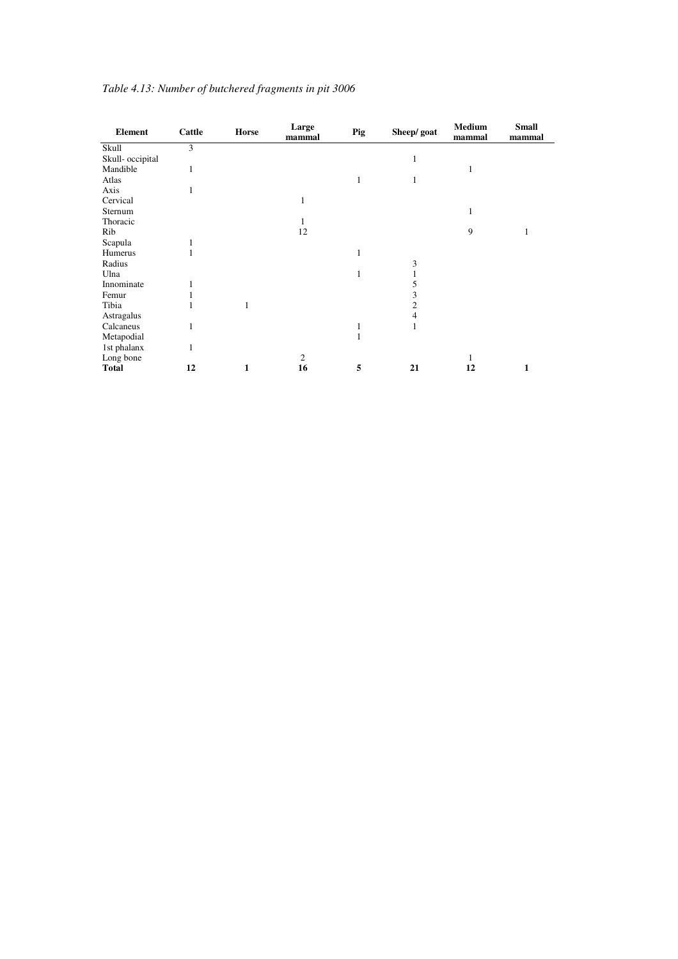| <b>Element</b>   | Cattle | Horse | Large<br>mammal | Pig | Sheep/ goat | <b>Medium</b><br>mammal | <b>Small</b><br>mammal |
|------------------|--------|-------|-----------------|-----|-------------|-------------------------|------------------------|
| Skull            | 3      |       |                 |     |             |                         |                        |
| Skull- occipital |        |       |                 |     | 1           |                         |                        |
| Mandible         | 1      |       |                 |     |             | 1                       |                        |
| Atlas            |        |       |                 | 1   |             |                         |                        |
| Axis             | 1      |       |                 |     |             |                         |                        |
| Cervical         |        |       | 1               |     |             |                         |                        |
| Sternum          |        |       |                 |     |             | 1                       |                        |
| Thoracic         |        |       |                 |     |             |                         |                        |
| Rib              |        |       | 12              |     |             | 9                       |                        |
| Scapula          | 1      |       |                 |     |             |                         |                        |
| Humerus          | 1      |       |                 | 1   |             |                         |                        |
| Radius           |        |       |                 |     | 3           |                         |                        |
| Ulna             |        |       |                 |     |             |                         |                        |
| Innominate       | 1      |       |                 |     |             |                         |                        |
| Femur            |        |       |                 |     |             |                         |                        |
| Tibia            |        | 1     |                 |     | 2           |                         |                        |
| Astragalus       |        |       |                 |     | 4           |                         |                        |
| Calcaneus        | 1      |       |                 |     |             |                         |                        |
| Metapodial       |        |       |                 | 1   |             |                         |                        |
| 1st phalanx      | 1      |       |                 |     |             |                         |                        |
| Long bone        |        |       | $\overline{c}$  |     |             |                         |                        |
| <b>Total</b>     | 12     | 1     | 16              | 5   | 21          | 12                      | 1                      |

## *Table 4.13: Number of butchered fragments in pit 3006*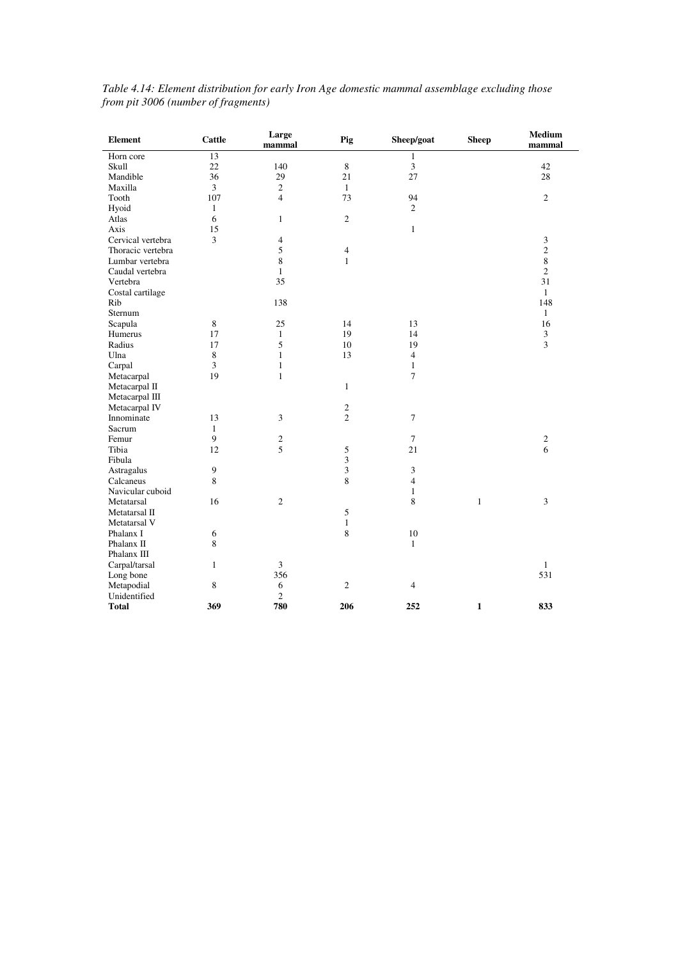| <b>Element</b>    | <b>Cattle</b>    | Large<br>mammal | Pig                              | Sheep/goat     | <b>Sheep</b> | Medium<br>mammal |
|-------------------|------------------|-----------------|----------------------------------|----------------|--------------|------------------|
| Horn core         | 13               |                 |                                  | $\mathbf{1}$   |              |                  |
| Skull             | 22               | 140             | 8                                | $\mathfrak{Z}$ |              | 42               |
| Mandible          | 36               | 29              | 21                               | 27             |              | 28               |
| Maxilla           | $\overline{3}$   | $\overline{c}$  | $\mathbf{1}$                     |                |              |                  |
| Tooth             | 107              | $\overline{4}$  | 73                               | 94             |              | $\mathfrak{2}$   |
| Hyoid             | $\mathbf{1}$     |                 |                                  | $\overline{c}$ |              |                  |
| Atlas             | 6                | $\mathbf{1}$    | $\sqrt{2}$                       |                |              |                  |
| Axis              | 15               |                 |                                  | $\mathbf{1}$   |              |                  |
| Cervical vertebra | $\overline{3}$   | $\overline{4}$  |                                  |                |              | 3                |
| Thoracic vertebra |                  | 5               | 4                                |                |              | $\overline{c}$   |
| Lumbar vertebra   |                  | 8               | $\mathbf{1}$                     |                |              | $\,8\,$          |
| Caudal vertebra   |                  | $\mathbf{1}$    |                                  |                |              | $\overline{c}$   |
| Vertebra          |                  | 35              |                                  |                |              | 31               |
| Costal cartilage  |                  |                 |                                  |                |              | $\mathbf{1}$     |
| Rib               |                  | 138             |                                  |                |              | 148              |
| Sternum           |                  |                 |                                  |                |              | $\mathbf{1}$     |
| Scapula           | $\,8\,$          | 25              | 14                               | 13             |              | 16               |
| Humerus           | 17               | $\mathbf{1}$    | 19                               | 14             |              | 3                |
| Radius            | 17               | 5               | 10                               | 19             |              | 3                |
| Ulna              | $\,8\,$          | $\mathbf{1}$    | 13                               | $\overline{4}$ |              |                  |
| Carpal            | 3                | $\mathbf{1}$    |                                  | $\mathbf{1}$   |              |                  |
| Metacarpal        | 19               | $\mathbf{1}$    |                                  | $\overline{7}$ |              |                  |
|                   |                  |                 | $\mathbf{1}$                     |                |              |                  |
| Metacarpal II     |                  |                 |                                  |                |              |                  |
| Metacarpal III    |                  |                 |                                  |                |              |                  |
| Metacarpal IV     |                  |                 | $\mathfrak{2}$<br>$\overline{2}$ |                |              |                  |
| Innominate        | 13               | $\overline{3}$  |                                  | $\tau$         |              |                  |
| Sacrum            | $\mathbf{1}$     |                 |                                  |                |              |                  |
| Femur             | $\boldsymbol{9}$ | $\sqrt{2}$      |                                  | $\tau$         |              | $\sqrt{2}$       |
| Tibia             | 12               | 5               | 5                                | 21             |              | 6                |
| Fibula            |                  |                 | 3                                |                |              |                  |
| Astragalus        | $\mathbf{9}$     |                 | 3                                | 3              |              |                  |
| Calcaneus         | 8                |                 | 8                                | $\overline{4}$ |              |                  |
| Navicular cuboid  |                  |                 |                                  | $\mathbf{1}$   |              |                  |
| Metatarsal        | 16               | $\sqrt{2}$      |                                  | 8              | $\mathbf{1}$ | 3                |
| Metatarsal II     |                  |                 | 5                                |                |              |                  |
| Metatarsal V      |                  |                 | $\mathbf{1}$                     |                |              |                  |
| Phalanx I         | 6                |                 | 8                                | $10\,$         |              |                  |
| Phalanx II        | $\,$ 8 $\,$      |                 |                                  | $\mathbf{1}$   |              |                  |
| Phalanx III       |                  |                 |                                  |                |              |                  |
| Carpal/tarsal     | $\mathbf{1}$     | $\overline{3}$  |                                  |                |              | $\mathbf{1}$     |
| Long bone         |                  | 356             |                                  |                |              | 531              |
| Metapodial        | $\,$ 8 $\,$      | 6               | $\mathfrak{2}$                   | $\overline{4}$ |              |                  |
| Unidentified      |                  | $\mathbf{2}$    |                                  |                |              |                  |
| <b>Total</b>      | 369              | 780             | 206                              | 252            | $\mathbf{1}$ | 833              |

#### *Table 4.14: Element distribution for early Iron Age domestic mammal assemblage excluding those from pit 3006 (number of fragments)*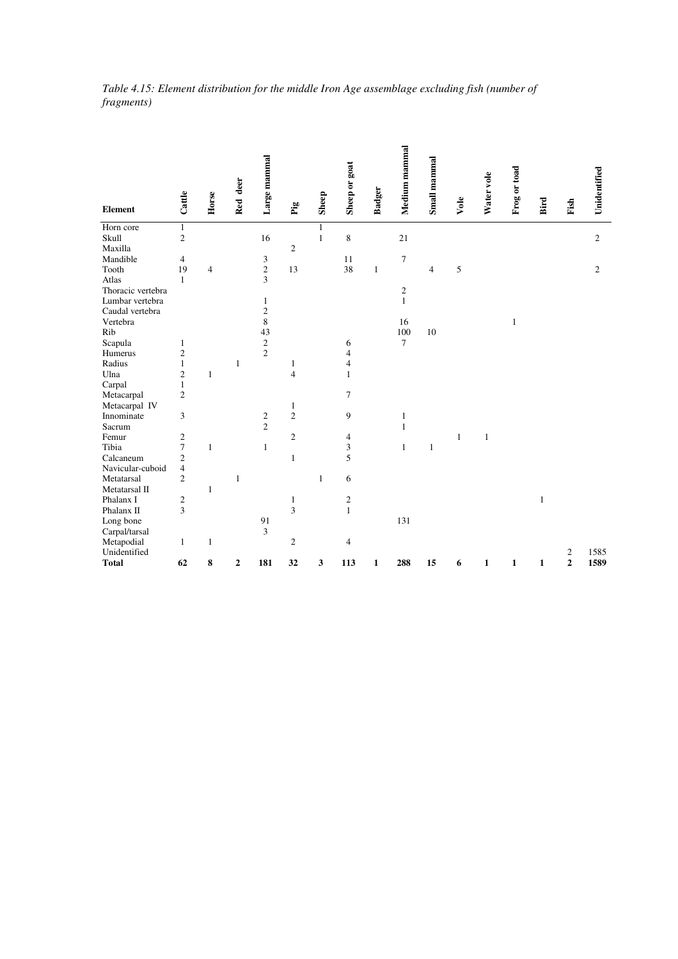|                   |                |                | deer | Large mammal   |                |       |                |               | Medium mammal  | Small mammal   |      |            |              |      |      |                |
|-------------------|----------------|----------------|------|----------------|----------------|-------|----------------|---------------|----------------|----------------|------|------------|--------------|------|------|----------------|
| <b>Element</b>    | Cattle         | Horse          | Red  |                | $_{\rm Fig}$   | Sheep | Sheep or goat  | <b>Badger</b> |                |                | Vole | Water vole | Frog or toad | Bird | Fish | Unidentified   |
| Horn core         | 1              |                |      |                |                |       |                |               |                |                |      |            |              |      |      |                |
| Skull             | $\overline{c}$ |                |      | 16             |                | 1     | 8              |               | 21             |                |      |            |              |      |      | $\sqrt{2}$     |
| Maxilla           |                |                |      |                | $\overline{2}$ |       |                |               |                |                |      |            |              |      |      |                |
| Mandible          | $\overline{4}$ |                |      | 3              |                |       | 11             |               | 7              |                |      |            |              |      |      |                |
| Tooth             | 19             | $\overline{4}$ |      | $\sqrt{2}$     | 13             |       | 38             | 1             |                | $\overline{4}$ | 5    |            |              |      |      | $\mathfrak{2}$ |
| Atlas             | $\mathbf{1}$   |                |      | 3              |                |       |                |               |                |                |      |            |              |      |      |                |
| Thoracic vertebra |                |                |      |                |                |       |                |               | $\mathfrak{2}$ |                |      |            |              |      |      |                |
| Lumbar vertebra   |                |                |      | 1              |                |       |                |               | $\mathbf{1}$   |                |      |            |              |      |      |                |
| Caudal vertebra   |                |                |      | $\sqrt{2}$     |                |       |                |               |                |                |      |            |              |      |      |                |
| Vertebra          |                |                |      | $\overline{8}$ |                |       |                |               | 16             |                |      |            | $\mathbf{1}$ |      |      |                |
| Rib               |                |                |      | 43             |                |       |                |               | 100            | 10             |      |            |              |      |      |                |
| Scapula           | 1              |                |      | $\sqrt{2}$     |                |       | 6              |               | $\overline{7}$ |                |      |            |              |      |      |                |
| Humerus           | 2              |                |      | $\overline{2}$ |                |       | $\overline{4}$ |               |                |                |      |            |              |      |      |                |
| Radius            | $\mathbf{1}$   |                | 1    |                | 1              |       | 4              |               |                |                |      |            |              |      |      |                |
| Ulna              | $\mathfrak{2}$ | 1              |      |                | $\overline{4}$ |       | 1              |               |                |                |      |            |              |      |      |                |
| Carpal            | $\mathbf{1}$   |                |      |                |                |       |                |               |                |                |      |            |              |      |      |                |
| Metacarpal        | $\overline{c}$ |                |      |                |                |       | 7              |               |                |                |      |            |              |      |      |                |
| Metacarpal IV     |                |                |      |                | 1              |       |                |               |                |                |      |            |              |      |      |                |
| Innominate        | 3              |                |      | $\overline{c}$ | $\overline{2}$ |       | 9              |               | 1              |                |      |            |              |      |      |                |
| Sacrum            |                |                |      | $\overline{c}$ |                |       |                |               | 1              |                |      |            |              |      |      |                |

 $Long bone$  91 131

1 Femur<br>
Tibia 7 1 1 2 4<br>
Calcaneum 2 1 5<br>
Navicular-cuboid 4<br>
Metatarsal 2 1 6

Metatarsal 2 1 1 6

Phalanx I 2<br>
Phalanx II 3 3 1<br>
Long bone 91 3 1

Metapodial 1 1 2 4

Carpal/tarsal 3

Navicular-cuboid

Metatarsal II<br>Phalanx I 1 2<br>Phalanx II 3

Tibia 7 1 1 3 1 1

Femur 2 2 4 1 1

Phalanx I 2 1  $\overline{2}$  1 2 1

Unidentified 2 1585 **Total 62 8 2 181 32 3 113 1 288 15 6 1 1 1 2 1589**

*Table 4.15: Element distribution for the middle Iron Age assemblage excluding fish (number of fragments)*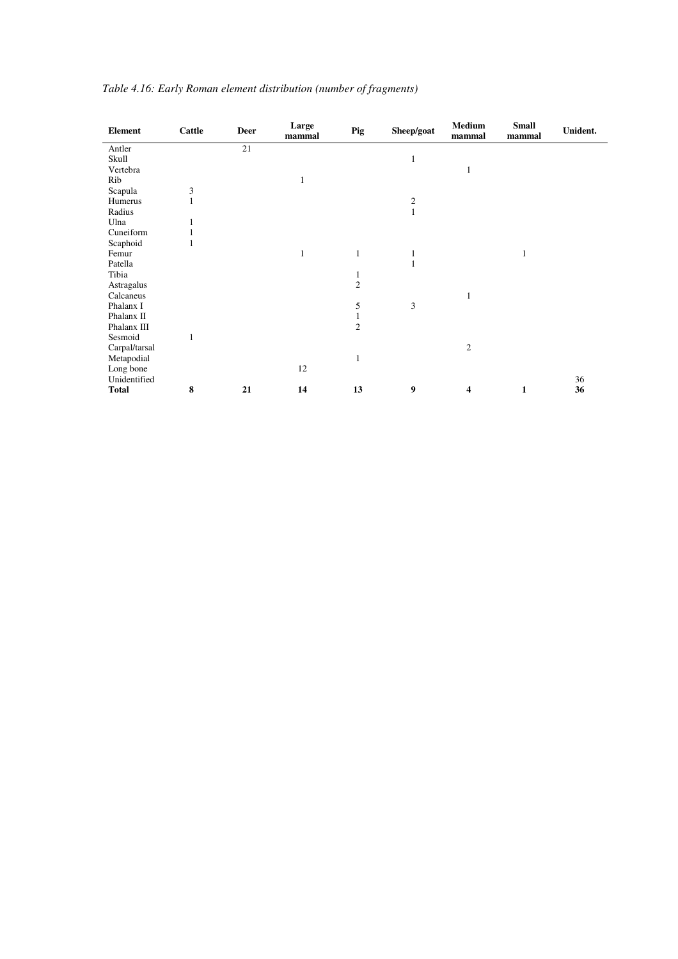| <b>Element</b> | Cattle | <b>Deer</b> | Large<br>mammal | Pig            | Sheep/goat | <b>Medium</b><br>mammal | <b>Small</b><br>mammal | Unident. |
|----------------|--------|-------------|-----------------|----------------|------------|-------------------------|------------------------|----------|
| Antler         |        | 21          |                 |                |            |                         |                        |          |
| Skull          |        |             |                 |                | 1          |                         |                        |          |
| Vertebra       |        |             |                 |                |            | 1                       |                        |          |
| Rib            |        |             | $\mathbf{1}$    |                |            |                         |                        |          |
| Scapula        | 3      |             |                 |                |            |                         |                        |          |
| Humerus        |        |             |                 |                | $\sqrt{2}$ |                         |                        |          |
| Radius         |        |             |                 |                |            |                         |                        |          |
| Ulna           |        |             |                 |                |            |                         |                        |          |
| Cuneiform      |        |             |                 |                |            |                         |                        |          |
| Scaphoid       |        |             |                 |                |            |                         |                        |          |
| Femur          |        |             | 1               | $\mathbf{1}$   |            |                         | $\mathbf{1}$           |          |
| Patella        |        |             |                 |                |            |                         |                        |          |
| Tibia          |        |             |                 | $\mathbf{I}$   |            |                         |                        |          |
| Astragalus     |        |             |                 | $\mathfrak{2}$ |            |                         |                        |          |
| Calcaneus      |        |             |                 |                |            |                         |                        |          |
| Phalanx I      |        |             |                 | 5              | 3          |                         |                        |          |
| Phalanx II     |        |             |                 |                |            |                         |                        |          |
| Phalanx III    |        |             |                 | $\mathfrak{2}$ |            |                         |                        |          |
| Sesmoid        |        |             |                 |                |            |                         |                        |          |
| Carpal/tarsal  |        |             |                 |                |            | $\overline{c}$          |                        |          |
| Metapodial     |        |             |                 | $\mathbf{1}$   |            |                         |                        |          |
| Long bone      |        |             | 12              |                |            |                         |                        |          |
| Unidentified   |        |             |                 |                |            |                         |                        | 36       |
| <b>Total</b>   | 8      | 21          | 14              | 13             | 9          | 4                       | 1                      | 36       |

|  | Table 4.16: Early Roman element distribution (number of fragments) |  |  |  |  |
|--|--------------------------------------------------------------------|--|--|--|--|
|--|--------------------------------------------------------------------|--|--|--|--|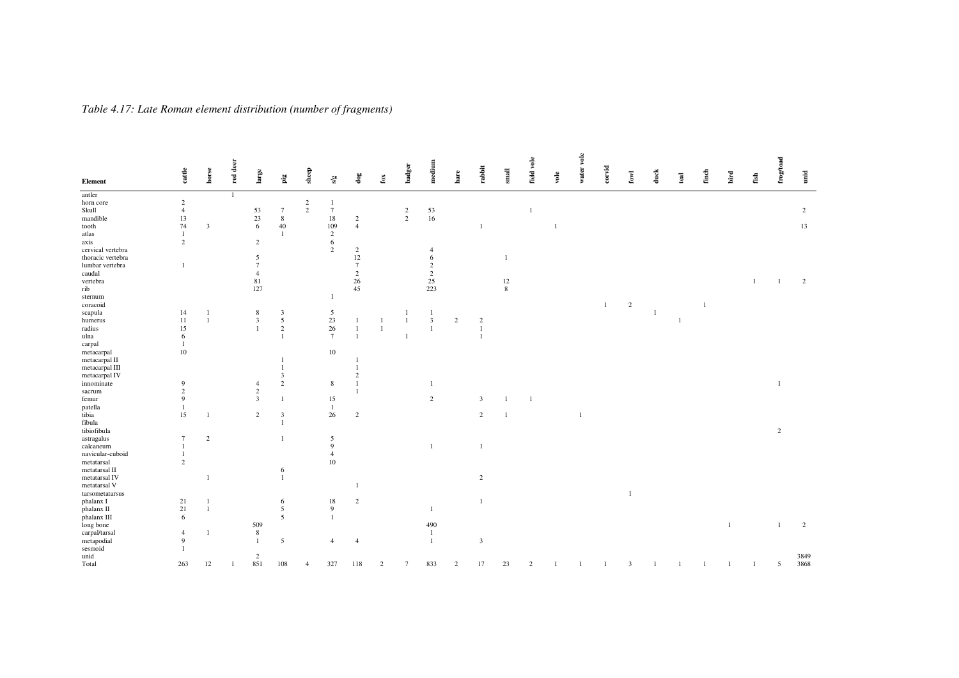| $\mathbf{\ddot{g}}$<br>$\mathbf{f}\mathbf{o}\mathbf{x}$<br>$\mathbf{s}/\mathbf{g}$<br>$\overline{1}$<br>$\sqrt{2}$<br>horn core<br>$\sqrt{2}$<br>-1<br>$\overline{2}$<br>Skull<br>$\tau$<br>$\frac{53}{16}$<br>$\overline{4}$<br>53<br>$\frac{2}{2}$<br>$\overline{2}$<br>$\tau$<br>$\overline{1}$<br>13<br>$23\,$<br>$\,$ 8 $\,$<br>$18\,$<br>mandible<br>$\overline{c}$<br>74<br>6<br>40<br>$\overline{4}$<br>$\overline{\mathbf{3}}$<br>109<br>13<br>tooth<br>-1<br>atlas<br>$\mathbf{1}$<br>$\overline{2}$<br>$\mathbf{1}$<br>6<br>$\overline{c}$<br>axis<br>$\overline{c}$<br>$\overline{c}$<br>cervical vertebra<br>$\overline{c}$<br>$\overline{4}$<br>12<br>thoracic vertebra<br>5<br>6<br>-1<br>$\overline{7}$<br>lumbar vertebra<br>$\overline{7}$<br>$\overline{c}$<br>$\mathbf{1}$<br>$\sqrt{2}$<br>$\sqrt{2}$<br>caudal<br>$\overline{4}$<br>81<br>26<br>25<br>$12\,$<br>vertebra<br>$\overline{2}$<br>-1<br>45<br>$\,$ 8 $\,$<br>rib<br>127<br>223<br>sternum<br>1<br>$\overline{c}$<br>coracoid<br>$\mathbf{1}$<br>14<br>5<br>scapula<br>8<br>$\overline{\mathbf{3}}$<br>-1<br>$\overline{1}$<br>$\sqrt{5}$<br>23<br>$\mathfrak{Z}$<br>11<br>$\overline{3}$<br>$\overline{c}$<br>humerus<br>$\overline{1}$<br>$\mathbf{1}$<br>$\overline{2}$<br>-1<br>$26\,$<br>15<br>$\sqrt{2}$<br>radius<br>$\mathbf{1}$<br>$\overline{7}$<br>6<br>ulna<br>$\mathbf{1}$<br>carpal<br>$\mathbf{1}$<br>$10\,$<br>10<br>metacarpal<br>metacarpal II<br>metacarpal III<br>metacarpal IV<br>3<br>$\sqrt{2}$<br>8<br>innominate<br>9<br>$\mathbf{1}$<br>$\overline{1}$<br>4<br>$\overline{c}$<br>$\overline{c}$<br>sacrum<br>$\overline{9}$<br>15<br>2<br>femur<br>3<br>3<br>patella<br>1<br>-1<br>15<br>tibia<br>26<br>2<br>$\overline{2}$<br>$\overline{3}$<br>$\overline{c}$<br>1<br>fibula<br>tibiofibula<br>$\overline{c}$<br>astragalus<br>2<br>5<br>$\overline{7}$<br>9<br>calcaneum<br>$\mathbf{1}$<br>1<br>-1<br>navicular-cuboid<br>$\overline{4}$<br>$\mathbf{1}$<br>$\overline{c}$<br>10<br>metatarsal<br>metatarsal II<br>6<br>metatarsal IV<br>$\mathbf{1}$<br>2<br>metatarsal V<br>$\,$ tarsometatarsus<br>-1<br>21<br>$18\,$<br>phalanx I<br>6<br>2<br>21<br>$\overline{5}$<br>9<br>phalanx II<br>$\overline{1}$<br>1<br>phalanx III<br>6<br>5<br>509<br>490<br>$\overline{c}$<br>$\mathbf{1}$<br>-1<br>8<br>$\overline{4}$<br>-1<br>$\overline{1}$<br>9<br>5<br>$\overline{4}$<br>$\mathbf{1}$<br>3<br>$\overline{4}$<br>$\mathbf{1}$<br>3849<br>$\overline{c}$<br>851<br>3868<br>Total<br>263<br>108<br>327<br>833<br>17<br>23<br>$\overline{5}$<br>12<br>118<br>$\overline{c}$<br>3<br>2<br>$\overline{7}$<br>$\overline{c}$<br>$\mathbf{1}$<br>-1<br>4 |               |                 |       | red deer |      |       |        |        | medium |                            |        |                             | field vole |               | water vole |          |               |                |      |       |                |                                  | ${\rm freq}$ /road |                    |
|-----------------------------------------------------------------------------------------------------------------------------------------------------------------------------------------------------------------------------------------------------------------------------------------------------------------------------------------------------------------------------------------------------------------------------------------------------------------------------------------------------------------------------------------------------------------------------------------------------------------------------------------------------------------------------------------------------------------------------------------------------------------------------------------------------------------------------------------------------------------------------------------------------------------------------------------------------------------------------------------------------------------------------------------------------------------------------------------------------------------------------------------------------------------------------------------------------------------------------------------------------------------------------------------------------------------------------------------------------------------------------------------------------------------------------------------------------------------------------------------------------------------------------------------------------------------------------------------------------------------------------------------------------------------------------------------------------------------------------------------------------------------------------------------------------------------------------------------------------------------------------------------------------------------------------------------------------------------------------------------------------------------------------------------------------------------------------------------------------------------------------------------------------------------------------------------------------------------------------------------------------------------------------------------------------------------------------------------------------------------------------------------------------------------------------------------------------------------------------------------------------------------------------------------------------------------------------------------------------------------------------------------------------------------------|---------------|-----------------|-------|----------|------|-------|--------|--------|--------|----------------------------|--------|-----------------------------|------------|---------------|------------|----------|---------------|----------------|------|-------|----------------|----------------------------------|--------------------|--------------------|
|                                                                                                                                                                                                                                                                                                                                                                                                                                                                                                                                                                                                                                                                                                                                                                                                                                                                                                                                                                                                                                                                                                                                                                                                                                                                                                                                                                                                                                                                                                                                                                                                                                                                                                                                                                                                                                                                                                                                                                                                                                                                                                                                                                                                                                                                                                                                                                                                                                                                                                                                                                                                                                                                       | Element       | $\mbox{catfle}$ | horse |          | arge | sheep | $\log$ | badger |        | $_{\mbox{\small\bf hare}}$ | rabiit | $\pmb{\quad \text{small} }$ |            | $_{\rm vole}$ |            | $corvid$ | $_{\rm{fov}}$ | $_{\rm{duck}}$ | teal | finch | $_{\rm{bird}}$ | $\mathbf{f}\mathbf{s}\mathbf{h}$ |                    | $\vec{\mathbf{n}}$ |
|                                                                                                                                                                                                                                                                                                                                                                                                                                                                                                                                                                                                                                                                                                                                                                                                                                                                                                                                                                                                                                                                                                                                                                                                                                                                                                                                                                                                                                                                                                                                                                                                                                                                                                                                                                                                                                                                                                                                                                                                                                                                                                                                                                                                                                                                                                                                                                                                                                                                                                                                                                                                                                                                       | antler        |                 |       |          |      |       |        |        |        |                            |        |                             |            |               |            |          |               |                |      |       |                |                                  |                    |                    |
|                                                                                                                                                                                                                                                                                                                                                                                                                                                                                                                                                                                                                                                                                                                                                                                                                                                                                                                                                                                                                                                                                                                                                                                                                                                                                                                                                                                                                                                                                                                                                                                                                                                                                                                                                                                                                                                                                                                                                                                                                                                                                                                                                                                                                                                                                                                                                                                                                                                                                                                                                                                                                                                                       |               |                 |       |          |      |       |        |        |        |                            |        |                             |            |               |            |          |               |                |      |       |                |                                  |                    |                    |
|                                                                                                                                                                                                                                                                                                                                                                                                                                                                                                                                                                                                                                                                                                                                                                                                                                                                                                                                                                                                                                                                                                                                                                                                                                                                                                                                                                                                                                                                                                                                                                                                                                                                                                                                                                                                                                                                                                                                                                                                                                                                                                                                                                                                                                                                                                                                                                                                                                                                                                                                                                                                                                                                       |               |                 |       |          |      |       |        |        |        |                            |        |                             |            |               |            |          |               |                |      |       |                |                                  |                    |                    |
|                                                                                                                                                                                                                                                                                                                                                                                                                                                                                                                                                                                                                                                                                                                                                                                                                                                                                                                                                                                                                                                                                                                                                                                                                                                                                                                                                                                                                                                                                                                                                                                                                                                                                                                                                                                                                                                                                                                                                                                                                                                                                                                                                                                                                                                                                                                                                                                                                                                                                                                                                                                                                                                                       |               |                 |       |          |      |       |        |        |        |                            |        |                             |            |               |            |          |               |                |      |       |                |                                  |                    |                    |
|                                                                                                                                                                                                                                                                                                                                                                                                                                                                                                                                                                                                                                                                                                                                                                                                                                                                                                                                                                                                                                                                                                                                                                                                                                                                                                                                                                                                                                                                                                                                                                                                                                                                                                                                                                                                                                                                                                                                                                                                                                                                                                                                                                                                                                                                                                                                                                                                                                                                                                                                                                                                                                                                       |               |                 |       |          |      |       |        |        |        |                            |        |                             |            |               |            |          |               |                |      |       |                |                                  |                    |                    |
|                                                                                                                                                                                                                                                                                                                                                                                                                                                                                                                                                                                                                                                                                                                                                                                                                                                                                                                                                                                                                                                                                                                                                                                                                                                                                                                                                                                                                                                                                                                                                                                                                                                                                                                                                                                                                                                                                                                                                                                                                                                                                                                                                                                                                                                                                                                                                                                                                                                                                                                                                                                                                                                                       |               |                 |       |          |      |       |        |        |        |                            |        |                             |            |               |            |          |               |                |      |       |                |                                  |                    |                    |
|                                                                                                                                                                                                                                                                                                                                                                                                                                                                                                                                                                                                                                                                                                                                                                                                                                                                                                                                                                                                                                                                                                                                                                                                                                                                                                                                                                                                                                                                                                                                                                                                                                                                                                                                                                                                                                                                                                                                                                                                                                                                                                                                                                                                                                                                                                                                                                                                                                                                                                                                                                                                                                                                       |               |                 |       |          |      |       |        |        |        |                            |        |                             |            |               |            |          |               |                |      |       |                |                                  |                    |                    |
|                                                                                                                                                                                                                                                                                                                                                                                                                                                                                                                                                                                                                                                                                                                                                                                                                                                                                                                                                                                                                                                                                                                                                                                                                                                                                                                                                                                                                                                                                                                                                                                                                                                                                                                                                                                                                                                                                                                                                                                                                                                                                                                                                                                                                                                                                                                                                                                                                                                                                                                                                                                                                                                                       |               |                 |       |          |      |       |        |        |        |                            |        |                             |            |               |            |          |               |                |      |       |                |                                  |                    |                    |
|                                                                                                                                                                                                                                                                                                                                                                                                                                                                                                                                                                                                                                                                                                                                                                                                                                                                                                                                                                                                                                                                                                                                                                                                                                                                                                                                                                                                                                                                                                                                                                                                                                                                                                                                                                                                                                                                                                                                                                                                                                                                                                                                                                                                                                                                                                                                                                                                                                                                                                                                                                                                                                                                       |               |                 |       |          |      |       |        |        |        |                            |        |                             |            |               |            |          |               |                |      |       |                |                                  |                    |                    |
|                                                                                                                                                                                                                                                                                                                                                                                                                                                                                                                                                                                                                                                                                                                                                                                                                                                                                                                                                                                                                                                                                                                                                                                                                                                                                                                                                                                                                                                                                                                                                                                                                                                                                                                                                                                                                                                                                                                                                                                                                                                                                                                                                                                                                                                                                                                                                                                                                                                                                                                                                                                                                                                                       |               |                 |       |          |      |       |        |        |        |                            |        |                             |            |               |            |          |               |                |      |       |                |                                  |                    |                    |
|                                                                                                                                                                                                                                                                                                                                                                                                                                                                                                                                                                                                                                                                                                                                                                                                                                                                                                                                                                                                                                                                                                                                                                                                                                                                                                                                                                                                                                                                                                                                                                                                                                                                                                                                                                                                                                                                                                                                                                                                                                                                                                                                                                                                                                                                                                                                                                                                                                                                                                                                                                                                                                                                       |               |                 |       |          |      |       |        |        |        |                            |        |                             |            |               |            |          |               |                |      |       |                |                                  |                    |                    |
|                                                                                                                                                                                                                                                                                                                                                                                                                                                                                                                                                                                                                                                                                                                                                                                                                                                                                                                                                                                                                                                                                                                                                                                                                                                                                                                                                                                                                                                                                                                                                                                                                                                                                                                                                                                                                                                                                                                                                                                                                                                                                                                                                                                                                                                                                                                                                                                                                                                                                                                                                                                                                                                                       |               |                 |       |          |      |       |        |        |        |                            |        |                             |            |               |            |          |               |                |      |       |                |                                  |                    |                    |
|                                                                                                                                                                                                                                                                                                                                                                                                                                                                                                                                                                                                                                                                                                                                                                                                                                                                                                                                                                                                                                                                                                                                                                                                                                                                                                                                                                                                                                                                                                                                                                                                                                                                                                                                                                                                                                                                                                                                                                                                                                                                                                                                                                                                                                                                                                                                                                                                                                                                                                                                                                                                                                                                       |               |                 |       |          |      |       |        |        |        |                            |        |                             |            |               |            |          |               |                |      |       |                |                                  |                    |                    |
|                                                                                                                                                                                                                                                                                                                                                                                                                                                                                                                                                                                                                                                                                                                                                                                                                                                                                                                                                                                                                                                                                                                                                                                                                                                                                                                                                                                                                                                                                                                                                                                                                                                                                                                                                                                                                                                                                                                                                                                                                                                                                                                                                                                                                                                                                                                                                                                                                                                                                                                                                                                                                                                                       |               |                 |       |          |      |       |        |        |        |                            |        |                             |            |               |            |          |               |                |      |       |                |                                  |                    |                    |
|                                                                                                                                                                                                                                                                                                                                                                                                                                                                                                                                                                                                                                                                                                                                                                                                                                                                                                                                                                                                                                                                                                                                                                                                                                                                                                                                                                                                                                                                                                                                                                                                                                                                                                                                                                                                                                                                                                                                                                                                                                                                                                                                                                                                                                                                                                                                                                                                                                                                                                                                                                                                                                                                       |               |                 |       |          |      |       |        |        |        |                            |        |                             |            |               |            |          |               |                |      |       |                |                                  |                    |                    |
|                                                                                                                                                                                                                                                                                                                                                                                                                                                                                                                                                                                                                                                                                                                                                                                                                                                                                                                                                                                                                                                                                                                                                                                                                                                                                                                                                                                                                                                                                                                                                                                                                                                                                                                                                                                                                                                                                                                                                                                                                                                                                                                                                                                                                                                                                                                                                                                                                                                                                                                                                                                                                                                                       |               |                 |       |          |      |       |        |        |        |                            |        |                             |            |               |            |          |               |                |      |       |                |                                  |                    |                    |
|                                                                                                                                                                                                                                                                                                                                                                                                                                                                                                                                                                                                                                                                                                                                                                                                                                                                                                                                                                                                                                                                                                                                                                                                                                                                                                                                                                                                                                                                                                                                                                                                                                                                                                                                                                                                                                                                                                                                                                                                                                                                                                                                                                                                                                                                                                                                                                                                                                                                                                                                                                                                                                                                       |               |                 |       |          |      |       |        |        |        |                            |        |                             |            |               |            |          |               |                |      |       |                |                                  |                    |                    |
|                                                                                                                                                                                                                                                                                                                                                                                                                                                                                                                                                                                                                                                                                                                                                                                                                                                                                                                                                                                                                                                                                                                                                                                                                                                                                                                                                                                                                                                                                                                                                                                                                                                                                                                                                                                                                                                                                                                                                                                                                                                                                                                                                                                                                                                                                                                                                                                                                                                                                                                                                                                                                                                                       |               |                 |       |          |      |       |        |        |        |                            |        |                             |            |               |            |          |               |                |      |       |                |                                  |                    |                    |
|                                                                                                                                                                                                                                                                                                                                                                                                                                                                                                                                                                                                                                                                                                                                                                                                                                                                                                                                                                                                                                                                                                                                                                                                                                                                                                                                                                                                                                                                                                                                                                                                                                                                                                                                                                                                                                                                                                                                                                                                                                                                                                                                                                                                                                                                                                                                                                                                                                                                                                                                                                                                                                                                       |               |                 |       |          |      |       |        |        |        |                            |        |                             |            |               |            |          |               |                |      |       |                |                                  |                    |                    |
|                                                                                                                                                                                                                                                                                                                                                                                                                                                                                                                                                                                                                                                                                                                                                                                                                                                                                                                                                                                                                                                                                                                                                                                                                                                                                                                                                                                                                                                                                                                                                                                                                                                                                                                                                                                                                                                                                                                                                                                                                                                                                                                                                                                                                                                                                                                                                                                                                                                                                                                                                                                                                                                                       |               |                 |       |          |      |       |        |        |        |                            |        |                             |            |               |            |          |               |                |      |       |                |                                  |                    |                    |
|                                                                                                                                                                                                                                                                                                                                                                                                                                                                                                                                                                                                                                                                                                                                                                                                                                                                                                                                                                                                                                                                                                                                                                                                                                                                                                                                                                                                                                                                                                                                                                                                                                                                                                                                                                                                                                                                                                                                                                                                                                                                                                                                                                                                                                                                                                                                                                                                                                                                                                                                                                                                                                                                       |               |                 |       |          |      |       |        |        |        |                            |        |                             |            |               |            |          |               |                |      |       |                |                                  |                    |                    |
|                                                                                                                                                                                                                                                                                                                                                                                                                                                                                                                                                                                                                                                                                                                                                                                                                                                                                                                                                                                                                                                                                                                                                                                                                                                                                                                                                                                                                                                                                                                                                                                                                                                                                                                                                                                                                                                                                                                                                                                                                                                                                                                                                                                                                                                                                                                                                                                                                                                                                                                                                                                                                                                                       |               |                 |       |          |      |       |        |        |        |                            |        |                             |            |               |            |          |               |                |      |       |                |                                  |                    |                    |
|                                                                                                                                                                                                                                                                                                                                                                                                                                                                                                                                                                                                                                                                                                                                                                                                                                                                                                                                                                                                                                                                                                                                                                                                                                                                                                                                                                                                                                                                                                                                                                                                                                                                                                                                                                                                                                                                                                                                                                                                                                                                                                                                                                                                                                                                                                                                                                                                                                                                                                                                                                                                                                                                       |               |                 |       |          |      |       |        |        |        |                            |        |                             |            |               |            |          |               |                |      |       |                |                                  |                    |                    |
|                                                                                                                                                                                                                                                                                                                                                                                                                                                                                                                                                                                                                                                                                                                                                                                                                                                                                                                                                                                                                                                                                                                                                                                                                                                                                                                                                                                                                                                                                                                                                                                                                                                                                                                                                                                                                                                                                                                                                                                                                                                                                                                                                                                                                                                                                                                                                                                                                                                                                                                                                                                                                                                                       |               |                 |       |          |      |       |        |        |        |                            |        |                             |            |               |            |          |               |                |      |       |                |                                  |                    |                    |
|                                                                                                                                                                                                                                                                                                                                                                                                                                                                                                                                                                                                                                                                                                                                                                                                                                                                                                                                                                                                                                                                                                                                                                                                                                                                                                                                                                                                                                                                                                                                                                                                                                                                                                                                                                                                                                                                                                                                                                                                                                                                                                                                                                                                                                                                                                                                                                                                                                                                                                                                                                                                                                                                       |               |                 |       |          |      |       |        |        |        |                            |        |                             |            |               |            |          |               |                |      |       |                |                                  |                    |                    |
|                                                                                                                                                                                                                                                                                                                                                                                                                                                                                                                                                                                                                                                                                                                                                                                                                                                                                                                                                                                                                                                                                                                                                                                                                                                                                                                                                                                                                                                                                                                                                                                                                                                                                                                                                                                                                                                                                                                                                                                                                                                                                                                                                                                                                                                                                                                                                                                                                                                                                                                                                                                                                                                                       |               |                 |       |          |      |       |        |        |        |                            |        |                             |            |               |            |          |               |                |      |       |                |                                  |                    |                    |
|                                                                                                                                                                                                                                                                                                                                                                                                                                                                                                                                                                                                                                                                                                                                                                                                                                                                                                                                                                                                                                                                                                                                                                                                                                                                                                                                                                                                                                                                                                                                                                                                                                                                                                                                                                                                                                                                                                                                                                                                                                                                                                                                                                                                                                                                                                                                                                                                                                                                                                                                                                                                                                                                       |               |                 |       |          |      |       |        |        |        |                            |        |                             |            |               |            |          |               |                |      |       |                |                                  |                    |                    |
|                                                                                                                                                                                                                                                                                                                                                                                                                                                                                                                                                                                                                                                                                                                                                                                                                                                                                                                                                                                                                                                                                                                                                                                                                                                                                                                                                                                                                                                                                                                                                                                                                                                                                                                                                                                                                                                                                                                                                                                                                                                                                                                                                                                                                                                                                                                                                                                                                                                                                                                                                                                                                                                                       |               |                 |       |          |      |       |        |        |        |                            |        |                             |            |               |            |          |               |                |      |       |                |                                  |                    |                    |
|                                                                                                                                                                                                                                                                                                                                                                                                                                                                                                                                                                                                                                                                                                                                                                                                                                                                                                                                                                                                                                                                                                                                                                                                                                                                                                                                                                                                                                                                                                                                                                                                                                                                                                                                                                                                                                                                                                                                                                                                                                                                                                                                                                                                                                                                                                                                                                                                                                                                                                                                                                                                                                                                       |               |                 |       |          |      |       |        |        |        |                            |        |                             |            |               |            |          |               |                |      |       |                |                                  |                    |                    |
|                                                                                                                                                                                                                                                                                                                                                                                                                                                                                                                                                                                                                                                                                                                                                                                                                                                                                                                                                                                                                                                                                                                                                                                                                                                                                                                                                                                                                                                                                                                                                                                                                                                                                                                                                                                                                                                                                                                                                                                                                                                                                                                                                                                                                                                                                                                                                                                                                                                                                                                                                                                                                                                                       |               |                 |       |          |      |       |        |        |        |                            |        |                             |            |               |            |          |               |                |      |       |                |                                  |                    |                    |
|                                                                                                                                                                                                                                                                                                                                                                                                                                                                                                                                                                                                                                                                                                                                                                                                                                                                                                                                                                                                                                                                                                                                                                                                                                                                                                                                                                                                                                                                                                                                                                                                                                                                                                                                                                                                                                                                                                                                                                                                                                                                                                                                                                                                                                                                                                                                                                                                                                                                                                                                                                                                                                                                       |               |                 |       |          |      |       |        |        |        |                            |        |                             |            |               |            |          |               |                |      |       |                |                                  |                    |                    |
|                                                                                                                                                                                                                                                                                                                                                                                                                                                                                                                                                                                                                                                                                                                                                                                                                                                                                                                                                                                                                                                                                                                                                                                                                                                                                                                                                                                                                                                                                                                                                                                                                                                                                                                                                                                                                                                                                                                                                                                                                                                                                                                                                                                                                                                                                                                                                                                                                                                                                                                                                                                                                                                                       |               |                 |       |          |      |       |        |        |        |                            |        |                             |            |               |            |          |               |                |      |       |                |                                  |                    |                    |
|                                                                                                                                                                                                                                                                                                                                                                                                                                                                                                                                                                                                                                                                                                                                                                                                                                                                                                                                                                                                                                                                                                                                                                                                                                                                                                                                                                                                                                                                                                                                                                                                                                                                                                                                                                                                                                                                                                                                                                                                                                                                                                                                                                                                                                                                                                                                                                                                                                                                                                                                                                                                                                                                       |               |                 |       |          |      |       |        |        |        |                            |        |                             |            |               |            |          |               |                |      |       |                |                                  |                    |                    |
|                                                                                                                                                                                                                                                                                                                                                                                                                                                                                                                                                                                                                                                                                                                                                                                                                                                                                                                                                                                                                                                                                                                                                                                                                                                                                                                                                                                                                                                                                                                                                                                                                                                                                                                                                                                                                                                                                                                                                                                                                                                                                                                                                                                                                                                                                                                                                                                                                                                                                                                                                                                                                                                                       |               |                 |       |          |      |       |        |        |        |                            |        |                             |            |               |            |          |               |                |      |       |                |                                  |                    |                    |
|                                                                                                                                                                                                                                                                                                                                                                                                                                                                                                                                                                                                                                                                                                                                                                                                                                                                                                                                                                                                                                                                                                                                                                                                                                                                                                                                                                                                                                                                                                                                                                                                                                                                                                                                                                                                                                                                                                                                                                                                                                                                                                                                                                                                                                                                                                                                                                                                                                                                                                                                                                                                                                                                       |               |                 |       |          |      |       |        |        |        |                            |        |                             |            |               |            |          |               |                |      |       |                |                                  |                    |                    |
|                                                                                                                                                                                                                                                                                                                                                                                                                                                                                                                                                                                                                                                                                                                                                                                                                                                                                                                                                                                                                                                                                                                                                                                                                                                                                                                                                                                                                                                                                                                                                                                                                                                                                                                                                                                                                                                                                                                                                                                                                                                                                                                                                                                                                                                                                                                                                                                                                                                                                                                                                                                                                                                                       |               |                 |       |          |      |       |        |        |        |                            |        |                             |            |               |            |          |               |                |      |       |                |                                  |                    |                    |
|                                                                                                                                                                                                                                                                                                                                                                                                                                                                                                                                                                                                                                                                                                                                                                                                                                                                                                                                                                                                                                                                                                                                                                                                                                                                                                                                                                                                                                                                                                                                                                                                                                                                                                                                                                                                                                                                                                                                                                                                                                                                                                                                                                                                                                                                                                                                                                                                                                                                                                                                                                                                                                                                       |               |                 |       |          |      |       |        |        |        |                            |        |                             |            |               |            |          |               |                |      |       |                |                                  |                    |                    |
|                                                                                                                                                                                                                                                                                                                                                                                                                                                                                                                                                                                                                                                                                                                                                                                                                                                                                                                                                                                                                                                                                                                                                                                                                                                                                                                                                                                                                                                                                                                                                                                                                                                                                                                                                                                                                                                                                                                                                                                                                                                                                                                                                                                                                                                                                                                                                                                                                                                                                                                                                                                                                                                                       |               |                 |       |          |      |       |        |        |        |                            |        |                             |            |               |            |          |               |                |      |       |                |                                  |                    |                    |
|                                                                                                                                                                                                                                                                                                                                                                                                                                                                                                                                                                                                                                                                                                                                                                                                                                                                                                                                                                                                                                                                                                                                                                                                                                                                                                                                                                                                                                                                                                                                                                                                                                                                                                                                                                                                                                                                                                                                                                                                                                                                                                                                                                                                                                                                                                                                                                                                                                                                                                                                                                                                                                                                       |               |                 |       |          |      |       |        |        |        |                            |        |                             |            |               |            |          |               |                |      |       |                |                                  |                    |                    |
|                                                                                                                                                                                                                                                                                                                                                                                                                                                                                                                                                                                                                                                                                                                                                                                                                                                                                                                                                                                                                                                                                                                                                                                                                                                                                                                                                                                                                                                                                                                                                                                                                                                                                                                                                                                                                                                                                                                                                                                                                                                                                                                                                                                                                                                                                                                                                                                                                                                                                                                                                                                                                                                                       |               |                 |       |          |      |       |        |        |        |                            |        |                             |            |               |            |          |               |                |      |       |                |                                  |                    |                    |
|                                                                                                                                                                                                                                                                                                                                                                                                                                                                                                                                                                                                                                                                                                                                                                                                                                                                                                                                                                                                                                                                                                                                                                                                                                                                                                                                                                                                                                                                                                                                                                                                                                                                                                                                                                                                                                                                                                                                                                                                                                                                                                                                                                                                                                                                                                                                                                                                                                                                                                                                                                                                                                                                       |               |                 |       |          |      |       |        |        |        |                            |        |                             |            |               |            |          |               |                |      |       |                |                                  |                    |                    |
|                                                                                                                                                                                                                                                                                                                                                                                                                                                                                                                                                                                                                                                                                                                                                                                                                                                                                                                                                                                                                                                                                                                                                                                                                                                                                                                                                                                                                                                                                                                                                                                                                                                                                                                                                                                                                                                                                                                                                                                                                                                                                                                                                                                                                                                                                                                                                                                                                                                                                                                                                                                                                                                                       |               |                 |       |          |      |       |        |        |        |                            |        |                             |            |               |            |          |               |                |      |       |                |                                  |                    |                    |
|                                                                                                                                                                                                                                                                                                                                                                                                                                                                                                                                                                                                                                                                                                                                                                                                                                                                                                                                                                                                                                                                                                                                                                                                                                                                                                                                                                                                                                                                                                                                                                                                                                                                                                                                                                                                                                                                                                                                                                                                                                                                                                                                                                                                                                                                                                                                                                                                                                                                                                                                                                                                                                                                       | long bone     |                 |       |          |      |       |        |        |        |                            |        |                             |            |               |            |          |               |                |      |       |                |                                  |                    |                    |
|                                                                                                                                                                                                                                                                                                                                                                                                                                                                                                                                                                                                                                                                                                                                                                                                                                                                                                                                                                                                                                                                                                                                                                                                                                                                                                                                                                                                                                                                                                                                                                                                                                                                                                                                                                                                                                                                                                                                                                                                                                                                                                                                                                                                                                                                                                                                                                                                                                                                                                                                                                                                                                                                       | carpal/tarsal |                 |       |          |      |       |        |        |        |                            |        |                             |            |               |            |          |               |                |      |       |                |                                  |                    |                    |
|                                                                                                                                                                                                                                                                                                                                                                                                                                                                                                                                                                                                                                                                                                                                                                                                                                                                                                                                                                                                                                                                                                                                                                                                                                                                                                                                                                                                                                                                                                                                                                                                                                                                                                                                                                                                                                                                                                                                                                                                                                                                                                                                                                                                                                                                                                                                                                                                                                                                                                                                                                                                                                                                       | metapodial    |                 |       |          |      |       |        |        |        |                            |        |                             |            |               |            |          |               |                |      |       |                |                                  |                    |                    |
|                                                                                                                                                                                                                                                                                                                                                                                                                                                                                                                                                                                                                                                                                                                                                                                                                                                                                                                                                                                                                                                                                                                                                                                                                                                                                                                                                                                                                                                                                                                                                                                                                                                                                                                                                                                                                                                                                                                                                                                                                                                                                                                                                                                                                                                                                                                                                                                                                                                                                                                                                                                                                                                                       | sesmoid       |                 |       |          |      |       |        |        |        |                            |        |                             |            |               |            |          |               |                |      |       |                |                                  |                    |                    |
|                                                                                                                                                                                                                                                                                                                                                                                                                                                                                                                                                                                                                                                                                                                                                                                                                                                                                                                                                                                                                                                                                                                                                                                                                                                                                                                                                                                                                                                                                                                                                                                                                                                                                                                                                                                                                                                                                                                                                                                                                                                                                                                                                                                                                                                                                                                                                                                                                                                                                                                                                                                                                                                                       | unid          |                 |       |          |      |       |        |        |        |                            |        |                             |            |               |            |          |               |                |      |       |                |                                  |                    |                    |
|                                                                                                                                                                                                                                                                                                                                                                                                                                                                                                                                                                                                                                                                                                                                                                                                                                                                                                                                                                                                                                                                                                                                                                                                                                                                                                                                                                                                                                                                                                                                                                                                                                                                                                                                                                                                                                                                                                                                                                                                                                                                                                                                                                                                                                                                                                                                                                                                                                                                                                                                                                                                                                                                       |               |                 |       |          |      |       |        |        |        |                            |        |                             |            |               |            |          |               |                |      |       |                |                                  |                    |                    |

*Table 4.17: Late Roman element distribution (number of fragments)*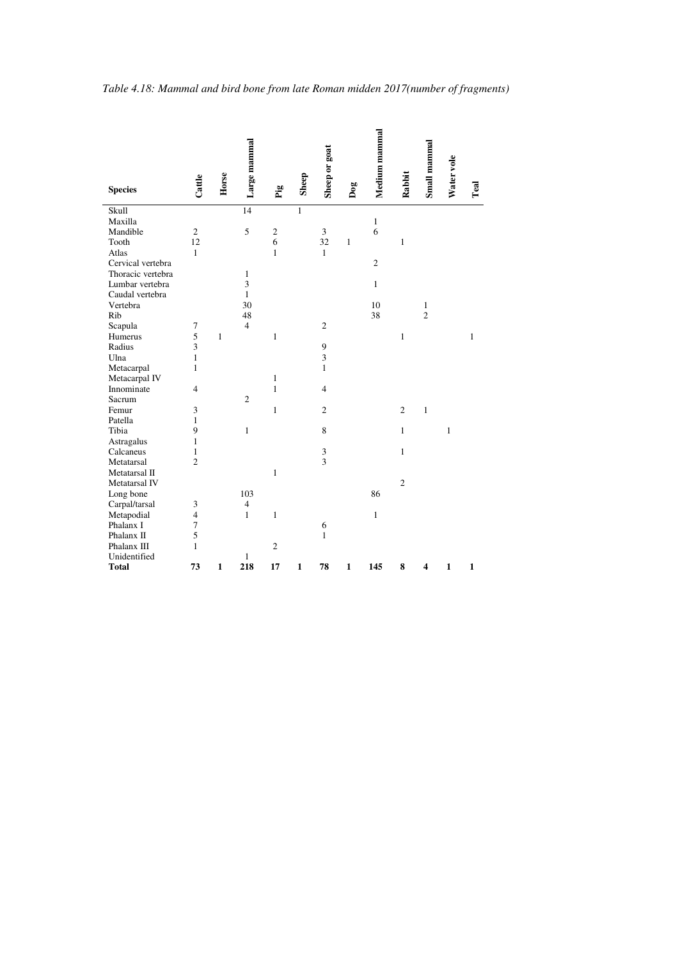| <b>Species</b>    | Cattle         | Horse        | Large mammal            | Pig            | Sheep        | Sheep or goat  | Dog          | Medium mammal  | Rabbit         | Small mammal   | Water vole   | Teal         |
|-------------------|----------------|--------------|-------------------------|----------------|--------------|----------------|--------------|----------------|----------------|----------------|--------------|--------------|
| Skull             |                |              | 14                      |                | $\mathbf{1}$ |                |              |                |                |                |              |              |
| Maxilla           |                |              |                         |                |              |                |              | $\mathbf{1}$   |                |                |              |              |
| Mandible          | $\sqrt{2}$     |              | 5                       | $\overline{c}$ |              | $\mathfrak{Z}$ |              | 6              |                |                |              |              |
| Tooth             | 12             |              |                         | 6              |              | 32             | 1            |                | $\mathbf{1}$   |                |              |              |
| Atlas             | $\mathbf{1}$   |              |                         | $\mathbf{1}$   |              | $\mathbf{1}$   |              |                |                |                |              |              |
| Cervical vertebra |                |              |                         |                |              |                |              | $\mathfrak{2}$ |                |                |              |              |
| Thoracic vertebra |                |              | 1                       |                |              |                |              |                |                |                |              |              |
| Lumbar vertebra   |                |              | 3                       |                |              |                |              | $\mathbf{1}$   |                |                |              |              |
| Caudal vertebra   |                |              | $\mathbf{1}$            |                |              |                |              |                |                |                |              |              |
| Vertebra          |                |              | 30                      |                |              |                |              | 10             |                | $\,1\,$        |              |              |
| Rib               |                |              | 48                      |                |              |                |              | 38             |                | $\overline{2}$ |              |              |
| Scapula           | $\tau$         |              | $\overline{4}$          |                |              | $\overline{c}$ |              |                |                |                |              |              |
| Humerus           | 5              | $\mathbf{1}$ |                         | $\mathbf{1}$   |              |                |              |                | $\mathbf{1}$   |                |              | 1            |
| Radius            | 3              |              |                         |                |              | 9              |              |                |                |                |              |              |
| Ulna              | $\mathbf{1}$   |              |                         |                |              | 3              |              |                |                |                |              |              |
| Metacarpal        | $\mathbf{1}$   |              |                         |                |              | $\mathbf{1}$   |              |                |                |                |              |              |
| Metacarpal IV     |                |              |                         | 1              |              |                |              |                |                |                |              |              |
| Innominate        | $\overline{4}$ |              |                         | $\mathbf{1}$   |              | $\overline{4}$ |              |                |                |                |              |              |
| Sacrum            |                |              | $\mathfrak{2}$          |                |              |                |              |                |                |                |              |              |
| Femur             | 3              |              |                         | $\mathbf{1}$   |              | $\overline{c}$ |              |                | $\overline{2}$ | $\mathbf{1}$   |              |              |
| Patella           | $\mathbf{1}$   |              |                         |                |              |                |              |                |                |                |              |              |
| Tibia             | 9              |              | $\mathbf{1}$            |                |              | 8              |              |                | $\mathbf{1}$   |                | $\mathbf{1}$ |              |
| Astragalus        | $\mathbf{1}$   |              |                         |                |              |                |              |                |                |                |              |              |
| Calcaneus         | $\mathbf{1}$   |              |                         |                |              | $\sqrt{3}$     |              |                | $\mathbf{1}$   |                |              |              |
| Metatarsal        | $\overline{c}$ |              |                         |                |              | $\overline{3}$ |              |                |                |                |              |              |
| Metatarsal II     |                |              |                         | $\mathbf{1}$   |              |                |              |                |                |                |              |              |
| Metatarsal IV     |                |              |                         |                |              |                |              |                | $\overline{c}$ |                |              |              |
| Long bone         |                |              | 103                     |                |              |                |              | 86             |                |                |              |              |
| Carpal/tarsal     | 3              |              | $\overline{\mathbf{4}}$ |                |              |                |              |                |                |                |              |              |
| Metapodial        | $\overline{4}$ |              | $\mathbf{1}$            | $\mathbf{1}$   |              |                |              | $\mathbf{1}$   |                |                |              |              |
| Phalanx I         | $\tau$         |              |                         |                |              | 6              |              |                |                |                |              |              |
| Phalanx II        | 5              |              |                         |                |              | 1              |              |                |                |                |              |              |
| Phalanx III       | $\mathbf{1}$   |              |                         | $\overline{c}$ |              |                |              |                |                |                |              |              |
| Unidentified      |                |              | $\mathbf{1}$            |                |              |                |              |                |                |                |              |              |
| <b>Total</b>      | 73             | $\mathbf{1}$ | 218                     | 17             | $\mathbf{1}$ | 78             | $\mathbf{1}$ | 145            | 8              | 4              | $\mathbf{1}$ | $\mathbf{1}$ |

 $\overline{a}$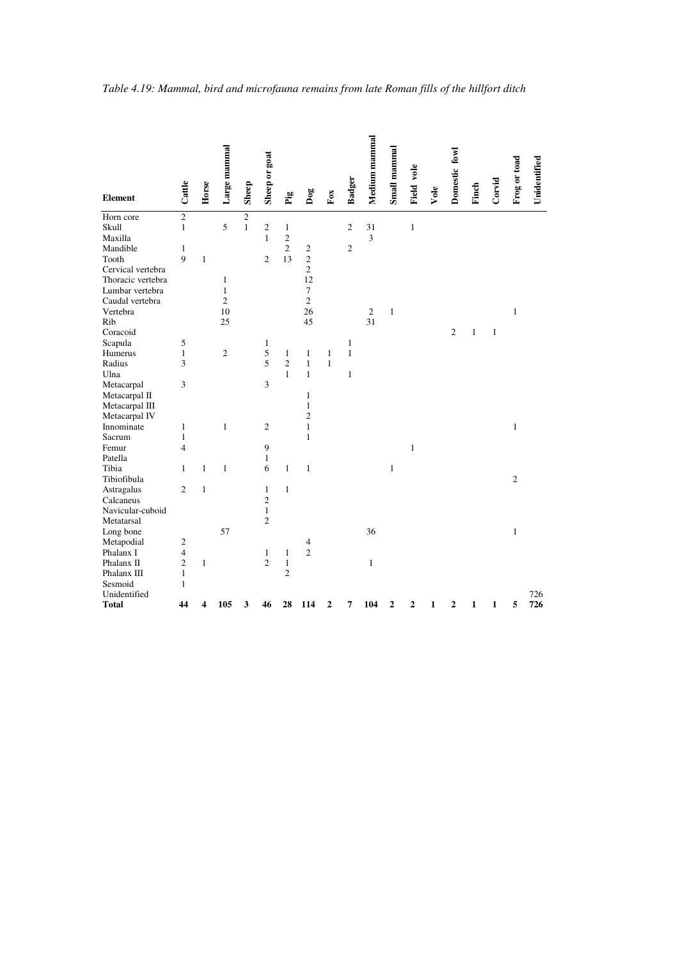|                   |                          |              | Large mammal |                | Sheep or goat  |                |                |                         |                | Medium mammal | Small mammal |              |      | Domestic fowl  |              |              |                |              |
|-------------------|--------------------------|--------------|--------------|----------------|----------------|----------------|----------------|-------------------------|----------------|---------------|--------------|--------------|------|----------------|--------------|--------------|----------------|--------------|
| <b>Element</b>    | Cattle                   | Horse        |              | Sheep          |                | Pig            | Dog            | $_{\rm FoX}$            | <b>Badger</b>  |               |              | Field vole   | Vole |                | Finch        | Corvid       | Frog or toad   | Unidentified |
| Horn core         | $\overline{2}$           |              |              | $\overline{2}$ |                |                |                |                         |                |               |              |              |      |                |              |              |                |              |
| Skull             | $\mathbf{1}$             |              | 5            | $\mathbf{1}$   | $\overline{c}$ | $\mathbf{1}$   |                |                         | $\overline{c}$ | 31            |              | $\mathbf{1}$ |      |                |              |              |                |              |
| Maxilla           |                          |              |              |                | $\mathbf{1}$   | $\overline{c}$ |                |                         |                | 3             |              |              |      |                |              |              |                |              |
| Mandible          | 1                        |              |              |                |                | $\overline{c}$ | $\mathfrak{2}$ |                         | $\overline{c}$ |               |              |              |      |                |              |              |                |              |
| Tooth             | 9                        | $\mathbf{1}$ |              |                | $\mathfrak{2}$ | 13             | $\sqrt{2}$     |                         |                |               |              |              |      |                |              |              |                |              |
| Cervical vertebra |                          |              |              |                |                |                | $\sqrt{2}$     |                         |                |               |              |              |      |                |              |              |                |              |
| Thoracic vertebra |                          |              | $\mathbf{1}$ |                |                |                | 12             |                         |                |               |              |              |      |                |              |              |                |              |
| Lumbar vertebra   |                          |              | $\mathbf{1}$ |                |                |                | $\overline{7}$ |                         |                |               |              |              |      |                |              |              |                |              |
| Caudal vertebra   |                          |              | $\sqrt{2}$   |                |                |                | $\mathbf{2}$   |                         |                |               |              |              |      |                |              |              |                |              |
| Vertebra          |                          |              | 10           |                |                |                | 26             |                         |                | $\sqrt{2}$    | $\,1\,$      |              |      |                |              |              | $\mathbf{1}$   |              |
| Rib               |                          |              | 25           |                |                |                | 45             |                         |                | 31            |              |              |      |                |              |              |                |              |
| Coracoid          |                          |              |              |                |                |                |                |                         |                |               |              |              |      | $\mathfrak{2}$ | 1            | $\mathbf{1}$ |                |              |
| Scapula           | 5                        |              |              |                | $\mathbf{1}$   |                |                |                         | $\mathbf{1}$   |               |              |              |      |                |              |              |                |              |
| Humerus           | $\mathbf{1}$             |              | $\mathbf{2}$ |                | 5              | $\mathbf{1}$   | $\mathbf{1}$   | $\mathbf{1}$            | $\mathbf{1}$   |               |              |              |      |                |              |              |                |              |
| Radius            | 3                        |              |              |                | 5              | $\overline{2}$ | $\mathbf{1}$   | $\mathbf{1}$            |                |               |              |              |      |                |              |              |                |              |
| Ulna              |                          |              |              |                |                | $\mathbf{1}$   | $\mathbf{1}$   |                         | $\mathbf{1}$   |               |              |              |      |                |              |              |                |              |
| Metacarpal        | 3                        |              |              |                | 3              |                |                |                         |                |               |              |              |      |                |              |              |                |              |
| Metacarpal II     |                          |              |              |                |                |                | $\mathbf{1}$   |                         |                |               |              |              |      |                |              |              |                |              |
| Metacarpal III    |                          |              |              |                |                |                | $\mathbf{1}$   |                         |                |               |              |              |      |                |              |              |                |              |
| Metacarpal IV     |                          |              |              |                |                |                | $\overline{c}$ |                         |                |               |              |              |      |                |              |              |                |              |
| Innominate        | 1                        |              | $\mathbf{1}$ |                | $\overline{c}$ |                | $\mathbf{1}$   |                         |                |               |              |              |      |                |              |              | $\mathbf{1}$   |              |
| Sacrum            | $\mathbf{1}$             |              |              |                |                |                | $\mathbf{1}$   |                         |                |               |              |              |      |                |              |              |                |              |
| Femur             | 4                        |              |              |                | 9              |                |                |                         |                |               |              | $\mathbf{1}$ |      |                |              |              |                |              |
| Patella           |                          |              |              |                | $\mathbf{1}$   |                |                |                         |                |               |              |              |      |                |              |              |                |              |
| Tibia             | $\mathbf{1}$             | $\mathbf{1}$ | $\mathbf{1}$ |                | 6              | $\mathbf{1}$   | $\mathbf{1}$   |                         |                |               | $\mathbf{1}$ |              |      |                |              |              |                |              |
| Tibiofibula       |                          |              |              |                |                |                |                |                         |                |               |              |              |      |                |              |              | $\overline{2}$ |              |
| Astragalus        | $\overline{2}$           | $\mathbf{1}$ |              |                | $\mathbf{1}$   | $\mathbf{1}$   |                |                         |                |               |              |              |      |                |              |              |                |              |
| Calcaneus         |                          |              |              |                | $\overline{c}$ |                |                |                         |                |               |              |              |      |                |              |              |                |              |
| Navicular-cuboid  |                          |              |              |                | $\,1\,$        |                |                |                         |                |               |              |              |      |                |              |              |                |              |
| Metatarsal        |                          |              |              |                | $\sqrt{2}$     |                |                |                         |                |               |              |              |      |                |              |              |                |              |
| Long bone         |                          |              | 57           |                |                |                |                |                         |                | 36            |              |              |      |                |              |              | $\mathbf{1}$   |              |
| Metapodial        | $\overline{\mathbf{c}}$  |              |              |                |                |                | 4              |                         |                |               |              |              |      |                |              |              |                |              |
| Phalanx I         | $\overline{\mathcal{L}}$ |              |              |                | $\mathbf{1}$   | $\mathbf{1}$   | $\overline{c}$ |                         |                |               |              |              |      |                |              |              |                |              |
| Phalanx II        | $\overline{c}$           | 1            |              |                | $\overline{c}$ | $\mathbf{1}$   |                |                         |                | 1             |              |              |      |                |              |              |                |              |
| Phalanx III       | $\mathbf{1}$             |              |              |                |                | $\overline{2}$ |                |                         |                |               |              |              |      |                |              |              |                |              |
| Sesmoid           | $\mathbf{1}$             |              |              |                |                |                |                |                         |                |               |              |              |      |                |              |              |                |              |
| Unidentified      |                          |              |              |                |                |                |                |                         |                |               |              |              |      |                |              |              |                | 726          |
| <b>Total</b>      | 44                       | 4            | 105          | 3              | 46             | 28             | 114            | $\overline{\mathbf{c}}$ | 7              | 104           | $\mathbf{2}$ | $\mathbf{2}$ | 1    | $\mathbf 2$    | $\mathbf{1}$ | $\mathbf{1}$ | 5              | 726          |
|                   |                          |              |              |                |                |                |                |                         |                |               |              |              |      |                |              |              |                |              |

*Table 4.19: Mammal, bird and microfauna remains from late Roman fills of the hillfort ditch*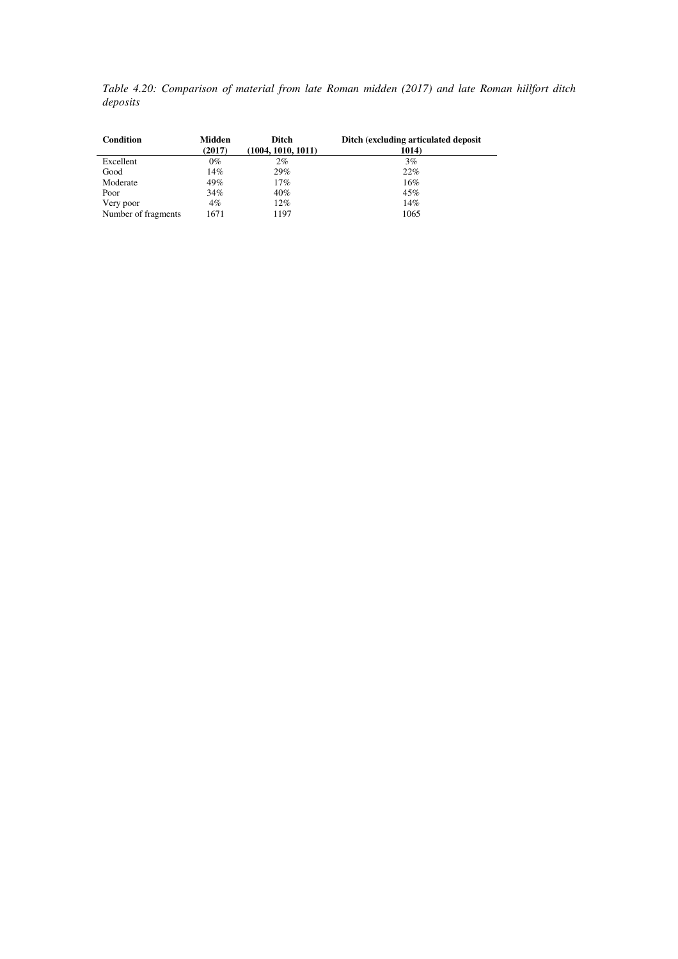*Table 4.20: Comparison of material from late Roman midden (2017) and late Roman hillfort ditch deposits* 

| Condition           | Midden<br>(2017) | Ditch<br>(1004, 1010, 1011) | Ditch (excluding articulated deposit)<br>1014) |
|---------------------|------------------|-----------------------------|------------------------------------------------|
| Excellent           | $0\%$            | 2%                          | 3%                                             |
| Good                | 14%              | 29%                         | 22%                                            |
| Moderate            | 49%              | 17%                         | 16%                                            |
| Poor                | 34%              | 40%                         | 45%                                            |
| Very poor           | $4\%$            | 12%                         | 14%                                            |
| Number of fragments | 1671             | 1197                        | 1065                                           |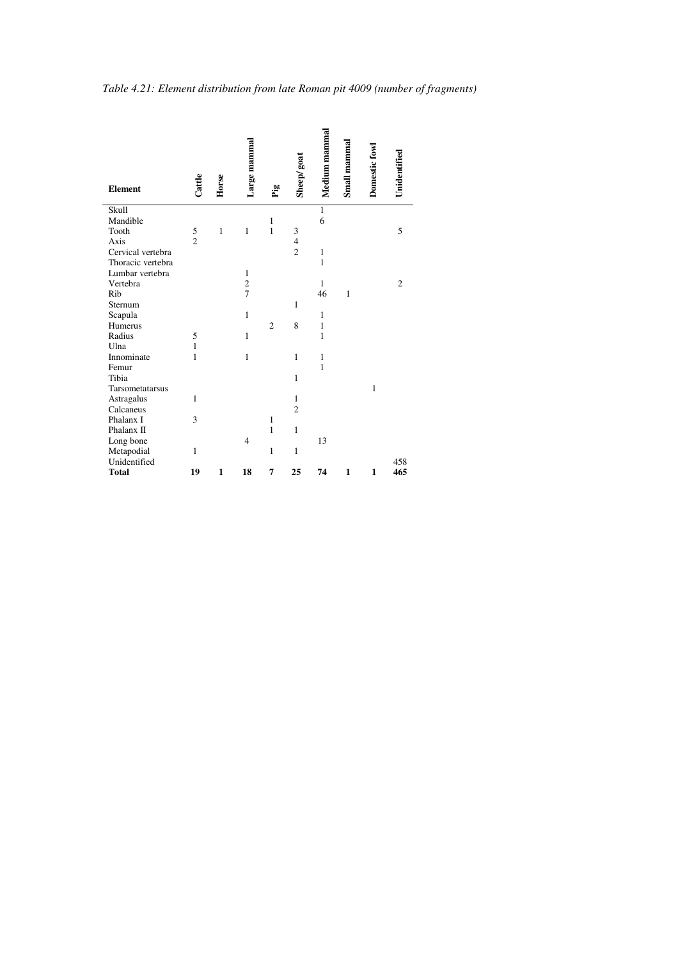|                   |               |              | Large mammal   |                |                | Medium mammal | Small mammal | Domestic fowl |                |
|-------------------|---------------|--------------|----------------|----------------|----------------|---------------|--------------|---------------|----------------|
| <b>Element</b>    | Cattle        | Horse        |                | Pig            | Sheep/goat     |               |              |               | Unidentified   |
| Skull             |               |              |                |                |                | $\mathbf{1}$  |              |               |                |
| Mandible          |               |              |                | 1              |                | 6             |              |               |                |
| Tooth             | $\frac{5}{2}$ | $\mathbf{1}$ | $\mathbf{1}$   | $\mathbf{1}$   | 3              |               |              |               | 5              |
| Axis              |               |              |                |                | $\overline{4}$ |               |              |               |                |
| Cervical vertebra |               |              |                |                | $\overline{2}$ | $\mathbf{1}$  |              |               |                |
| Thoracic vertebra |               |              |                |                |                | $\mathbf{1}$  |              |               |                |
| Lumbar vertebra   |               |              | 1              |                |                |               |              |               |                |
| Vertebra          |               |              | $\frac{2}{7}$  |                |                | $\mathbf{1}$  |              |               | $\overline{2}$ |
| Rib               |               |              |                |                |                | 46            | $\mathbf{1}$ |               |                |
| Sternum           |               |              |                |                | $\mathbf{1}$   |               |              |               |                |
| Scapula           |               |              | $\mathbf{1}$   |                |                | $\mathbf{1}$  |              |               |                |
| Humerus           |               |              |                | $\overline{2}$ | 8              | $\mathbf{1}$  |              |               |                |
| Radius            | 5             |              | $\mathbf{1}$   |                |                | 1             |              |               |                |
| Ulna              | $\mathbf{1}$  |              |                |                |                |               |              |               |                |
| Innominate        | $\mathbf{1}$  |              | $\mathbf{1}$   |                | $\mathbf{1}$   | $\mathbf{1}$  |              |               |                |
| Femur             |               |              |                |                |                | $\mathbf{1}$  |              |               |                |
| Tibia             |               |              |                |                | $\mathbf{1}$   |               |              |               |                |
| Tarsometatarsus   |               |              |                |                |                |               |              | $\mathbf{1}$  |                |
| Astragalus        | $\mathbf{1}$  |              |                |                | $\mathbf{1}$   |               |              |               |                |
| Calcaneus         |               |              |                |                | $\overline{2}$ |               |              |               |                |
| Phalanx I         | 3             |              |                | 1              |                |               |              |               |                |
| Phalanx II        |               |              |                | $\mathbf{1}$   | $\mathbf{1}$   |               |              |               |                |
| Long bone         |               |              | $\overline{4}$ |                |                | 13            |              |               |                |
| Metapodial        | 1             |              |                | 1              | 1              |               |              |               |                |
| Unidentified      |               |              |                |                |                |               |              |               | 458            |
| <b>Total</b>      | 19            | $\mathbf{1}$ | 18             | 7              | 25             | 74            | 1            | $\mathbf{1}$  | 465            |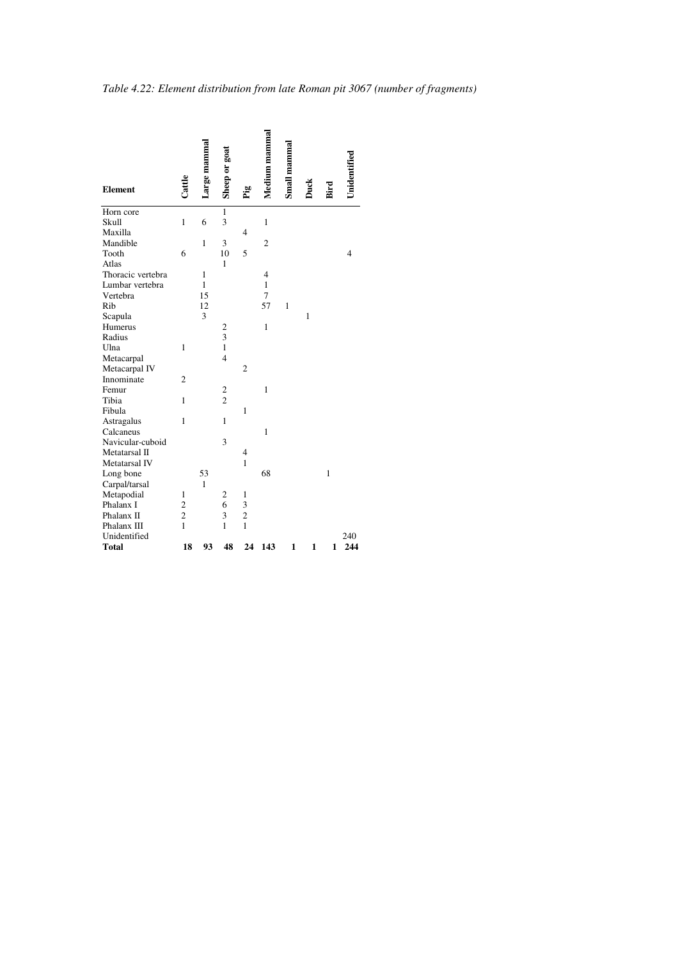| <b>Element</b>    | Cattle         | Large mammal | Sheep or goat           | Pig            | Medium mammal  | Small mammal | Duck | Bird         | Unidentified |
|-------------------|----------------|--------------|-------------------------|----------------|----------------|--------------|------|--------------|--------------|
| Horn core         |                |              | 1                       |                |                |              |      |              |              |
| Skull             | 1              | 6            | 3                       |                | $\mathbf{1}$   |              |      |              |              |
| Maxilla           |                |              |                         | 4              |                |              |      |              |              |
| Mandible          |                | 1            | 3                       |                | $\overline{c}$ |              |      |              |              |
| Tooth             | 6              |              | 10                      | 5              |                |              |      |              | 4            |
| Atlas             |                |              | $\mathbf{1}$            |                |                |              |      |              |              |
| Thoracic vertebra |                | $\mathbf{1}$ |                         |                | $\overline{4}$ |              |      |              |              |
| Lumbar vertebra   |                | $\mathbf{1}$ |                         |                | $\mathbf{1}$   |              |      |              |              |
| Vertebra          |                | 15           |                         |                | 7              |              |      |              |              |
| Rib               |                | 12           |                         |                | 57             | $\mathbf{1}$ |      |              |              |
| Scapula           |                | 3            |                         |                |                |              | 1    |              |              |
| Humerus           |                |              | 2                       |                | $\mathbf{1}$   |              |      |              |              |
| Radius            |                |              | $\overline{\mathbf{3}}$ |                |                |              |      |              |              |
| Ulna              | 1              |              | $\mathbf{1}$            |                |                |              |      |              |              |
| Metacarpal        |                |              | $\overline{4}$          |                |                |              |      |              |              |
| Metacarpal IV     |                |              |                         | $\overline{2}$ |                |              |      |              |              |
| Innominate        | $\overline{2}$ |              |                         |                |                |              |      |              |              |
| Femur             |                |              | 2                       |                | $\mathbf{1}$   |              |      |              |              |
| Tibia             | 1              |              | $\overline{c}$          |                |                |              |      |              |              |
| Fibula            |                |              |                         | $\mathbf{1}$   |                |              |      |              |              |
| Astragalus        | $\mathbf{1}$   |              | $\mathbf{1}$            |                |                |              |      |              |              |
| Calcaneus         |                |              |                         |                | $\mathbf{1}$   |              |      |              |              |
| Navicular-cuboid  |                |              | 3                       |                |                |              |      |              |              |
| Metatarsal II     |                |              |                         | $\overline{4}$ |                |              |      |              |              |
| Metatarsal IV     |                |              |                         | $\mathbf{1}$   |                |              |      |              |              |
| Long bone         |                | 53           |                         |                | 68             |              |      | $\mathbf{1}$ |              |
| Carpal/tarsal     |                | $\mathbf{1}$ |                         |                |                |              |      |              |              |
| Metapodial        | 1              |              | $\mathbf{2}$            | $\mathbf{1}$   |                |              |      |              |              |
| Phalanx I         | $\overline{c}$ |              | 6                       | 3              |                |              |      |              |              |
| Phalanx II        | $\overline{c}$ |              | 3                       | $\overline{c}$ |                |              |      |              |              |
| Phalanx III       | 1              |              | $\mathbf{1}$            | $\mathbf{1}$   |                |              |      |              |              |
| Unidentified      |                |              |                         |                |                |              |      |              | 240          |
| <b>Total</b>      | 18             | 93           | 48                      | 24             | 143            | 1            | 1    | 1            | 244          |

*Table 4.22: Element distribution from late Roman pit 3067 (number of fragments)*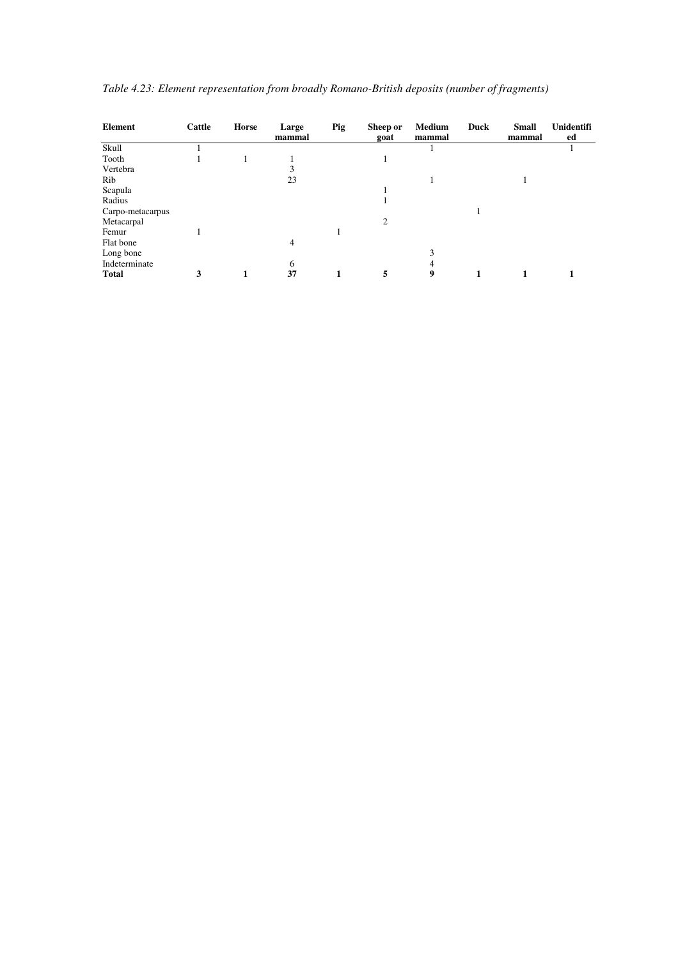| Element          | Cattle | Horse | Large<br>mammal | <b>Pig</b> | Sheep or<br>goat | Medium<br>mammal | Duck | <b>Small</b><br>mammal | <b>Unidentifi</b><br>ed |
|------------------|--------|-------|-----------------|------------|------------------|------------------|------|------------------------|-------------------------|
| Skull            |        |       |                 |            |                  |                  |      |                        |                         |
| Tooth            |        |       |                 |            |                  |                  |      |                        |                         |
| Vertebra         |        |       | 3               |            |                  |                  |      |                        |                         |
| Rib              |        |       | 23              |            |                  |                  |      |                        |                         |
| Scapula          |        |       |                 |            |                  |                  |      |                        |                         |
| Radius           |        |       |                 |            |                  |                  |      |                        |                         |
| Carpo-metacarpus |        |       |                 |            |                  |                  |      |                        |                         |
| Metacarpal       |        |       |                 |            | $\overline{c}$   |                  |      |                        |                         |
| Femur            |        |       |                 |            |                  |                  |      |                        |                         |
| Flat bone        |        |       | 4               |            |                  |                  |      |                        |                         |
| Long bone        |        |       |                 |            |                  |                  |      |                        |                         |
| Indeterminate    |        |       | 6               |            |                  | 4                |      |                        |                         |
| <b>Total</b>     | 3      | 1     | 37              | 1          | 5                | 9                |      | 1                      |                         |

| Table 4.23: Element representation from broadly Romano-British deposits (number of fragments) |  |  |  |
|-----------------------------------------------------------------------------------------------|--|--|--|
|                                                                                               |  |  |  |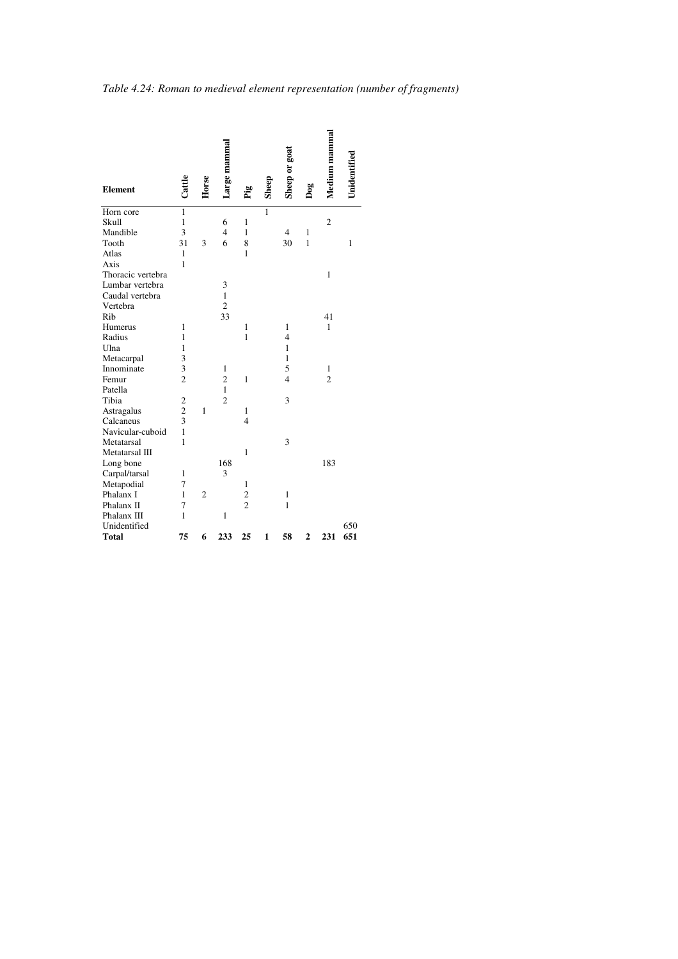| <b>Element</b>    | Cattle                  | Horse          | Large mamma    | Pig            | Sheep        | Sheep or goat  | $\log$         | Medium mammal  | Unidentified |
|-------------------|-------------------------|----------------|----------------|----------------|--------------|----------------|----------------|----------------|--------------|
| Horn core         | $\mathbf{1}$            |                |                |                | 1            |                |                |                |              |
| Skull             | $\mathbf{1}$            |                | 6              | 1              |              |                |                | $\overline{c}$ |              |
| Mandible          | 3                       |                | $\overline{4}$ | $\mathbf{1}$   |              | $\overline{4}$ | $\mathbf{1}$   |                |              |
| Tooth             | 31                      | 3              | 6              | 8              |              | 30             | $\mathbf{1}$   |                | $\mathbf{1}$ |
| Atlas             | $\mathbf{1}$            |                |                | 1              |              |                |                |                |              |
| Axis              | 1                       |                |                |                |              |                |                |                |              |
| Thoracic vertebra |                         |                |                |                |              |                |                | $\mathbf{1}$   |              |
| Lumbar vertebra   |                         |                | 3              |                |              |                |                |                |              |
| Caudal vertebra   |                         |                | 1              |                |              |                |                |                |              |
| Vertebra          |                         |                | $\overline{c}$ |                |              |                |                |                |              |
| Rib               |                         |                | 33             |                |              |                |                | 41             |              |
| Humerus           | $\mathbf{1}$            |                |                | 1              |              | $\mathbf{1}$   |                | $\mathbf{1}$   |              |
| Radius            | $\mathbf{1}$            |                |                | $\mathbf{1}$   |              | 4              |                |                |              |
| Ulna              | $\mathbf{1}$            |                |                |                |              | $\mathbf{1}$   |                |                |              |
| Metacarpal        | 3                       |                |                |                |              | $\mathbf{1}$   |                |                |              |
| Innominate        | 3                       |                | $\mathbf{1}$   |                |              | 5              |                | $\mathbf{1}$   |              |
| Femur             | $\overline{c}$          |                | $\overline{c}$ | $\mathbf{1}$   |              | $\overline{4}$ |                | $\overline{c}$ |              |
| Patella           |                         |                | $\mathbf{1}$   |                |              |                |                |                |              |
| Tibia             | $\overline{\mathbf{c}}$ |                | $\overline{2}$ |                |              | 3              |                |                |              |
| Astragalus        |                         | 1              |                | 1              |              |                |                |                |              |
| Calcaneus         | $\frac{2}{3}$           |                |                | $\overline{4}$ |              |                |                |                |              |
| Navicular-cuboid  | $\mathbf{1}$            |                |                |                |              |                |                |                |              |
| Metatarsal        | $\mathbf{1}$            |                |                |                |              | 3              |                |                |              |
| Metatarsal III    |                         |                |                | $\mathbf{1}$   |              |                |                |                |              |
| Long bone         |                         |                | 168            |                |              |                |                | 183            |              |
| Carpal/tarsal     | $\mathbf{1}$            |                | 3              |                |              |                |                |                |              |
| Metapodial        | 7                       |                |                | $\mathbf{1}$   |              |                |                |                |              |
| Phalanx I         | 1                       | $\overline{c}$ |                | $\overline{c}$ |              | 1              |                |                |              |
| Phalanx II        | 7                       |                |                | $\overline{c}$ |              | 1              |                |                |              |
| Phalanx III       | 1                       |                | $\mathbf{1}$   |                |              |                |                |                |              |
| Unidentified      |                         |                |                |                |              |                |                |                | 650          |
| <b>Total</b>      | 75                      | 6              | 233            | 25             | $\mathbf{1}$ | 58             | $\overline{2}$ | 231            | 651          |

*Table 4.24: Roman to medieval element representation (number of fragments)*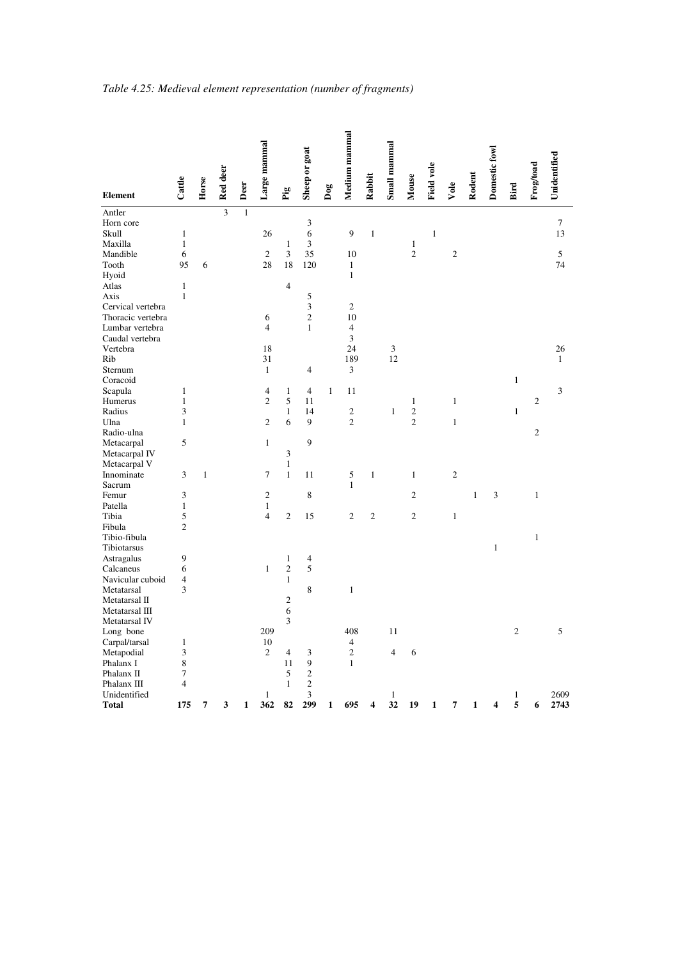|                   |                |              |                |              | Large mammal   |                | Sheep or goat            |     | Medium mammal            |                | Small mammal   |                |                   |                |              | Domestic fowl |                |                |              |
|-------------------|----------------|--------------|----------------|--------------|----------------|----------------|--------------------------|-----|--------------------------|----------------|----------------|----------------|-------------------|----------------|--------------|---------------|----------------|----------------|--------------|
|                   |                |              | Red deer       |              |                |                |                          |     |                          | Rabbit         |                |                | <b>Field vole</b> |                | Rodent       |               |                | Frog/toad      | Unidentified |
| <b>Element</b>    | Cattle         | Horse        |                | Deer         |                | Pig            |                          | Dog |                          |                |                | Mouse          |                   | Vole           |              |               | Bird           |                |              |
| Antler            |                |              | $\overline{3}$ | $\mathbf{1}$ |                |                |                          |     |                          |                |                |                |                   |                |              |               |                |                |              |
| Horn core         |                |              |                |              |                |                | 3                        |     |                          |                |                |                |                   |                |              |               |                |                | $\tau$       |
| Skull             | $\mathbf{1}$   |              |                |              | 26             |                | 6                        |     | 9                        | $\,1$          |                |                | $\mathbf{1}$      |                |              |               |                |                | 13           |
| Maxilla           | $\mathbf{1}$   |              |                |              |                | $\mathbf{1}$   | 3                        |     |                          |                |                | $\mathbf{1}$   |                   |                |              |               |                |                |              |
| Mandible          | 6              |              |                |              | $\mathfrak{2}$ | 3              | 35                       |     | 10                       |                |                | $\overline{c}$ |                   | $\sqrt{2}$     |              |               |                |                | 5            |
| Tooth             | 95             | 6            |                |              | 28             | 18             | 120                      |     | $\mathbf{1}$             |                |                |                |                   |                |              |               |                |                | 74           |
| Hyoid             |                |              |                |              |                |                |                          |     | $\mathbf{1}$             |                |                |                |                   |                |              |               |                |                |              |
| Atlas             | $\,1\,$        |              |                |              |                | $\overline{4}$ |                          |     |                          |                |                |                |                   |                |              |               |                |                |              |
| Axis              | $\mathbf{1}$   |              |                |              |                |                | 5                        |     |                          |                |                |                |                   |                |              |               |                |                |              |
| Cervical vertebra |                |              |                |              |                |                | 3                        |     | $\mathfrak{2}$           |                |                |                |                   |                |              |               |                |                |              |
| Thoracic vertebra |                |              |                |              | 6              |                | $\overline{c}$           |     | 10                       |                |                |                |                   |                |              |               |                |                |              |
| Lumbar vertebra   |                |              |                |              | $\overline{4}$ |                | $\mathbf{1}$             |     | $\overline{4}$           |                |                |                |                   |                |              |               |                |                |              |
| Caudal vertebra   |                |              |                |              |                |                |                          |     | 3                        |                |                |                |                   |                |              |               |                |                |              |
| Vertebra          |                |              |                |              | 18             |                |                          |     | 24                       |                | 3              |                |                   |                |              |               |                |                | 26           |
| Rib               |                |              |                |              | 31             |                |                          |     | 189                      |                | 12             |                |                   |                |              |               |                |                | $\mathbf{1}$ |
| Sternum           |                |              |                |              | $\mathbf{1}$   |                | 4                        |     | $\mathfrak{Z}$           |                |                |                |                   |                |              |               |                |                |              |
| Coracoid          |                |              |                |              |                |                |                          |     |                          |                |                |                |                   |                |              |               | $\mathbf{1}$   |                |              |
| Scapula           | $\mathbf{1}$   |              |                |              | 4              | $\mathbf{1}$   | $\overline{4}$           | 1   | 11                       |                |                |                |                   |                |              |               |                |                | 3            |
| Humerus           | $\mathbf{1}$   |              |                |              | $\overline{c}$ | 5              | 11                       |     |                          |                |                | $\mathbf{1}$   |                   | $\mathbf{1}$   |              |               |                | $\mathfrak{2}$ |              |
| Radius            | 3              |              |                |              |                | $\mathbf{1}$   | 14                       |     | $\mathfrak{2}$           |                | $\mathbf{1}$   | $\overline{c}$ |                   |                |              |               | $\mathbf{1}$   |                |              |
| Ulna              | $\mathbf{1}$   |              |                |              | $\overline{c}$ | 6              | 9                        |     | $\overline{2}$           |                |                | $\overline{c}$ |                   | $\mathbf{1}$   |              |               |                |                |              |
| Radio-ulna        |                |              |                |              |                |                |                          |     |                          |                |                |                |                   |                |              |               |                | $\sqrt{2}$     |              |
| Metacarpal        | 5              |              |                |              | $\mathbf{1}$   |                | 9                        |     |                          |                |                |                |                   |                |              |               |                |                |              |
| Metacarpal IV     |                |              |                |              |                | 3              |                          |     |                          |                |                |                |                   |                |              |               |                |                |              |
| Metacarpal V      |                |              |                |              |                | $\mathbf{1}$   |                          |     |                          |                |                |                |                   |                |              |               |                |                |              |
| Innominate        | 3              | $\mathbf{1}$ |                |              | 7              | $\mathbf{1}$   | 11                       |     | 5                        | $\mathbf{1}$   |                | $\mathbf{1}$   |                   | $\overline{2}$ |              |               |                |                |              |
| Sacrum            |                |              |                |              |                |                |                          |     | $\mathbf{1}$             |                |                |                |                   |                |              |               |                |                |              |
| Femur             | 3              |              |                |              | $\mathfrak{2}$ |                | 8                        |     |                          |                |                | $\mathfrak{2}$ |                   |                | $\mathbf{1}$ | 3             |                | $\mathbf{1}$   |              |
| Patella           | $\mathbf{1}$   |              |                |              | $\mathbf{1}$   |                |                          |     |                          |                |                |                |                   |                |              |               |                |                |              |
| Tibia             | 5              |              |                |              | $\overline{4}$ | $\overline{c}$ | 15                       |     | $\mathfrak{2}$           | $\overline{c}$ |                | $\mathfrak{2}$ |                   | $\,1\,$        |              |               |                |                |              |
| Fibula            | $\mathfrak{2}$ |              |                |              |                |                |                          |     |                          |                |                |                |                   |                |              |               |                |                |              |
| Tibio-fibula      |                |              |                |              |                |                |                          |     |                          |                |                |                |                   |                |              |               |                | $\mathbf{1}$   |              |
| Tibiotarsus       |                |              |                |              |                |                |                          |     |                          |                |                |                |                   |                |              | $\,1$         |                |                |              |
| Astragalus        | 9              |              |                |              |                | $\mathbf{1}$   | $\overline{\mathcal{A}}$ |     |                          |                |                |                |                   |                |              |               |                |                |              |
| Calcaneus         | 6              |              |                |              | $\mathbf{1}$   | $\overline{c}$ | 5                        |     |                          |                |                |                |                   |                |              |               |                |                |              |
| Navicular cuboid  | $\overline{4}$ |              |                |              |                | $\mathbf{1}$   |                          |     |                          |                |                |                |                   |                |              |               |                |                |              |
| Metatarsal        | 3              |              |                |              |                |                | 8                        |     | $\mathbf{1}$             |                |                |                |                   |                |              |               |                |                |              |
| Metatarsal II     |                |              |                |              |                | $\mathbf{2}$   |                          |     |                          |                |                |                |                   |                |              |               |                |                |              |
| Metatarsal III    |                |              |                |              |                | 6              |                          |     |                          |                |                |                |                   |                |              |               |                |                |              |
| Metatarsal IV     |                |              |                |              |                | 3              |                          |     |                          |                |                |                |                   |                |              |               |                |                |              |
| Long bone         |                |              |                |              | 209            |                |                          |     | 408                      |                | 11             |                |                   |                |              |               | $\overline{c}$ |                | 5            |
| Carpal/tarsal     | 1              |              |                |              | 10             |                |                          |     | $\overline{\mathcal{A}}$ |                |                |                |                   |                |              |               |                |                |              |
| Metapodial        | 3              |              |                |              | $\mathfrak{2}$ | $\overline{4}$ | 3                        |     | $\mathfrak{2}$           |                | $\overline{4}$ | 6              |                   |                |              |               |                |                |              |
| Phalanx I         | $\,$ 8 $\,$    |              |                |              |                | 11             | 9                        |     | $\mathbf{1}$             |                |                |                |                   |                |              |               |                |                |              |
| Phalanx II        | $\tau$         |              |                |              |                | 5              | $\overline{c}$           |     |                          |                |                |                |                   |                |              |               |                |                |              |
| Phalanx III       | $\overline{4}$ |              |                |              |                | $\mathbf{1}$   | $\overline{\mathbf{c}}$  |     |                          |                |                |                |                   |                |              |               |                |                |              |
| Unidentified      |                |              |                |              | $\mathbf{1}$   |                | 3                        |     |                          |                | $\mathbf{1}$   |                |                   |                |              |               | $\mathbf{1}$   |                | 2609         |
| <b>Total</b>      | 175            | 7            | 3              | 1            | 362            | 82             | 299                      | 1   | 695                      |                | 32             | 19             | 1                 | 7              | $\mathbf{1}$ | 4             | 5              | 6              | 2743         |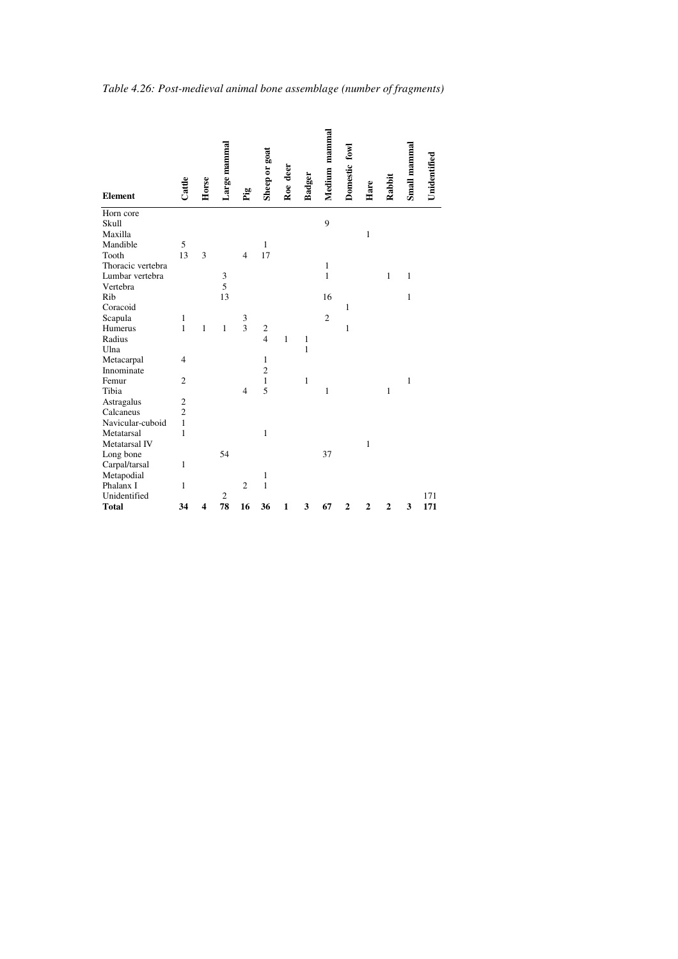|                   |                |              | Large mammal   |                |                |              |              | Medium mammal  | Domestic fowl  |                |                | Small mammal |              |
|-------------------|----------------|--------------|----------------|----------------|----------------|--------------|--------------|----------------|----------------|----------------|----------------|--------------|--------------|
|                   |                |              |                |                |                |              |              |                |                |                |                |              |              |
|                   | Cattle         | Horse        |                |                | Sheep or goat  | Roe deer     | Badger       |                |                | Hare           | Rabbit         |              | Unidentified |
| <b>Element</b>    |                |              |                | Èg             |                |              |              |                |                |                |                |              |              |
| Horn core         |                |              |                |                |                |              |              |                |                |                |                |              |              |
| Skull             |                |              |                |                |                |              |              | 9              |                |                |                |              |              |
| Maxilla           |                |              |                |                |                |              |              |                |                | $\mathbf{1}$   |                |              |              |
| Mandible          | 5              |              |                |                | $\mathbf{1}$   |              |              |                |                |                |                |              |              |
| Tooth             | 13             | 3            |                | $\overline{4}$ | 17             |              |              |                |                |                |                |              |              |
| Thoracic vertebra |                |              |                |                |                |              |              | 1              |                |                |                |              |              |
| Lumbar vertebra   |                |              | 3              |                |                |              |              | $\mathbf{1}$   |                |                | $\mathbf{1}$   | $\mathbf{1}$ |              |
| Vertebra          |                |              | 5              |                |                |              |              |                |                |                |                |              |              |
| Rib               |                |              | 13             |                |                |              |              | 16             |                |                |                | $\mathbf{1}$ |              |
| Coracoid          |                |              |                |                |                |              |              |                | 1              |                |                |              |              |
| Scapula           | 1              |              |                | 3              |                |              |              | $\overline{2}$ |                |                |                |              |              |
| Humerus           | $\mathbf{1}$   | $\mathbf{1}$ | $\mathbf{1}$   | 3              | $\frac{2}{4}$  |              |              |                | $\mathbf{1}$   |                |                |              |              |
| Radius            |                |              |                |                |                | $\mathbf{1}$ | 1            |                |                |                |                |              |              |
| Ulna              |                |              |                |                |                |              | $\mathbf{1}$ |                |                |                |                |              |              |
| Metacarpal        | $\overline{4}$ |              |                |                | $\mathbf{1}$   |              |              |                |                |                |                |              |              |
| Innominate        |                |              |                |                | $\overline{2}$ |              |              |                |                |                |                |              |              |
| Femur             | $\overline{c}$ |              |                |                | $\mathbf{1}$   |              | 1            |                |                |                |                | $\mathbf{1}$ |              |
| Tibia             |                |              |                | $\overline{4}$ | 5              |              |              | 1              |                |                | 1              |              |              |
| Astragalus        | $\overline{c}$ |              |                |                |                |              |              |                |                |                |                |              |              |
| Calcaneus         | $\overline{2}$ |              |                |                |                |              |              |                |                |                |                |              |              |
| Navicular-cuboid  | $\mathbf{1}$   |              |                |                |                |              |              |                |                |                |                |              |              |
| Metatarsal        | $\mathbf{1}$   |              |                |                | $\mathbf{1}$   |              |              |                |                |                |                |              |              |
| Metatarsal IV     |                |              |                |                |                |              |              |                |                | $\mathbf{1}$   |                |              |              |
| Long bone         |                |              | 54             |                |                |              |              | 37             |                |                |                |              |              |
| Carpal/tarsal     | $\mathbf{1}$   |              |                |                |                |              |              |                |                |                |                |              |              |
| Metapodial        |                |              |                |                | 1              |              |              |                |                |                |                |              |              |
| Phalanx I         | $\mathbf{1}$   |              |                | $\overline{c}$ | $\mathbf{1}$   |              |              |                |                |                |                |              |              |
| Unidentified      |                |              | $\overline{c}$ |                |                |              |              |                |                |                |                |              | 171          |
| <b>Total</b>      | 34             | 4            | 78             | 16             | 36             | $\mathbf{1}$ | 3            | 67             | $\overline{2}$ | $\overline{2}$ | $\overline{2}$ | 3            | 171          |

*Table 4.26: Post-medieval animal bone assemblage (number of fragments)*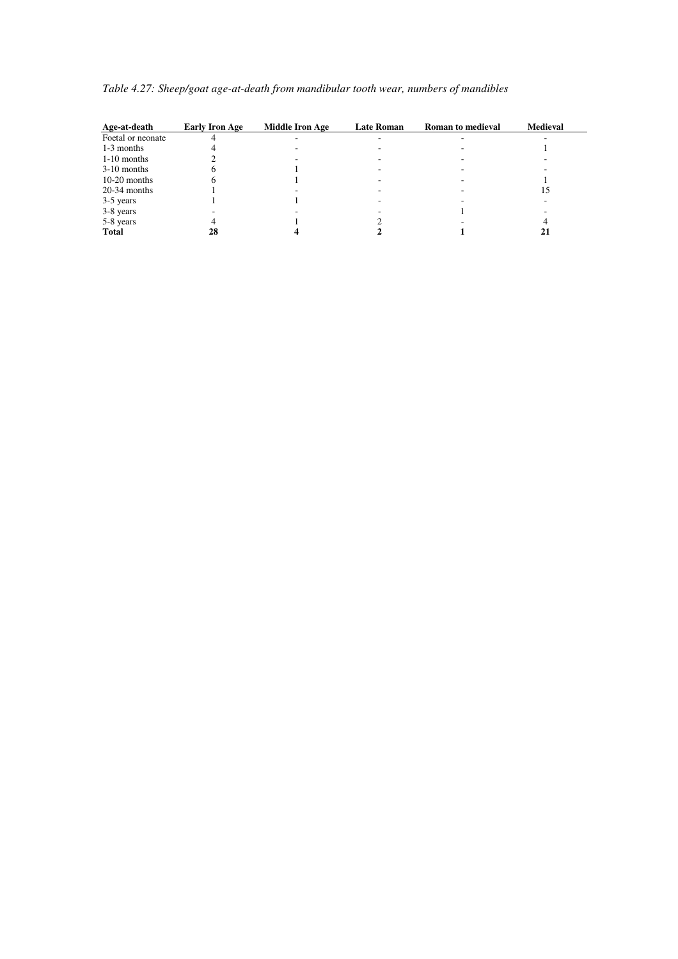| Age-at-death      | <b>Early Iron Age</b> | <b>Middle Iron Age</b> | <b>Late Roman</b> | <b>Roman to medieval</b> | <b>Medieval</b> |  |
|-------------------|-----------------------|------------------------|-------------------|--------------------------|-----------------|--|
| Foetal or neonate |                       |                        |                   |                          |                 |  |
| 1-3 months        |                       |                        |                   |                          |                 |  |
| $1-10$ months     |                       |                        |                   |                          |                 |  |
| $3-10$ months     |                       |                        |                   |                          |                 |  |
| $10-20$ months    |                       |                        |                   |                          |                 |  |
| $20-34$ months    |                       |                        |                   |                          | 15              |  |
| 3-5 years         |                       |                        |                   |                          |                 |  |
| 3-8 years         |                       |                        |                   |                          |                 |  |
| 5-8 years         |                       |                        |                   |                          |                 |  |
| <b>Total</b>      | 28                    |                        |                   |                          |                 |  |

|  | Table 4.27: Sheep/goat age-at-death from mandibular tooth wear, numbers of mandibles |  |
|--|--------------------------------------------------------------------------------------|--|
|  |                                                                                      |  |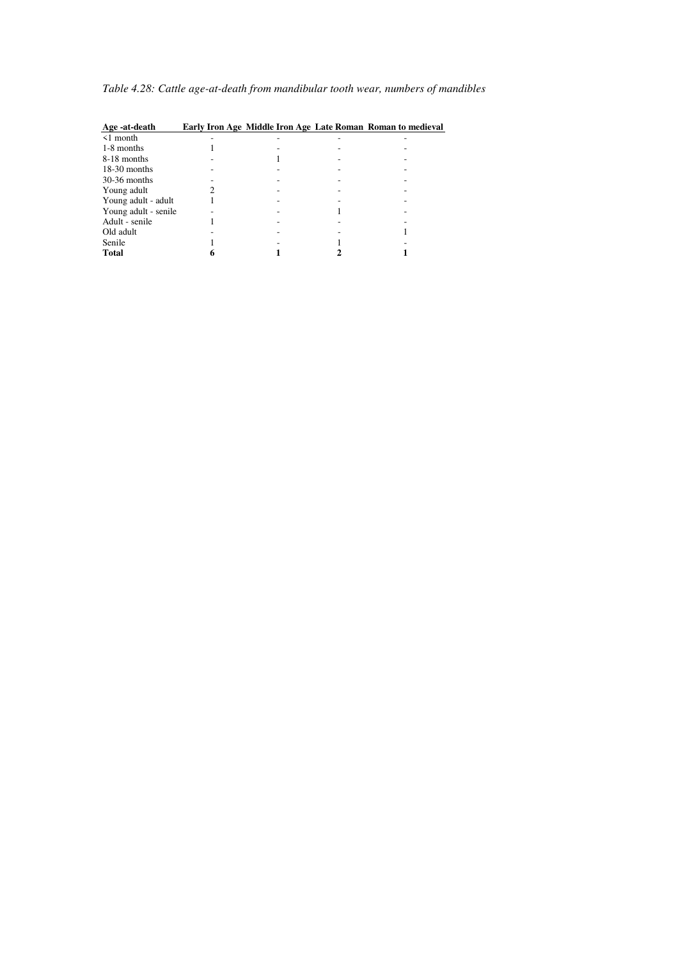| Age -at-death        |  | Early Iron Age Middle Iron Age Late Roman Roman to medieval |
|----------------------|--|-------------------------------------------------------------|
| $\leq 1$ month       |  |                                                             |
| 1-8 months           |  |                                                             |
| 8-18 months          |  |                                                             |
| $18-30$ months       |  |                                                             |
| $30-36$ months       |  |                                                             |
| Young adult          |  |                                                             |
| Young adult - adult  |  |                                                             |
| Young adult - senile |  |                                                             |
| Adult - senile       |  |                                                             |
| Old adult            |  |                                                             |
| Senile               |  |                                                             |
| <b>Total</b>         |  |                                                             |

*Table 4.28: Cattle age-at-death from mandibular tooth wear, numbers of mandibles*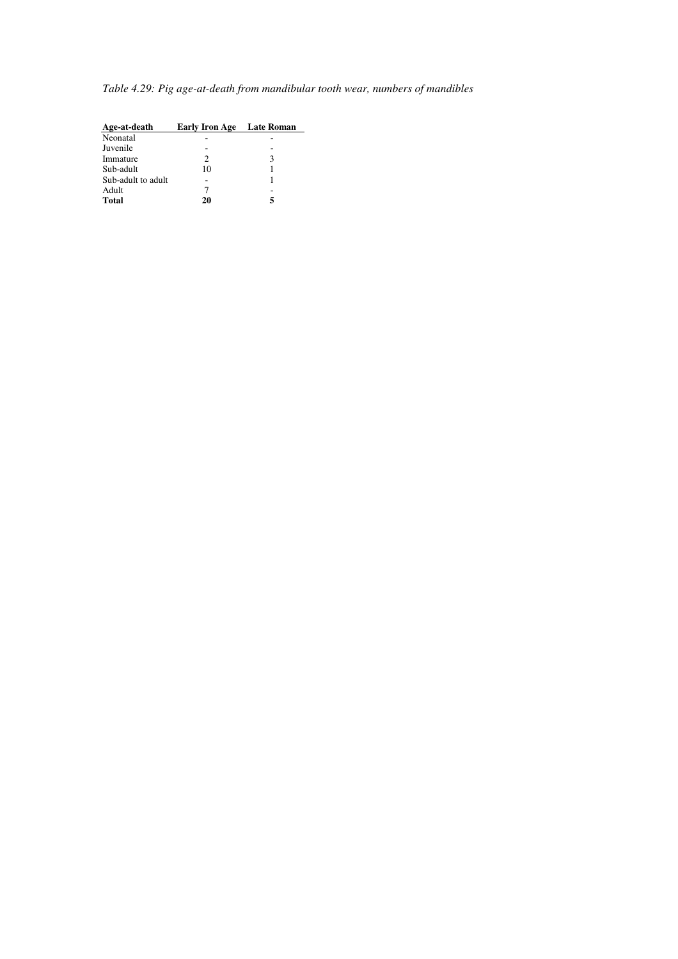*Table 4.29: Pig age-at-death from mandibular tooth wear, numbers of mandibles* 

| Age-at-death       | <b>Early Iron Age</b> | <b>Late Roman</b> |
|--------------------|-----------------------|-------------------|
| Neonatal           |                       |                   |
| Juvenile           |                       |                   |
| Immature           | 2                     | 3                 |
| Sub-adult          | 10                    |                   |
| Sub-adult to adult |                       |                   |
| Adult              |                       |                   |
| <b>Total</b>       | 20                    |                   |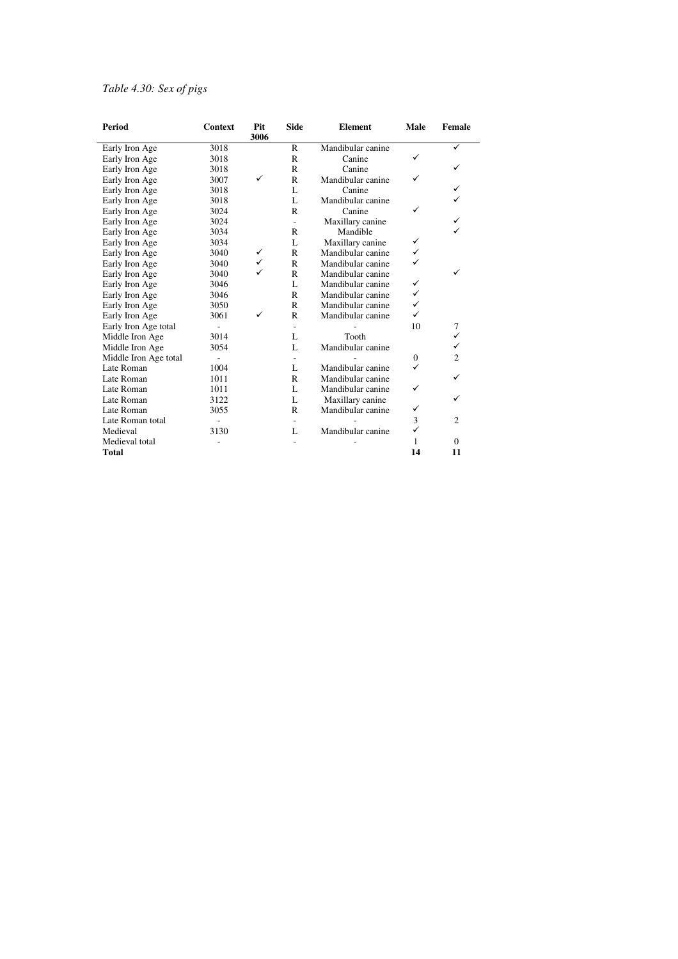## *Table 4.30: Sex of pigs*

| <b>Period</b>         | Context | Pit<br>3006 | <b>Side</b>  | <b>Element</b>    | Male         | <b>Female</b>  |
|-----------------------|---------|-------------|--------------|-------------------|--------------|----------------|
| Early Iron Age        | 3018    |             | $\mathbb{R}$ | Mandibular canine |              |                |
| Early Iron Age        | 3018    |             | $\mathbb{R}$ | Canine            |              |                |
| Early Iron Age        | 3018    |             | R            | Canine            |              |                |
| Early Iron Age        | 3007    | ✓           | $\mathbb{R}$ | Mandibular canine |              |                |
| Early Iron Age        | 3018    |             | L            | Canine            |              |                |
| Early Iron Age        | 3018    |             | L            | Mandibular canine |              |                |
| Early Iron Age        | 3024    |             | $\mathsf{R}$ | Canine            |              |                |
| Early Iron Age        | 3024    |             | ÷.           | Maxillary canine  |              |                |
| Early Iron Age        | 3034    |             | $\mathbb{R}$ | Mandible          |              |                |
| Early Iron Age        | 3034    |             | L            | Maxillary canine  | ✓            |                |
| Early Iron Age        | 3040    | ✓           | $\mathbb{R}$ | Mandibular canine | ✓            |                |
| Early Iron Age        | 3040    | ✓           | $\mathbb{R}$ | Mandibular canine |              |                |
| Early Iron Age        | 3040    | ✓           | $\mathbb{R}$ | Mandibular canine |              | ✓              |
| Early Iron Age        | 3046    |             | L            | Mandibular canine | ✓            |                |
| Early Iron Age        | 3046    |             | $\mathbb{R}$ | Mandibular canine | ✓            |                |
| Early Iron Age        | 3050    |             | $\mathbb{R}$ | Mandibular canine | ✓            |                |
| Early Iron Age        | 3061    | ✓           | $\mathbb{R}$ | Mandibular canine | ✓            |                |
| Early Iron Age total  | ä,      |             |              |                   | 10           | 7              |
| Middle Iron Age       | 3014    |             | L            | Tooth             |              | ✓              |
| Middle Iron Age       | 3054    |             | L            | Mandibular canine |              | ✓              |
| Middle Iron Age total |         |             |              |                   | $\mathbf{0}$ | $\overline{2}$ |
| Late Roman            | 1004    |             | L            | Mandibular canine |              |                |
| Late Roman            | 1011    |             | $\mathbb{R}$ | Mandibular canine |              | ✓              |
| Late Roman            | 1011    |             | L            | Mandibular canine | ✓            |                |
| Late Roman            | 3122    |             | L            | Maxillary canine  |              |                |
| Late Roman            | 3055    |             | $\mathbb{R}$ | Mandibular canine | ✓            |                |
| Late Roman total      |         |             |              |                   | 3            | $\overline{2}$ |
| Medieval              | 3130    |             | L            | Mandibular canine | ✓            |                |
| Medieval total        |         |             |              |                   | 1            | $\Omega$       |
| Total                 |         |             |              |                   | 14           | 11             |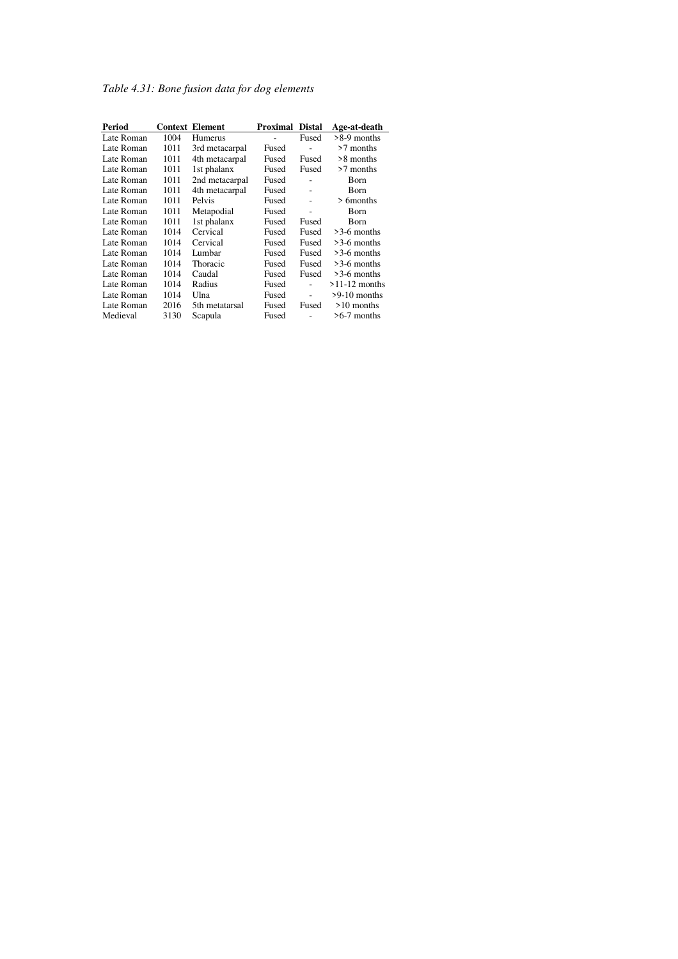*Table 4.31: Bone fusion data for dog elements* 

| Period     |      | <b>Context Element</b> | Proximal | <b>Distal</b> | Age-at-death    |
|------------|------|------------------------|----------|---------------|-----------------|
| Late Roman | 1004 | Humerus                |          | Fused         | $>8-9$ months   |
| Late Roman | 1011 | 3rd metacarpal         | Fused    | L             | >7 months       |
| Late Roman | 1011 | 4th metacarpal         | Fused    | Fused         | >8 months       |
| Late Roman | 1011 | 1st phalanx            | Fused    | Fused         | $>7$ months     |
| Late Roman | 1011 | 2nd metacarpal         | Fused    |               | Born            |
| Late Roman | 1011 | 4th metacarpal         | Fused    | ٠             | <b>Born</b>     |
| Late Roman | 1011 | Pelvis                 | Fused    |               | $> 6$ months    |
| Late Roman | 1011 | Metapodial             | Fused    |               | Born            |
| Late Roman | 1011 | 1st phalanx            | Fused    | Fused         | Born            |
| Late Roman | 1014 | Cervical               | Fused    | Fused         | $>3-6$ months   |
| Late Roman | 1014 | Cervical               | Fused    | Fused         | $>3-6$ months   |
| Late Roman | 1014 | Lumbar                 | Fused    | Fused         | $>3-6$ months   |
| Late Roman | 1014 | Thoracic               | Fused    | Fused         | $>3-6$ months   |
| Late Roman | 1014 | Caudal                 | Fused    | Fused         | $>3-6$ months   |
| Late Roman | 1014 | Radius                 | Fused    |               | $>11-12$ months |
| Late Roman | 1014 | Ulna                   | Fused    | ä,            | $>9-10$ months  |
| Late Roman | 2016 | 5th metatarsal         | Fused    | Fused         | $>10$ months    |
| Medieval   | 3130 | Scapula                | Fused    |               | $>6-7$ months   |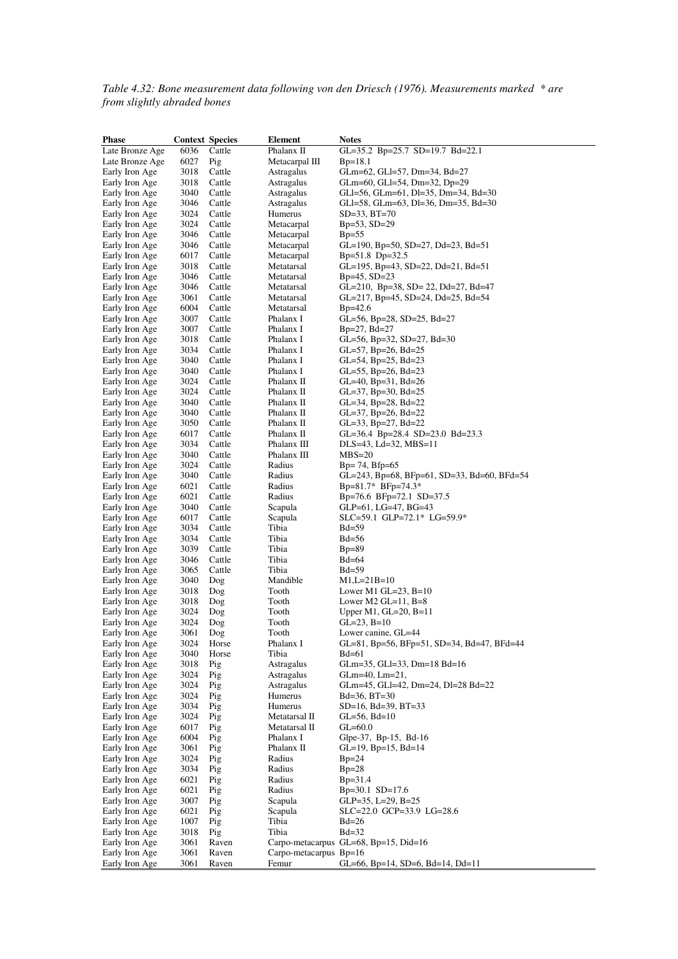*Table 4.32: Bone measurement data following von den Driesch (1976). Measurements marked \* are from slightly abraded bones* 

| <b>Phase</b>                     | <b>Context Species</b> |                  | <b>Element</b>           | <b>Notes</b>                                          |
|----------------------------------|------------------------|------------------|--------------------------|-------------------------------------------------------|
| Late Bronze Age                  | 6036                   | Cattle           | Phalanx II               | GL=35.2 Bp=25.7 SD=19.7 Bd=22.1                       |
| Late Bronze Age                  | 6027                   | Pig              | Metacarpal III           | $Bp=18.1$                                             |
| Early Iron Age                   | 3018                   | Cattle           | Astragalus               | GLm=62, GLl=57, Dm=34, Bd=27                          |
| Early Iron Age                   | 3018                   | Cattle           | Astragalus               | GLm=60, GLI=54, Dm=32, Dp=29                          |
| Early Iron Age                   | 3040                   | Cattle           | Astragalus               | GLI=56, GLm=61, DI=35, Dm=34, Bd=30                   |
| Early Iron Age                   | 3046                   | Cattle           | Astragalus               | GLI=58, GLm=63, DI=36, Dm=35, Bd=30                   |
| Early Iron Age                   | 3024                   | Cattle           | Humerus                  | $SD=33$ , $BT=70$                                     |
| Early Iron Age                   | 3024<br>3046           | Cattle           | Metacarpal               | $Bp=53, SD=29$<br>$Bp=55$                             |
| Early Iron Age<br>Early Iron Age | 3046                   | Cattle<br>Cattle | Metacarpal<br>Metacarpal | GL=190, Bp=50, SD=27, Dd=23, Bd=51                    |
| Early Iron Age                   | 6017                   | Cattle           | Metacarpal               | $Bp=51.8 \text{ D}p=32.5$                             |
| Early Iron Age                   | 3018                   | Cattle           | Metatarsal               | GL=195, Bp=43, SD=22, Dd=21, Bd=51                    |
| Early Iron Age                   | 3046                   | Cattle           | Metatarsal               | $Bp=45$ , $SD=23$                                     |
| Early Iron Age                   | 3046                   | Cattle           | Metatarsal               | GL=210, Bp=38, SD= 22, Dd=27, Bd=47                   |
| Early Iron Age                   | 3061                   | Cattle           | Metatarsal               | GL=217, Bp=45, SD=24, Dd=25, Bd=54                    |
| Early Iron Age                   | 6004                   | Cattle           | Metatarsal               | $Bp=42.6$                                             |
| Early Iron Age                   | 3007                   | Cattle           | Phalanx I                | GL=56, Bp=28, SD=25, Bd=27                            |
| Early Iron Age                   | 3007                   | Cattle           | Phalanx I                | $Bp=27$ , $Bd=27$                                     |
| Early Iron Age                   | 3018                   | Cattle           | Phalanx I                | GL=56, Bp=32, SD=27, Bd=30                            |
| Early Iron Age                   | 3034                   | Cattle           | Phalanx I                | $GL=57$ , Bp=26, Bd=25                                |
| Early Iron Age                   | 3040                   | Cattle           | Phalanx I                | $GL=54$ , Bp=25, Bd=23                                |
| Early Iron Age                   | 3040                   | Cattle           | Phalanx I                | GL=55, Bp=26, Bd=23                                   |
| Early Iron Age                   | 3024                   | Cattle           | Phalanx II               | $GL=40$ , Bp=31, Bd=26                                |
| Early Iron Age                   | 3024                   | Cattle           | Phalanx II               | $GL=37$ , Bp=30, Bd=25                                |
| Early Iron Age                   | 3040                   | Cattle<br>Cattle | Phalanx II<br>Phalanx II | $GL=34$ , Bp=28, Bd=22                                |
| Early Iron Age<br>Early Iron Age | 3040<br>3050           | Cattle           | Phalanx II               | $GL=37$ , Bp=26, Bd=22<br>$GL=33$ , $Bp=27$ , $Bd=22$ |
| Early Iron Age                   | 6017                   | Cattle           | Phalanx II               | GL=36.4 Bp=28.4 SD=23.0 Bd=23.3                       |
| Early Iron Age                   | 3034                   | Cattle           | Phalanx III              | $DLS=43$ , $Ld=32$ , $MBS=11$                         |
| Early Iron Age                   | 3040                   | Cattle           | Phalanx III              | $MBS=20$                                              |
| Early Iron Age                   | 3024                   | Cattle           | Radius                   | $Bp=74, Bfp=65$                                       |
| Early Iron Age                   | 3040                   | Cattle           | Radius                   | GL=243, Bp=68, BFp=61, SD=33, Bd=60, BFd=54           |
| Early Iron Age                   | 6021                   | Cattle           | Radius                   | $Bp=81.7*$ BFp=74.3*                                  |
| Early Iron Age                   | 6021                   | Cattle           | Radius                   | Bp=76.6 BFp=72.1 SD=37.5                              |
| Early Iron Age                   | 3040                   | Cattle           | Scapula                  | GLP=61, LG=47, BG=43                                  |
| Early Iron Age                   | 6017                   | Cattle           | Scapula                  | $SLC = 59.1$ GLP=72.1* LG=59.9*                       |
| Early Iron Age                   | 3034                   | Cattle           | Tibia                    | $Bd=59$                                               |
| Early Iron Age                   | 3034                   | Cattle           | Tibia                    | $Bd = 56$                                             |
| Early Iron Age                   | 3039                   | Cattle           | Tibia                    | $Bp=89$                                               |
| Early Iron Age                   | 3046                   | Cattle           | Tibia                    | $Bd=64$                                               |
| Early Iron Age                   | 3065                   | Cattle           | Tibia                    | $Bd=59$                                               |
| Early Iron Age<br>Early Iron Age | 3040<br>3018           | Dog<br>Dog       | Mandible<br>Tooth        | $M1, L=21B=10$<br>Lower M1 GL=23, $B=10$              |
| Early Iron Age                   | 3018                   | Dog              | Tooth                    | Lower M2 GL= $11, B=8$                                |
| Early Iron Age                   | 3024                   | Dog              | Tooth                    | Upper M1, $GL=20$ , $B=11$                            |
| Early Iron Age                   | 3024                   | Dog              | Tooth                    | $GL=23, B=10$                                         |
| Early Iron Age                   | 3061                   | Dog              | Tooth                    | Lower canine, GL=44                                   |
| Early Iron Age                   | 3024                   | Horse            | Phalanx I                | GL=81, Bp=56, BFp=51, SD=34, Bd=47, BFd=44            |
| Early Iron Age                   | 3040                   | Horse            | Tibia                    | $Bd=61$                                               |
| Early Iron Age                   | 3018                   | Pig              | Astragalus               | GLm=35, GLI=33, Dm=18 Bd=16                           |
| Early Iron Age                   | 3024                   | Pig              | Astragalus               | $GLm=40$ , $Lm=21$ ,                                  |
| Early Iron Age                   | 3024                   | Pig              | Astragalus               | GLm=45, GLI=42, Dm=24, DI=28 Bd=22                    |
| Early Iron Age                   | 3024                   | Pig              | Humerus                  | $Bd=36$ , $BT=30$                                     |
| Early Iron Age                   | 3034                   | Pig              | Humerus                  | SD=16, Bd=39, BT=33                                   |
| Early Iron Age                   | 3024                   | Pig              | Metatarsal II            | $GL=56$ , $Bd=10$                                     |
| Early Iron Age                   | 6017                   | Pig              | Metatarsal II            | $GL=60.0$                                             |
| Early Iron Age                   | 6004                   | Pig              | Phalanx I<br>Phalanx II  | Glpe-37, Bp-15, Bd-16                                 |
| Early Iron Age<br>Early Iron Age | 3061<br>3024           | Pig<br>Pig       | Radius                   | $GL=19$ , $Bp=15$ , $Bd=14$<br>$Bp=24$                |
| Early Iron Age                   | 3034                   | Pig              | Radius                   | $Bp=28$                                               |
| Early Iron Age                   | 6021                   | Pig              | Radius                   | $Bp=31.4$                                             |
| Early Iron Age                   | 6021                   | Pig              | Radius                   | Bp=30.1 SD=17.6                                       |
| Early Iron Age                   | 3007                   | Pig              | Scapula                  | GLP=35, L=29, B=25                                    |
| Early Iron Age                   | 6021                   | Pig              | Scapula                  | SLC=22.0 GCP=33.9 LG=28.6                             |
| Early Iron Age                   | 1007                   | Pig              | Tibia                    | $Bd=26$                                               |
| Early Iron Age                   | 3018                   | Pig              | Tibia                    | $Bd=32$                                               |
| Early Iron Age                   | 3061                   | Raven            |                          | Carpo-metacarpus GL=68, Bp=15, Did=16                 |
| Early Iron Age                   | 3061                   | Raven            | Carpo-metacarpus Bp=16   |                                                       |
| Early Iron Age                   | 3061                   | Raven            | Femur                    | GL=66, Bp=14, SD=6, Bd=14, Dd=11                      |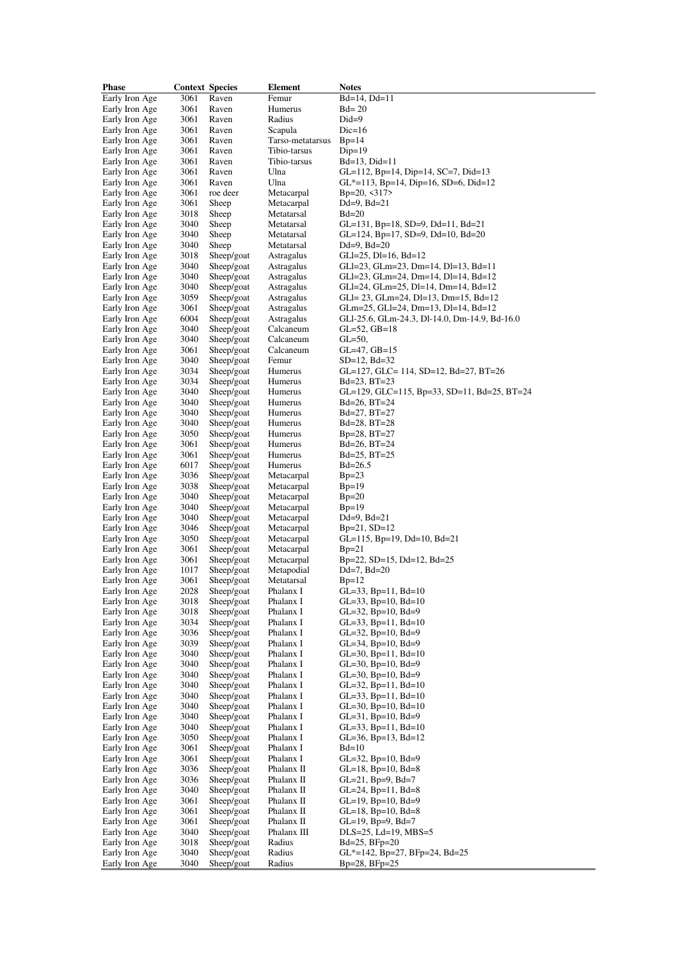| Phase          | <b>Context Species</b> |            | Element          | <b>Notes</b>                                  |
|----------------|------------------------|------------|------------------|-----------------------------------------------|
| Early Iron Age | 3061                   | Raven      | Femur            | $Bd=14$ , $Dd=11$                             |
| Early Iron Age | 3061                   | Raven      | Humerus          | $Bd=20$                                       |
| Early Iron Age | 3061                   | Raven      | Radius           | $Did=9$                                       |
| Early Iron Age | 3061                   | Raven      | Scapula          | $Dic=16$                                      |
| Early Iron Age | 3061                   | Raven      | Tarso-metatarsus | $Bp=14$                                       |
| Early Iron Age | 3061                   | Raven      | Tibio-tarsus     | $Dip=19$                                      |
| Early Iron Age | 3061                   | Raven      | Tibio-tarsus     | $Bd=13$ , $Did=11$                            |
| Early Iron Age | 3061                   | Raven      | Ulna             | GL=112, Bp=14, Dip=14, SC=7, Did=13           |
| Early Iron Age | 3061                   | Raven      | Ulna             | $GL^*=113$ , Bp=14, Dip=16, SD=6, Did=12      |
| Early Iron Age | 3061                   | roe deer   | Metacarpal       | $Bp=20, \leq 317$                             |
| Early Iron Age | 3061                   | Sheep      | Metacarpal       | $Dd=9$ , $Bd=21$                              |
| Early Iron Age | 3018                   | Sheep      | Metatarsal       | $Bd=20$                                       |
| Early Iron Age | 3040                   | Sheep      | Metatarsal       | GL=131, Bp=18, SD=9, Dd=11, Bd=21             |
| Early Iron Age | 3040                   | Sheep      | Metatarsal       | GL=124, Bp=17, SD=9, Dd=10, Bd=20             |
| Early Iron Age | 3040                   | Sheep      | Metatarsal       | $Dd=9$ , $Bd=20$                              |
| Early Iron Age | 3018                   | Sheep/goat | Astragalus       | $GLI=25$ , $DI=16$ , $Bd=12$                  |
| Early Iron Age | 3040                   | Sheep/goat | Astragalus       | GLI=23, GLm=23, Dm=14, DI=13, Bd=11           |
| Early Iron Age | 3040                   | Sheep/goat | Astragalus       | GLI=23, GLm=24, Dm=14, DI=14, Bd=12           |
| Early Iron Age | 3040                   | Sheep/goat | Astragalus       | GLI=24, GLm=25, DI=14, Dm=14, Bd=12           |
| Early Iron Age | 3059                   | Sheep/goat | Astragalus       | GLI= 23, GLm=24, DI=13, Dm=15, Bd=12          |
| Early Iron Age | 3061                   | Sheep/goat | Astragalus       | GLm=25, GLI=24, Dm=13, DI=14, Bd=12           |
| Early Iron Age | 6004                   | Sheep/goat | Astragalus       | GLI-25.6, GLm-24.3, Dl-14.0, Dm-14.9, Bd-16.0 |
| Early Iron Age | 3040                   | Sheep/goat | Calcaneum        | $GL=52$ , $GB=18$                             |
| Early Iron Age | 3040                   | Sheep/goat | Calcaneum        | $GL=50$ ,                                     |
| Early Iron Age | 3061                   | Sheep/goat | Calcaneum        | $GL=47, GB=15$                                |
| Early Iron Age | 3040                   | Sheep/goat | Femur            | $SD=12$ , $Bd=32$                             |
| Early Iron Age | 3034                   | Sheep/goat | Humerus          | GL=127, GLC= 114, SD=12, Bd=27, BT=26         |
| Early Iron Age | 3034                   | Sheep/goat | Humerus          | $Bd=23, BT=23$                                |
| Early Iron Age | 3040                   | Sheep/goat | Humerus          | GL=129, GLC=115, Bp=33, SD=11, Bd=25, BT=24   |
| Early Iron Age | 3040                   | Sheep/goat | Humerus          | $Bd=26$ , $BT=24$                             |
| Early Iron Age | 3040                   | Sheep/goat | Humerus          | $Bd=27, BT=27$                                |
| Early Iron Age | 3040                   | Sheep/goat | Humerus          | Bd=28, BT=28                                  |
| Early Iron Age | 3050                   | Sheep/goat | Humerus          | $Bp=28, BT=27$                                |
| Early Iron Age | 3061                   | Sheep/goat | Humerus          | $Bd=26, BT=24$                                |
| Early Iron Age | 3061                   | Sheep/goat | Humerus          | $Bd=25, BT=25$                                |
| Early Iron Age | 6017                   | Sheep/goat | Humerus          | $Bd = 26.5$                                   |
| Early Iron Age | 3036                   | Sheep/goat | Metacarpal       | $Bp=23$                                       |
| Early Iron Age | 3038                   | Sheep/goat | Metacarpal       | $Bp=19$                                       |
| Early Iron Age | 3040                   | Sheep/goat | Metacarpal       | $Bp=20$                                       |
| Early Iron Age | 3040                   | Sheep/goat | Metacarpal       | $Bp=19$                                       |
| Early Iron Age | 3040                   | Sheep/goat | Metacarpal       | $Dd=9$ , $Bd=21$                              |
| Early Iron Age | 3046                   | Sheep/goat | Metacarpal       | $Bp=21, SD=12$                                |
| Early Iron Age | 3050                   | Sheep/goat | Metacarpal       | $GL=115$ , Bp=19, Dd=10, Bd=21                |
| Early Iron Age | 3061                   | Sheep/goat | Metacarpal       | $Bp=21$                                       |
| Early Iron Age | 3061                   | Sheep/goat | Metacarpal       | $Bp=22$ , SD=15, Dd=12, Bd=25                 |
| Early Iron Age | 1017                   | Sheep/goat | Metapodial       | $Dd=7$ , $Bd=20$                              |
| Early Iron Age | 3061                   | Sheep/goat | Metatarsal       | $Bp=12$                                       |
| Early Iron Age | 2028                   | Sheep/goat | Phalanx I        | $GL=33$ , $Bp=11$ , $Bd=10$                   |
| Early Iron Age | 3018                   | Sheep/goat | Phalanx I        | $GL=33$ , $Bp=10$ , $Bd=10$                   |
| Early Iron Age | 3018                   | Sheep/goat | Phalanx I        | GL=32, Bp=10, Bd=9                            |
| Early Iron Age | 3034                   | Sheep/goat | Phalanx I        | $GL=33$ , $Bp=11$ , $Bd=10$                   |
| Early Iron Age | 3036                   | Sheep/goat | Phalanx I        | $GL=32$ , Bp=10, Bd=9                         |
| Early Iron Age | 3039                   | Sheep/goat | Phalanx I        | $GL=34$ , Bp=10, Bd=9                         |
| Early Iron Age | 3040                   | Sheep/goat | Phalanx I        | $GL=30$ , $Bp=11$ , $Bd=10$                   |
| Early Iron Age | 3040                   | Sheep/goat | Phalanx I        | $GL=30$ , Bp=10, Bd=9                         |
| Early Iron Age | 3040                   | Sheep/goat | Phalanx I        | $GL=30$ , $Bp=10$ , $Bd=9$                    |
| Early Iron Age | 3040                   | Sheep/goat | Phalanx I        | $GL=32$ , Bp=11, Bd=10                        |
| Early Iron Age | 3040                   | Sheep/goat | Phalanx I        | $GL=33$ , $Bp=11$ , $Bd=10$                   |
| Early Iron Age | 3040                   | Sheep/goat | Phalanx I        | $GL=30$ , $Bp=10$ , $Bd=10$                   |
| Early Iron Age | 3040                   | Sheep/goat | Phalanx I        | $GL=31$ , Bp=10, Bd=9                         |
| Early Iron Age | 3040                   | Sheep/goat | Phalanx I        | $GL=33$ , Bp=11, Bd=10                        |
| Early Iron Age | 3050                   | Sheep/goat | Phalanx I        | $GL=36$ , $Bp=13$ , $Bd=12$                   |
| Early Iron Age | 3061                   | Sheep/goat | Phalanx I        | $Bd=10$                                       |
| Early Iron Age | 3061                   | Sheep/goat | Phalanx I        | $GL=32$ , Bp=10, Bd=9                         |
| Early Iron Age | 3036                   | Sheep/goat | Phalanx II       | $GL=18$ , $Bp=10$ , $Bd=8$                    |
| Early Iron Age | 3036                   | Sheep/goat | Phalanx II       | GL=21, Bp=9, Bd=7                             |
| Early Iron Age | 3040                   | Sheep/goat | Phalanx II       | $GL=24$ , $Bp=11$ , $Bd=8$                    |
| Early Iron Age | 3061                   | Sheep/goat | Phalanx II       | $GL=19$ , $Bp=10$ , $Bd=9$                    |
| Early Iron Age | 3061                   | Sheep/goat | Phalanx II       | $GL=18$ , Bp=10, Bd=8                         |
| Early Iron Age | 3061                   | Sheep/goat | Phalanx II       | $GL=19$ , Bp=9, Bd=7                          |
| Early Iron Age | 3040                   | Sheep/goat | Phalanx III      | $DLS=25$ , $Ld=19$ , $MBS=5$                  |
| Early Iron Age | 3018                   | Sheep/goat | Radius           | $Bd=25$ , $BFp=20$                            |
| Early Iron Age | 3040                   | Sheep/goat | Radius           | $GL^*$ =142, Bp=27, BFp=24, Bd=25             |
| Early Iron Age | 3040                   | Sheep/goat | Radius           | $Bp=28, BFp=25$                               |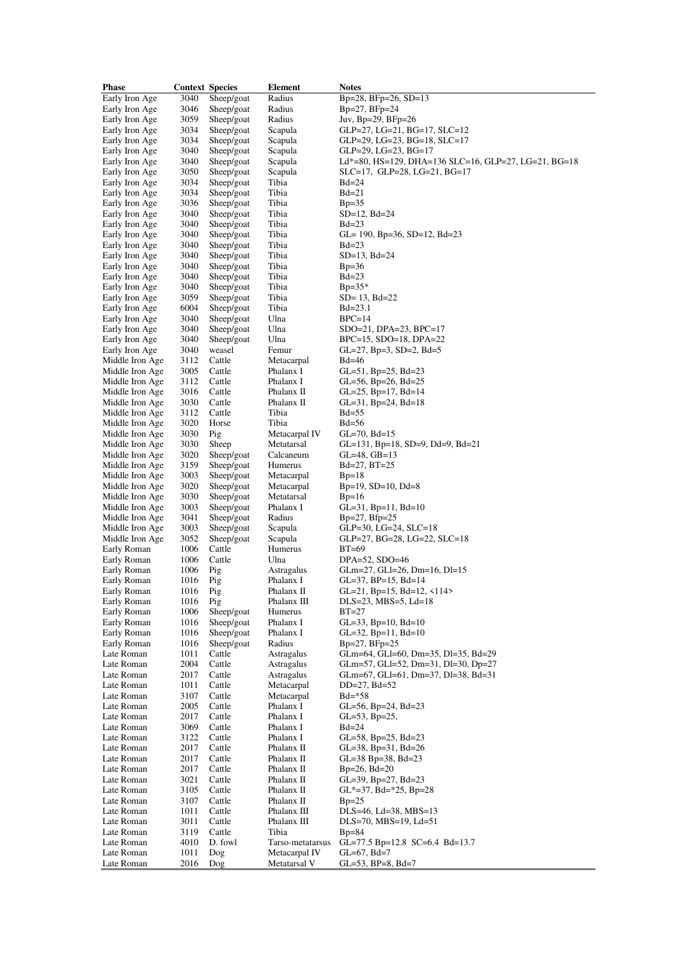| <b>Phase</b>             | <b>Context Species</b> |            | Element                           | <b>Notes</b>                                         |
|--------------------------|------------------------|------------|-----------------------------------|------------------------------------------------------|
| Early Iron Age           | 3040                   | Sheep/goat | Radius                            | Bp=28, BFp=26, SD=13                                 |
| Early Iron Age           | 3046                   | Sheep/goat | Radius                            | $Bp=27, BFp=24$                                      |
| Early Iron Age           | 3059                   | Sheep/goat | Radius                            | Juv, Bp=29, BFp=26                                   |
| Early Iron Age           | 3034                   | Sheep/goat | Scapula                           | $GLP=27$ , $LG=21$ , $BG=17$ , $SLC=12$              |
| Early Iron Age           | 3034                   | Sheep/goat | Scapula                           | GLP=29, LG=23, BG=18, SLC=17                         |
| Early Iron Age           | 3040                   | Sheep/goat | Scapula                           | $GLP=29$ , $LG=23$ , $BG=17$                         |
| Early Iron Age           | 3040                   | Sheep/goat | Scapula                           | Ld*=80, HS=129, DHA=136 SLC=16, GLP=27, LG=21, BG=18 |
|                          | 3050                   |            |                                   |                                                      |
| Early Iron Age           |                        | Sheep/goat | Scapula                           | SLC=17, GLP=28, LG=21, BG=17                         |
| Early Iron Age           | 3034                   | Sheep/goat | Tibia                             | $Bd=24$                                              |
| Early Iron Age           | 3034                   | Sheep/goat | Tibia                             | $Bd=21$                                              |
| Early Iron Age           | 3036                   | Sheep/goat | Tibia                             | $Bp=35$                                              |
| Early Iron Age           | 3040                   | Sheep/goat | Tibia                             | $SD=12$ , $Bd=24$                                    |
| Early Iron Age           | 3040                   | Sheep/goat | Tibia                             | $Bd=23$                                              |
| Early Iron Age           | 3040                   | Sheep/goat | Tibia                             | GL= 190, Bp=36, SD=12, Bd=23                         |
| Early Iron Age           | 3040                   | Sheep/goat | Tibia                             | $Bd=23$                                              |
| Early Iron Age           | 3040                   | Sheep/goat | Tibia                             | $SD=13$ , $Bd=24$                                    |
| Early Iron Age           | 3040                   | Sheep/goat | Tibia                             | $Bp=36$                                              |
| Early Iron Age           | 3040                   | Sheep/goat | Tibia                             | $Bd=23$                                              |
| Early Iron Age           | 3040                   | Sheep/goat | Tibia                             | $Bp=35*$                                             |
| Early Iron Age           | 3059                   | Sheep/goat | Tibia                             | $SD = 13$ , $Bd = 22$                                |
| Early Iron Age           | 6004                   | Sheep/goat | Tibia                             | $Bd = 23.1$                                          |
| Early Iron Age           | 3040                   | Sheep/goat | Ulna                              | $BPC=14$                                             |
| Early Iron Age           | 3040                   | Sheep/goat | Ulna                              | $SDO=21$ , $DPA=23$ , $BPC=17$                       |
| Early Iron Age           | 3040                   | Sheep/goat | Ulna                              | $BPC=15$ , $SDO=18$ , $DPA=22$                       |
| Early Iron Age           | 3040                   | weasel     | Femur                             | $GL=27$ , Bp=3, SD=2, Bd=5                           |
| Middle Iron Age          | 3112                   | Cattle     | Metacarpal                        | $Bd=46$                                              |
|                          | 3005                   | Cattle     | Phalanx I                         |                                                      |
| Middle Iron Age          |                        |            |                                   | $GL=51$ , Bp=25, Bd=23                               |
| Middle Iron Age          | 3112                   | Cattle     | Phalanx I                         | $GL=56$ , Bp=26, Bd=25                               |
| Middle Iron Age          | 3016                   | Cattle     | Phalanx II                        | $GL=25$ , Bp=17, Bd=14                               |
| Middle Iron Age          | 3030                   | Cattle     | Phalanx II                        | $GL=31$ , Bp=24, Bd=18                               |
| Middle Iron Age          | 3112                   | Cattle     | Tibia                             | $Bd = 55$                                            |
| Middle Iron Age          | 3020                   | Horse      | Tibia                             | $Bd=56$                                              |
| Middle Iron Age          | 3030                   | Pig        | Metacarpal IV                     | $GL=70$ , $Bd=15$                                    |
| Middle Iron Age          | 3030                   | Sheep      | Metatarsal                        | $GL=131$ , Bp=18, SD=9, Dd=9, Bd=21                  |
| Middle Iron Age          | 3020                   | Sheep/goat | Calcaneum                         | $GL=48$ , $GB=13$                                    |
| Middle Iron Age          | 3159                   | Sheep/goat | Humerus                           | $Bd=27, BT=25$                                       |
| Middle Iron Age          | 3003                   | Sheep/goat | Metacarpal                        | $Bp=18$                                              |
| Middle Iron Age          | 3020                   | Sheep/goat | Metacarpal                        | $Bp=19$ , $SD=10$ , $Dd=8$                           |
| Middle Iron Age          | 3030                   | Sheep/goat | Metatarsal                        | $Bp=16$                                              |
| Middle Iron Age          | 3003                   | Sheep/goat | Phalanx I                         | $GL=31$ , $Bp=11$ , $Bd=10$                          |
| Middle Iron Age          | 3041                   | Sheep/goat | Radius                            | $Bp=27, Bfp=25$                                      |
| Middle Iron Age          | 3003                   | Sheep/goat | Scapula                           | $GLP=30$ , $LG=24$ , $SLC=18$                        |
| Middle Iron Age          | 3052                   | Sheep/goat | Scapula                           | GLP=27, BG=28, LG=22, SLC=18                         |
| Early Roman              | 1006                   | Cattle     | Humerus                           | $BT=69$                                              |
| Early Roman              | 1006                   | Cattle     | Ulna                              | $DPA=52$ , $SDO=46$                                  |
| Early Roman              | 1006                   | Pig        | Astragalus                        | $GLm=27$ , $GLI=26$ , $Dm=16$ , $DI=15$              |
| Early Roman              | 1016                   | Pig        | Phalanx I                         | $GL=37$ , $BP=15$ , $Bd=14$                          |
| Early Roman              | 1016                   | Pig        | Phalanx II                        | GL=21, Bp=15, Bd=12, $\langle$ 114>                  |
| Early Roman              | 1016                   | Pig        | Phalanx III                       | $DLS=23$ , $MBS=5$ , $Ld=18$                         |
| Early Roman              | 1006                   | Sheep/goat | Humerus                           | $BT=27$                                              |
| Early Roman              | 1016                   | Sheep/goat | Phalanx I                         | $GL=33$ , $Bp=10$ , $Bd=10$                          |
| Early Roman              | 1016                   | Sheep/goat | Phalanx I                         | $GL=32$ , $Bp=11$ , $Bd=10$                          |
| Early Roman              | 1016                   | Sheep/goat | Radius                            | $Bp=27, BFp=25$                                      |
| Late Roman               | 1011                   | Cattle     | Astragalus                        | GLm=64, GLl=60, Dm=35, Dl=35, Bd=29                  |
| Late Roman               | 2004                   | Cattle     | Astragalus                        | GLm=57, GLI=52, Dm=31, DI=30, Dp=27                  |
| Late Roman               | 2017                   | Cattle     | Astragalus                        | GLm=67, GLI=61, Dm=37, Dl=38, Bd=31                  |
| Late Roman               | 1011                   | Cattle     | Metacarpal                        | $DD=27$ , $Bd=52$                                    |
| Late Roman               | 3107                   | Cattle     | Metacarpal                        | $Bd = *58$                                           |
| Late Roman               | 2005                   | Cattle     | Phalanx I                         | $GL=56$ , Bp=24, Bd=23                               |
| Late Roman               | 2017                   | Cattle     | Phalanx I                         | $GL=53$ , $Bp=25$ ,                                  |
| Late Roman               | 3069                   | Cattle     | Phalanx I                         | $Bd=24$                                              |
| Late Roman               | 3122                   | Cattle     | Phalanx I                         | $GL=58$ , Bp=25, Bd=23                               |
| Late Roman               | 2017                   | Cattle     | Phalanx II                        |                                                      |
| Late Roman               | 2017                   | Cattle     | Phalanx II                        | $GL=38$ , Bp=31, Bd=26                               |
| Late Roman               |                        |            | Phalanx II                        | $GL=38$ Bp=38, Bd=23                                 |
|                          | 2017                   | Cattle     |                                   | $Bp=26$ , $Bd=20$                                    |
| Late Roman               | 3021                   | Cattle     | Phalanx II                        | $GL=39$ , $Bp=27$ , $Bd=23$                          |
| Late Roman               | 3105                   | Cattle     | Phalanx II                        | $GL^*=37$ , Bd=*25, Bp=28                            |
| Late Roman               | 3107                   | Cattle     | Phalanx II                        | $Bp=25$                                              |
| Late Roman               | 1011                   | Cattle     | Phalanx III                       | $DLS=46$ , $Ld=38$ , $MBS=13$                        |
| Late Roman               | 3011                   | Cattle     | Phalanx III                       | $DLS=70, MBS=19, Ld=51$                              |
| Late Roman<br>Late Roman | 3119                   | Cattle     | Tibia                             | $Bp=84$                                              |
| Late Roman               | 4010<br>1011           | D. fowl    | Tarso-metatarsus<br>Metacarpal IV | GL=77.5 Bp=12.8 SC=6.4 Bd=13.7                       |
| Late Roman               | 2016                   | Dog<br>Dog | Metatarsal V                      | $GL=67$ , $Bd=7$<br>$GL=53$ , $BP=8$ , $Bd=7$        |
|                          |                        |            |                                   |                                                      |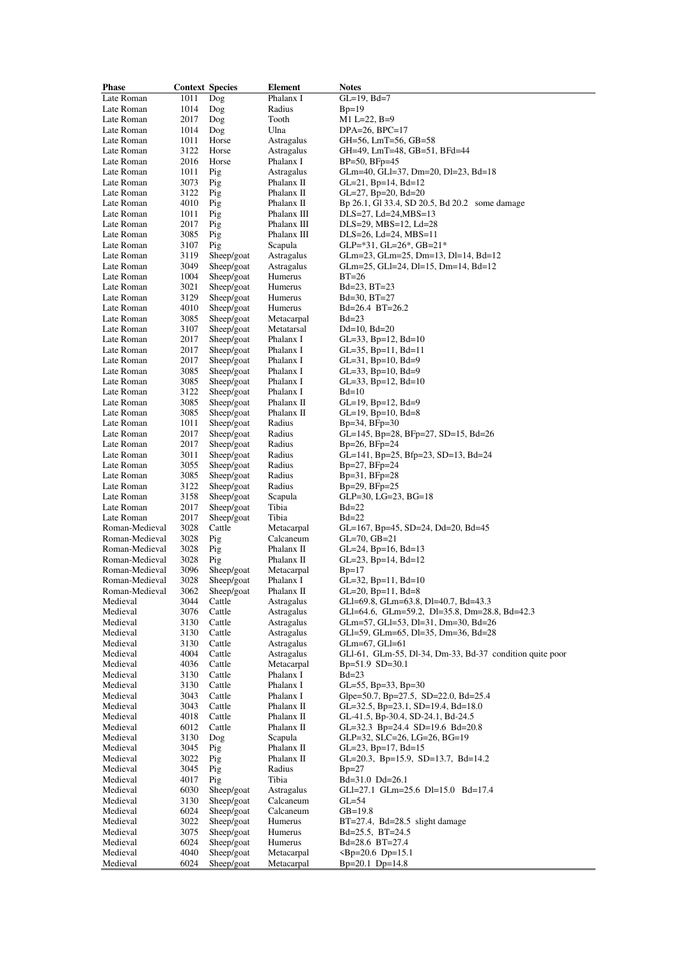| Phase          | <b>Context Species</b> |            | Element     | <b>Notes</b>                                             |
|----------------|------------------------|------------|-------------|----------------------------------------------------------|
| Late Roman     | 1011                   | Dog        | Phalanx I   | GL=19, Bd=7                                              |
| Late Roman     | 1014                   | Dog        | Radius      | $Bp=19$                                                  |
| Late Roman     | 2017                   | Dog        | Tooth       | $M1$ L=22, B=9                                           |
| Late Roman     | 1014                   | Dog        | Ulna        | $DPA=26, BPC=17$                                         |
| Late Roman     | 1011                   | Horse      | Astragalus  | GH=56, LmT=56, GB=58                                     |
| Late Roman     | 3122                   | Horse      | Astragalus  | GH=49, LmT=48, GB=51, BFd=44                             |
| Late Roman     | 2016                   | Horse      | Phalanx I   | $BP=50, BFp=45$                                          |
| Late Roman     | 1011                   | Pig        | Astragalus  | GLm=40, GLI=37, Dm=20, DI=23, Bd=18                      |
| Late Roman     | 3073                   | Pig        | Phalanx II  | $GL=21$ , Bp=14, Bd=12                                   |
| Late Roman     | 3122                   | Pig        | Phalanx II  | $GL=27$ , Bp=20, Bd=20                                   |
| Late Roman     | 4010                   | Pig        | Phalanx II  | Bp 26.1, Gl 33.4, SD 20.5, Bd 20.2 some damage           |
| Late Roman     | 1011                   | Pig        | Phalanx III | $DLS=27$ , $Ld=24, MBS=13$                               |
| Late Roman     | 2017                   | Pig        | Phalanx III | $DLS=29, MBS=12, Ld=28$                                  |
| Late Roman     | 3085                   | Pig        | Phalanx III | $DLS=26$ , $Ld=24$ , $MBS=11$                            |
| Late Roman     | 3107                   | Pig        | Scapula     | GLP=*31, GL=26*, GB=21*                                  |
| Late Roman     | 3119                   | Sheep/goat | Astragalus  | GLm=23, GLm=25, Dm=13, Dl=14, Bd=12                      |
| Late Roman     | 3049                   | Sheep/goat | Astragalus  | GLm=25, GLI=24, DI=15, Dm=14, Bd=12                      |
| Late Roman     | 1004                   | Sheep/goat | Humerus     | $BT=26$                                                  |
| Late Roman     | 3021                   | Sheep/goat | Humerus     | $Bd=23, BT=23$                                           |
| Late Roman     | 3129                   | Sheep/goat | Humerus     | $Bd=30, BT=27$                                           |
| Late Roman     | 4010                   | Sheep/goat | Humerus     | Bd=26.4 BT=26.2                                          |
| Late Roman     | 3085                   | Sheep/goat | Metacarpal  | $Bd=23$                                                  |
| Late Roman     | 3107                   | Sheep/goat | Metatarsal  | Dd=10, Bd=20                                             |
| Late Roman     | 2017                   | Sheep/goat | Phalanx I   | $GL=33$ , Bp=12, Bd=10                                   |
| Late Roman     | 2017                   | Sheep/goat | Phalanx I   | $GL=35$ , Bp=11, Bd=11                                   |
| Late Roman     | 2017                   | Sheep/goat | Phalanx I   | $GL=31$ , Bp=10, Bd=9                                    |
| Late Roman     | 3085                   | Sheep/goat | Phalanx I   | $GL=33$ , Bp=10, Bd=9                                    |
| Late Roman     | 3085                   | Sheep/goat | Phalanx I   | $GL=33$ , Bp=12, Bd=10                                   |
| Late Roman     | 3122                   | Sheep/goat | Phalanx I   | $Bd=10$                                                  |
| Late Roman     | 3085                   | Sheep/goat | Phalanx II  | $GL=19$ , $Bp=12$ , $Bd=9$                               |
| Late Roman     | 3085                   | Sheep/goat | Phalanx II  | $GL=19$ , $Bp=10$ , $Bd=8$                               |
| Late Roman     | 1011                   | Sheep/goat | Radius      | $Bp=34, BFp=30$                                          |
| Late Roman     | 2017                   | Sheep/goat | Radius      | $GL=145$ , Bp=28, BFp=27, SD=15, Bd=26                   |
| Late Roman     | 2017                   | Sheep/goat | Radius      | $Bp=26, BFp=24$                                          |
| Late Roman     | 3011                   | Sheep/goat | Radius      | GL=141, Bp=25, Bfp=23, SD=13, Bd=24                      |
| Late Roman     | 3055                   | Sheep/goat | Radius      | $Bp=27, BFp=24$                                          |
| Late Roman     | 3085                   | Sheep/goat | Radius      | Bp=31, BFp=28                                            |
| Late Roman     | 3122                   | Sheep/goat | Radius      | $Bp=29$ , $BFp=25$                                       |
| Late Roman     | 3158                   | Sheep/goat | Scapula     | GLP=30, LG=23, BG=18                                     |
| Late Roman     | 2017                   | Sheep/goat | Tibia       | $Bd=22$                                                  |
| Late Roman     | 2017                   | Sheep/goat | Tibia       | $Bd=22$                                                  |
| Roman-Medieval | 3028                   | Cattle     | Metacarpal  | GL=167, Bp=45, SD=24, Dd=20, Bd=45                       |
| Roman-Medieval | 3028                   | Pig        | Calcaneum   | $GL=70$ , $GB=21$                                        |
| Roman-Medieval | 3028                   | Pig        | Phalanx II  | $GL=24$ , Bp=16, Bd=13                                   |
| Roman-Medieval | 3028                   | Pig        | Phalanx II  | $GL=23$ , Bp=14, Bd=12                                   |
| Roman-Medieval | 3096                   | Sheep/goat | Metacarpal  | $Bp=17$                                                  |
| Roman-Medieval | 3028                   | Sheep/goat | Phalanx I   | $GL=32$ , $Bp=11$ , $Bd=10$                              |
| Roman-Medieval | 3062                   | Sheep/goat | Phalanx II  | $GL=20$ , $Bp=11$ , $Bd=8$                               |
| Medieval       | 3044                   | Cattle     | Astragalus  | GLI=69.8, GLm=63.8, DI=40.7, Bd=43.3                     |
| Medieval       | 3076                   | Cattle     | Astragalus  | GLI=64.6, GLm=59.2, DI=35.8, Dm=28.8, Bd=42.3            |
| Medieval       | 3130                   | Cattle     | Astragalus  | GLm=57, GLI=53, DI=31, Dm=30, Bd=26                      |
| Medieval       | 3130                   | Cattle     | Astragalus  | GLI=59, GLm=65, DI=35, Dm=36, Bd=28                      |
| Medieval       | 3130                   | Cattle     | Astragalus  | $GLm=67$ , $GLl=61$                                      |
| Medieval       | 4004                   | Cattle     | Astragalus  | GLI-61, GLm-55, DI-34, Dm-33, Bd-37 condition quite poor |
| Medieval       | 4036                   | Cattle     | Metacarpal  | Bp=51.9 SD=30.1                                          |
| Medieval       | 3130                   | Cattle     | Phalanx I   | $Bd=23$                                                  |
| Medieval       | 3130                   | Cattle     | Phalanx I   | GL=55, Bp=33, Bp=30                                      |
| Medieval       | 3043                   | Cattle     | Phalanx I   | Glpe=50.7, Bp=27.5, SD=22.0, Bd=25.4                     |
| Medieval       | 3043                   | Cattle     | Phalanx II  | GL=32.5, Bp=23.1, SD=19.4, Bd=18.0                       |
| Medieval       | 4018                   | Cattle     | Phalanx II  | GL-41.5, Bp-30.4, SD-24.1, Bd-24.5                       |
| Medieval       | 6012                   | Cattle     | Phalanx II  | GL=32.3 Bp=24.4 SD=19.6 Bd=20.8                          |
| Medieval       | 3130                   | Dog        | Scapula     | GLP=32, SLC=26, LG=26, BG=19                             |
| Medieval       | 3045                   | Pig        | Phalanx II  | $GL=23$ , Bp=17, Bd=15                                   |
| Medieval       | 3022                   | Pig        | Phalanx II  | GL=20.3, Bp=15.9, SD=13.7, Bd=14.2                       |
| Medieval       | 3045                   | Pig        | Radius      | $Bp=27$                                                  |
| Medieval       | 4017                   | Pig        | Tibia       | Bd=31.0 Dd=26.1                                          |
| Medieval       | 6030                   | Sheep/goat | Astragalus  | GLI=27.1 GLm=25.6 DI=15.0 Bd=17.4                        |
| Medieval       | 3130                   | Sheep/goat | Calcaneum   | $GL=54$                                                  |
| Medieval       | 6024                   | Sheep/goat | Calcaneum   | $GB = 19.8$                                              |
| Medieval       | 3022                   | Sheep/goat | Humerus     | BT=27.4, Bd=28.5 slight damage                           |
| Medieval       | 3075                   | Sheep/goat | Humerus     | $Bd=25.5$ , $BT=24.5$                                    |
| Medieval       | 6024                   | Sheep/goat | Humerus     | Bd=28.6 BT=27.4                                          |
| Medieval       | 4040                   | Sheep/goat | Metacarpal  | $\epsilon$ Bp=20.6 Dp=15.1                               |
| Medieval       | 6024                   | Sheep/goat | Metacarpal  | $Bp=20.1$ $Dp=14.8$                                      |
|                |                        |            |             |                                                          |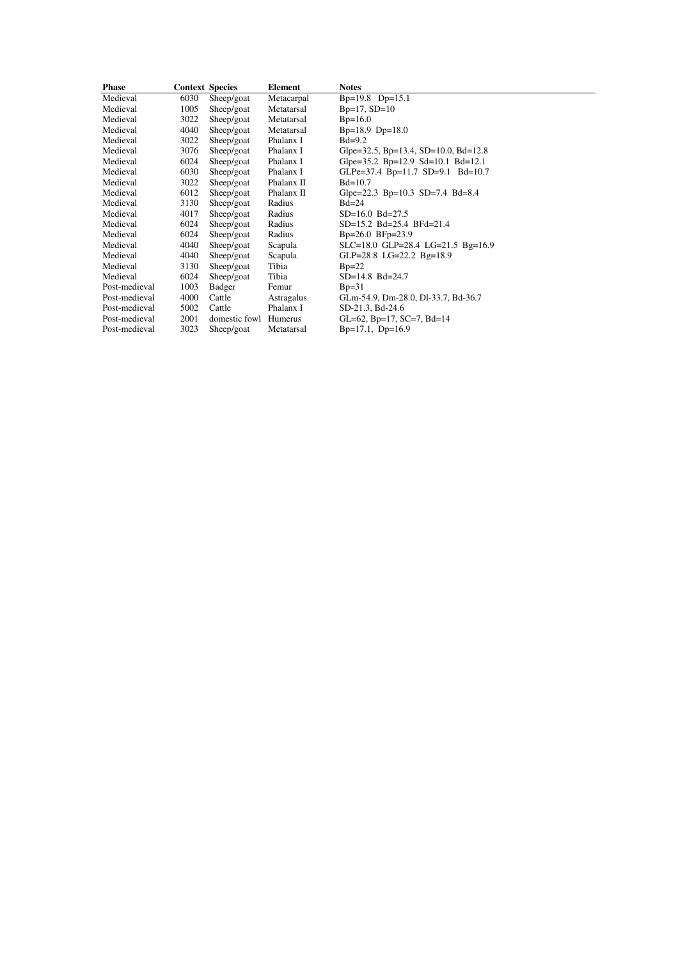| <b>Phase</b>  | <b>Context Species</b> |                       | <b>Element</b> | <b>Notes</b>                                  |
|---------------|------------------------|-----------------------|----------------|-----------------------------------------------|
| Medieval      | 6030                   | Sheep/goat            | Metacarpal     | $Bp=19.8$ $Dp=15.1$                           |
| Medieval      | 1005                   | Sheep/goat            | Metatarsal     | $Bp=17, SD=10$                                |
| Medieval      | 3022                   | Sheep/goat            | Metatarsal     | $Bp=16.0$                                     |
| Medieval      | 4040                   | Sheep/goat            | Metatarsal     | $Bp=18.9 \text{ D}p=18.0$                     |
| Medieval      | 3022                   | Sheep/goat            | Phalanx I      | $Bd=9.2$                                      |
| Medieval      | 3076                   | Sheep/goat            | Phalanx I      | Glpe=32.5, Bp=13.4, SD=10.0, Bd=12.8          |
| Medieval      | 6024                   | Sheep/goat            | Phalanx I      | Glpe= $35.2$ Bp= $12.9$ Sd= $10.1$ Bd= $12.1$ |
| Medieval      | 6030                   | Sheep/goat            | Phalanx I      | GLPe=37.4 Bp=11.7 SD=9.1 Bd=10.7              |
| Medieval      | 3022                   | Sheep/goat            | Phalanx II     | $Bd=10.7$                                     |
| Medieval      | 6012                   | Sheep/goat            | Phalanx II     | Glpe=22.3 Bp=10.3 SD=7.4 Bd=8.4               |
| Medieval      | 3130                   | Sheep/goat            | Radius         | $Bd=24$                                       |
| Medieval      | 4017                   | Sheep/goat            | Radius         | $SD=16.0$ $Bd=27.5$                           |
| Medieval      | 6024                   | Sheep/goat            | Radius         | SD=15.2 Bd=25.4 BFd=21.4                      |
| Medieval      | 6024                   | Sheep/goat            | Radius         | $Bp=26.0$ $BFp=23.9$                          |
| Medieval      | 4040                   | Sheep/goat            | Scapula        | $SLC=18.0$ GLP=28.4 LG=21.5 Bg=16.9           |
| Medieval      | 4040                   | Sheep/goat            | Scapula        | GLP=28.8 LG=22.2 Bg=18.9                      |
| Medieval      | 3130                   | Sheep/goat            | Tibia          | $Bp=22$                                       |
| Medieval      | 6024                   | Sheep/goat            | Tibia          | $SD=14.8$ Bd=24.7                             |
| Post-medieval | 1003                   | Badger                | Femur          | $Bp=31$                                       |
| Post-medieval | 4000                   | Cattle                | Astragalus     | GLm-54.9, Dm-28.0, Dl-33.7, Bd-36.7           |
| Post-medieval | 5002                   | Cattle                | Phalanx I      | SD-21.3, Bd-24.6                              |
| Post-medieval | 2001                   | domestic fowl Humerus |                | GL=62, Bp=17, SC=7, Bd=14                     |
| Post-medieval | 3023                   | Sheep/goat            | Metatarsal     | $Bp=17.1$ , $Dp=16.9$                         |
|               |                        |                       |                |                                               |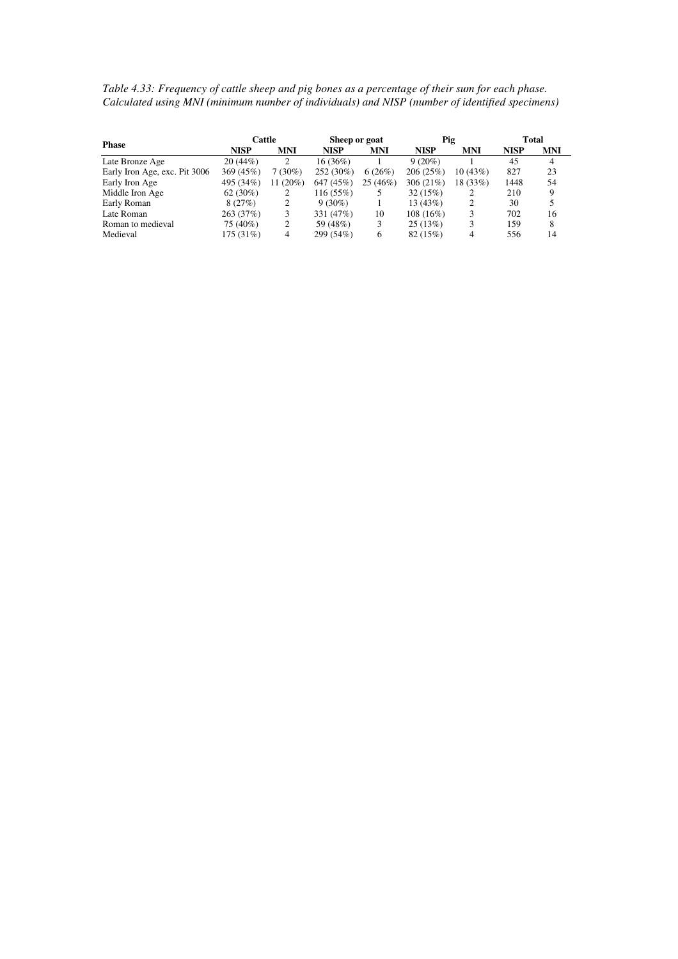*Table 4.33: Frequency of cattle sheep and pig bones as a percentage of their sum for each phase. Calculated using MNI (minimum number of individuals) and NISP (number of identified specimens)* 

|                               | Cattle      |            | Sheep or goat |            | Pig         |            | <b>Total</b> |     |  |
|-------------------------------|-------------|------------|---------------|------------|-------------|------------|--------------|-----|--|
| <b>Phase</b>                  | <b>NISP</b> | <b>MNI</b> | <b>NISP</b>   | <b>MNI</b> | <b>NISP</b> | <b>MNI</b> | <b>NISP</b>  | MNI |  |
| Late Bronze Age               | 20(44%)     |            | $16(36\%)$    |            | $9(20\%)$   |            | 45           | 4   |  |
| Early Iron Age, exc. Pit 3006 | 369(45%)    | $7(30\%)$  | 252 (30%)     | 6(26%)     | 206(25%)    | 10(43%)    | 827          | 23  |  |
| Early Iron Age                | 495 (34%)   | $11(20\%)$ | 647 (45%)     | 25(46%)    | 306 $(21%)$ | 18 (33%)   | 1448         | 54  |  |
| Middle Iron Age               | $62(30\%)$  |            | 116 (55%)     |            | 32(15%)     |            | 210          | 9   |  |
| Early Roman                   | 8(27%)      |            | $9(30\%)$     |            | 13(43%)     | 2          | 30           | 5   |  |
| Late Roman                    | 263(37%)    |            | 331 (47%)     | 10         | 108(16%)    |            | 702          | 16  |  |
| Roman to medieval             | 75 (40%)    |            | 59 (48%)      | 3          | 25(13%)     | 3          | 159          | 8   |  |
| Medieval                      | 175 (31%)   | 4          | 299 (54%)     | 6          | 82 (15%)    |            | 556          | 14  |  |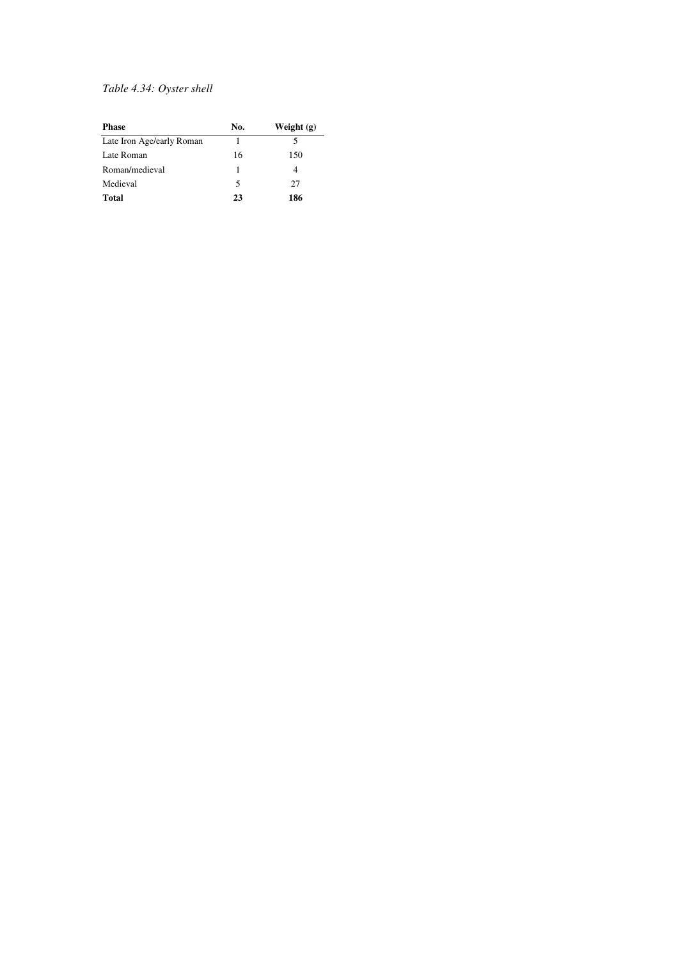#### *Table 4.34: Oyster shell*

| <b>Phase</b>              | No. | Weight $(g)$ |
|---------------------------|-----|--------------|
| Late Iron Age/early Roman |     |              |
| Late Roman                | 16  | 150          |
| Roman/medieval            |     |              |
| Medieval                  | 5   | 27           |
| Total                     | 23  | 186          |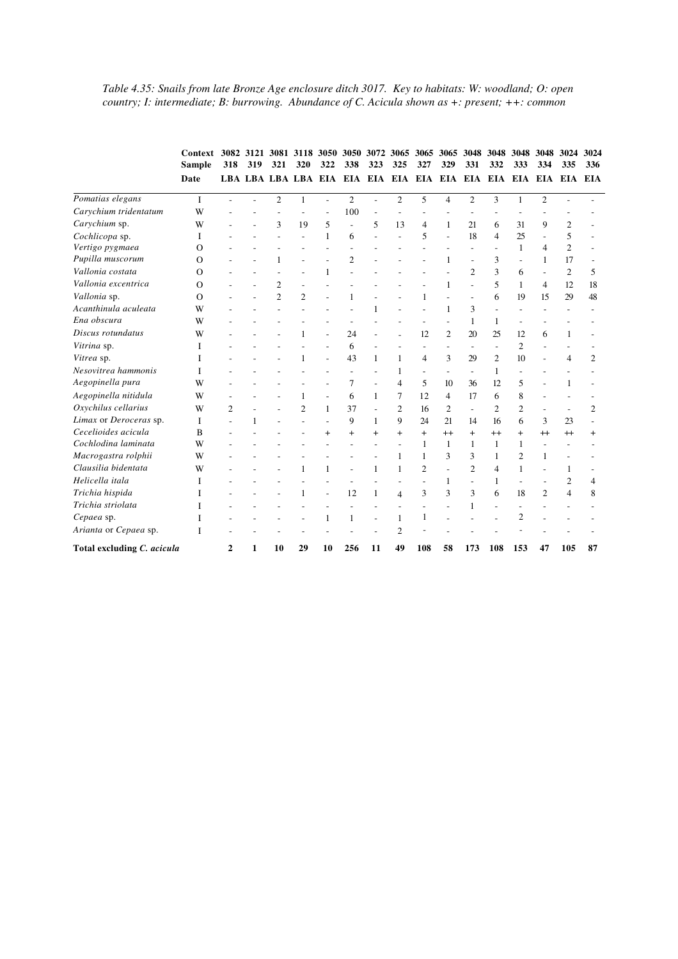*Table 4.35: Snails from late Bronze Age enclosure ditch 3017. Key to habitats: W: woodland; O: open country; I: intermediate; B: burrowing. Abundance of C. Acicula shown as +: present; ++: common* 

|                            | Context<br><b>Sample</b> |                |     |                | 3082 3121 3081 3118 3050 3050 3072 3065 3065 |                |                             |                          |                |                | 3065                     | 3048                     | 3048           | 3048                     | 3048                     | 3024                     | 3024           |
|----------------------------|--------------------------|----------------|-----|----------------|----------------------------------------------|----------------|-----------------------------|--------------------------|----------------|----------------|--------------------------|--------------------------|----------------|--------------------------|--------------------------|--------------------------|----------------|
|                            |                          | 318            | 319 | 321            | 320                                          | 322            | 338                         | 323                      | 325            | 327            | 329                      | 331                      | 332            | 333                      | 334                      | 335                      | 336            |
|                            | Date                     |                |     |                |                                              |                | LBA LBA LBA LBA EIA EIA EIA |                          |                | EIA EIA EIA    |                          |                          | EIA EIA EIA    |                          |                          | EIA EIA                  | <b>EIA</b>     |
| Pomatias elegans           | $\mathbf{I}$             |                |     | $\overline{c}$ | 1                                            | L.             | $\overline{2}$              | $\sim$                   | $\overline{2}$ | 5              | $\overline{4}$           | $\overline{2}$           | 3              | $\mathbf{1}$             | $\overline{2}$           |                          |                |
| Carychium tridentatum      | W                        |                |     |                |                                              |                | 100                         |                          |                |                |                          |                          |                |                          |                          |                          |                |
| Carychium sp.              | W                        |                |     | 3              | 19                                           | 5              | L.                          | 5                        | 13             | $\overline{4}$ | $\mathbf{1}$             | 21                       | 6              | 31                       | 9                        | $\overline{c}$           |                |
| Cochlicopa sp.             | L                        |                |     |                |                                              | 1              | 6                           |                          |                | 5              | $\overline{\phantom{a}}$ | 18                       | $\overline{4}$ | 25                       |                          | 5                        |                |
| Vertigo pygmaea            | O                        |                |     |                |                                              | ÷              |                             |                          |                |                |                          | ÷                        |                | $\mathbf{1}$             | 4                        | $\overline{c}$           |                |
| Pupilla muscorum           | O                        |                |     | $\mathbf{1}$   | ÷.                                           |                | $\overline{2}$              |                          |                |                | 1                        | ÷,                       | 3              | $\overline{\phantom{a}}$ | $\mathbf{1}$             | 17                       |                |
| Vallonia costata           | $\Omega$                 |                |     |                |                                              | 1              |                             |                          |                |                |                          | $\mathfrak{2}$           | 3              | 6                        | ÷.                       | $\overline{c}$           | 5              |
| Vallonia excentrica        | $\Omega$                 |                |     | $\overline{2}$ | ÷,                                           |                |                             |                          |                |                | $\mathbf{1}$             | L.                       | 5              | $\mathbf{1}$             | 4                        | 12                       | 18             |
| Vallonia sp.               | $\Omega$                 |                |     | $\overline{c}$ | $\overline{c}$                               |                | 1                           |                          |                | 1              |                          | L,                       | 6              | 19                       | 15                       | 29                       | 48             |
| Acanthinula aculeata       | W                        |                |     |                |                                              |                |                             | 1                        |                |                | $\mathbf{1}$             | 3                        | ÷              |                          |                          |                          |                |
| Ena obscura                | W                        |                |     |                |                                              |                |                             |                          |                |                |                          | 1                        | 1              |                          |                          |                          |                |
| Discus rotundatus          | W                        |                |     |                |                                              | L.             | 24                          | L.                       |                | 12             | $\mathfrak{2}$           | 20                       | 25             | 12                       | 6                        | 1                        |                |
| Vitrina sp.                | L                        |                |     |                |                                              | ä,             | 6                           |                          |                |                |                          | $\overline{\phantom{a}}$ |                | $\overline{c}$           |                          |                          |                |
| Vitrea sp.                 | L                        |                |     |                | 1                                            | ä,             | 43                          | $\mathbf{1}$             | $\mathbf{1}$   | $\overline{4}$ | 3                        | 29                       | $\overline{2}$ | 10                       | ÷                        | 4                        | $\overline{c}$ |
| Nesovitrea hammonis        | I                        |                |     |                |                                              |                |                             |                          | 1              |                |                          |                          | 1              |                          |                          |                          |                |
| Aegopinella pura           | W                        |                |     |                |                                              |                | 7                           | $\overline{\phantom{a}}$ | $\overline{4}$ | 5              | 10                       | 36                       | 12             | 5                        |                          |                          |                |
| Aegopinella nitidula       | W                        |                |     |                | 1                                            | L,             | 6                           | $\mathbf{1}$             | 7              | 12             | $\overline{4}$           | 17                       | 6              | 8                        |                          |                          |                |
| Oxychilus cellarius        | W                        | $\overline{2}$ |     |                | $\overline{c}$                               | $\mathbf{1}$   | 37                          | $\sim$                   | $\overline{2}$ | 16             | $\overline{2}$           | $\overline{a}$           | $\overline{2}$ | $\mathfrak{2}$           |                          | ÷,                       | $\mathfrak{2}$ |
| Limax or Deroceras sp.     | I                        |                | 1   |                |                                              |                | 9                           | $\mathbf{1}$             | 9              | 24             | 21                       | 14                       | 16             | 6                        | 3                        | 23                       |                |
| Cecelioides acicula        | B                        |                |     |                |                                              | $\ddot{}$      | $+$                         | $^{+}$                   | $+$            | $+$            | $^{++}$                  | $+$                      | $^{++}$        | $^{+}$                   | $^{++}$                  | $^{+}$                   | $\,^+$         |
| Cochlodina laminata        | W                        |                |     |                |                                              |                |                             | $\overline{\phantom{a}}$ |                | 1              | $\mathbf{1}$             | 1                        | $\mathbf{1}$   | 1                        | $\overline{\phantom{a}}$ |                          |                |
| Macrogastra rolphii        | W                        |                |     |                |                                              |                |                             |                          | 1              | 1              | 3                        | 3                        | 1              | $\overline{2}$           | 1                        |                          |                |
| Clausilia bidentata        | W                        |                |     |                | 1                                            | 1              |                             | 1                        | 1              | $\overline{2}$ | $\overline{a}$           | $\overline{2}$           | 4              | 1                        |                          | 1                        |                |
| Helicella itala            | Ι                        |                |     |                |                                              |                |                             |                          |                |                | 1                        | $\overline{\phantom{a}}$ | 1              | $\overline{\phantom{a}}$ |                          | $\overline{2}$           | 4              |
| Trichia hispida            | I                        |                |     |                | 1                                            | $\overline{a}$ | 12                          | 1                        | $\overline{4}$ | 3              | 3                        | 3                        | 6              | 18                       | $\overline{2}$           | $\overline{\mathcal{L}}$ | 8              |
| Trichia striolata          | I                        |                |     |                |                                              |                |                             |                          |                |                |                          | 1                        |                | ÷                        |                          |                          |                |
| Cepaea sp.                 | I                        |                |     |                |                                              | 1              | $\mathbf{1}$                |                          | 1              | 1              |                          |                          |                | $\overline{2}$           |                          |                          |                |
| Arianta or Cepaea sp.      | I                        |                |     |                |                                              |                |                             |                          | $\overline{2}$ |                |                          |                          |                |                          |                          |                          |                |
| Total excluding C. acicula |                          | 2              | 1   | 10             | 29                                           | 10             | 256                         | 11                       | 49             | 108            | 58                       | 173                      | 108            | 153                      | 47                       | 105                      | 87             |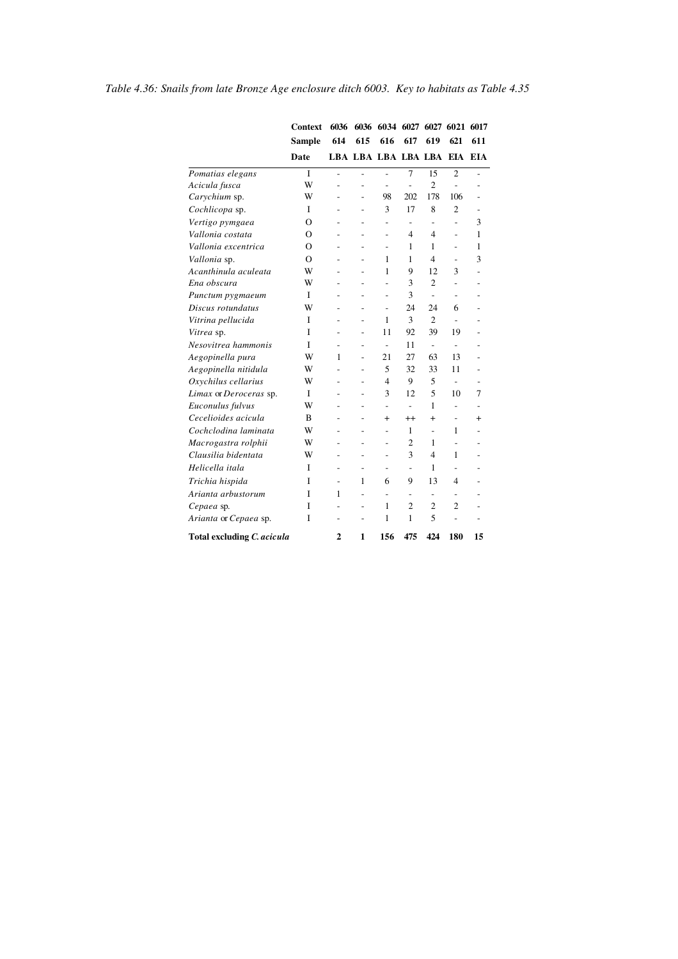|                            | <b>Context</b> | 6036 |                | 6036 6034 6027 6027 6021 6017 |                          |                          |                |              |
|----------------------------|----------------|------|----------------|-------------------------------|--------------------------|--------------------------|----------------|--------------|
|                            | <b>Sample</b>  | 614  | 615            | 616                           | 617                      | 619                      | 621            | 611          |
|                            | <b>Date</b>    |      |                | LBA LBA LBA LBA LBA           |                          |                          | EIA EIA        |              |
| Pomatias elegans           | $\mathbf{I}$   | L,   | $\overline{a}$ | L,                            | $\overline{7}$           | 15                       | $\overline{2}$ |              |
| Acicula fusca              | w              | L,   | $\overline{a}$ | L,                            | $\overline{a}$           | $\overline{2}$           | $\overline{a}$ |              |
| Carychium sp.              | W              | L    | $\overline{a}$ | 98                            | 202                      | 178                      | 106            |              |
| Cochlicopa sp.             | I              | L,   | $\overline{a}$ | 3                             | 17                       | 8                        | $\overline{2}$ |              |
| Vertigo pymgaea            | $\Omega$       | ٠    | $\overline{a}$ | $\overline{a}$                | $\overline{\phantom{0}}$ | $\overline{\phantom{a}}$ | L,             | 3            |
| Vallonia costata           | $\Omega$       |      |                | $\overline{a}$                | 4                        | 4                        | $\overline{a}$ | 1            |
| Vallonia excentrica        | O              |      |                | L,                            | 1                        | 1                        | $\overline{a}$ | 1            |
| Vallonia sp.               | $\Omega$       |      | L.             | 1                             | 1                        | 4                        | ÷              | 3            |
| Acanthinula aculeata       | W              |      | $\overline{a}$ | 1                             | 9                        | 12                       | 3              |              |
| Ena obscura                | W              |      | $\overline{a}$ | L,                            | 3                        | $\overline{2}$           |                |              |
| Punctum pygmaeum           | I              |      | -              | -                             | 3                        | ÷,                       |                |              |
| Discus rotundatus          | W              | ۰    | $\overline{a}$ | $\overline{a}$                | 24                       | 24                       | 6              |              |
| Vitrina pellucida          | I              |      | L.             | 1                             | 3                        | $\overline{2}$           | ÷              |              |
| Vitrea sp.                 | I              |      |                | 11                            | 92                       | 39                       | 19             |              |
| Nesovitrea hammonis        | I              | L,   | $\overline{a}$ | $\overline{\phantom{a}}$      | 11                       | $\overline{\phantom{a}}$ | ۰              |              |
| Aegopinella pura           | W              | 1    | L,             | 21                            | 27                       | 63                       | 13             |              |
| Aegopinella nitidula       | w              |      | $\overline{a}$ | 5                             | 32                       | 33                       | 11             |              |
| Oxychilus cellarius        | W              | ÷    | ٠              | 4                             | 9                        | 5                        | ÷.             |              |
| Limax or Deroceras sp.     | I              |      |                | 3                             | 12                       | 5                        | 10             | 7            |
| Euconulus fulvus           | W              |      |                | $\overline{a}$                | $\overline{a}$           | 1                        |                |              |
| Cecelioides acicula        | B              |      | L.             | $\ddot{}$                     | $^{++}$                  | $^{+}$                   |                | $\mathrm{+}$ |
| Cochclodina laminata       | W              |      | $\overline{a}$ | $\overline{a}$                | 1                        | $\overline{a}$           | 1              |              |
| Macrogastra rolphii        | W              |      | -              | $\overline{\phantom{0}}$      | $\overline{c}$           | 1                        |                |              |
| Clausilia bidentata        | W              | ۰    | ٠              | ٠                             | 3                        | 4                        | 1              |              |
| Helicella itala            | I              | ٠    | L.             | ٠                             | L,                       | 1                        |                |              |
| Trichia hispida            | Ī              |      | 1              | 6                             | 9                        | 13                       | 4              |              |
| Arianta arbustorum         | Ī              | 1    | -              | $\overline{\phantom{0}}$      | $\overline{\phantom{0}}$ | $\overline{\phantom{0}}$ | -              |              |
| Cepaea sp.                 | I              |      | L.             | 1                             | $\overline{2}$           | $\overline{c}$           | 2              |              |
| Arianta or Cepaea sp.      | Ī              | ٠    | $\overline{a}$ | 1                             | 1                        | 5                        | L.             |              |
| Total excluding C. acicula |                | 2    | 1              | 156                           | 475                      | 424                      | 180            | 15           |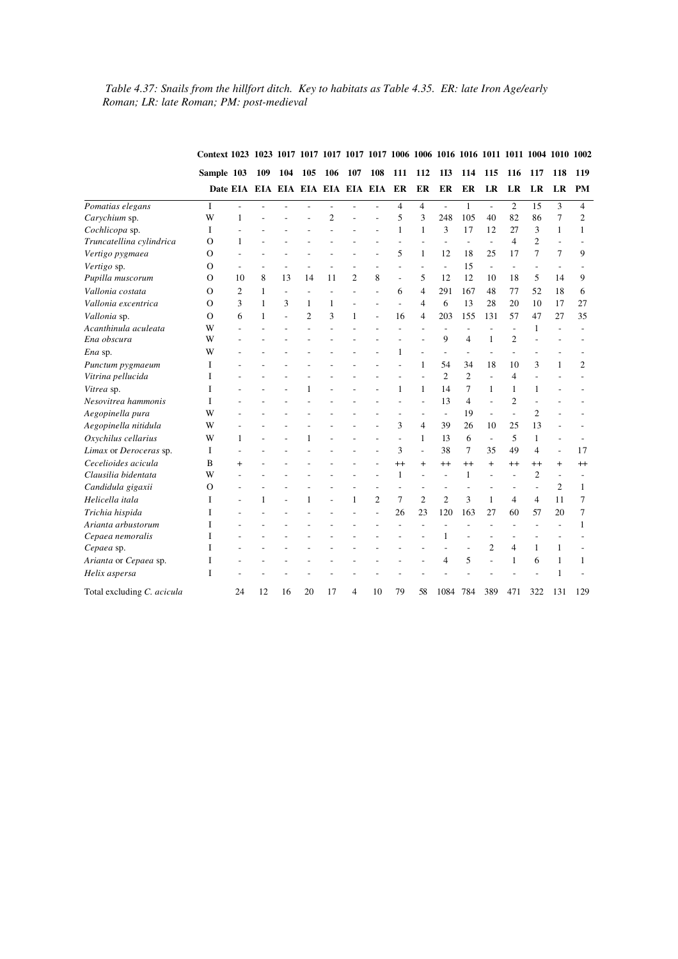#### *Table 4.37: Snails from the hillfort ditch. Key to habitats as Table 4.35. ER: late Iron Age/early Roman; LR: late Roman; PM: post-medieval*

|                            |                                                   |           |              |                          |                |                |                |                |                |                |                |                |                          |                          |                          |                          | 1002           |
|----------------------------|---------------------------------------------------|-----------|--------------|--------------------------|----------------|----------------|----------------|----------------|----------------|----------------|----------------|----------------|--------------------------|--------------------------|--------------------------|--------------------------|----------------|
|                            | Sample 103<br>Date EIA EIA EIA EIA EIA EIA EIA ER |           | 109          | 104                      | 105            | 106            | 107            | 108            | 111            | 112            | <b>1I3</b>     | 114            | 115                      | 116                      | 117                      | 118                      | 119            |
|                            |                                                   |           |              |                          |                |                |                |                |                | ER             | ER             | ER             | LR                       | LR                       | LR                       | LR                       | PM             |
| Pomatias elegans           | I                                                 | ÷,        |              |                          |                | L,             |                |                | $\overline{4}$ | $\overline{4}$ | ÷,             | $\mathbf{1}$   | $\overline{\phantom{a}}$ | $\overline{2}$           | 15                       | 3                        | $\overline{4}$ |
| Carychium sp.              | W                                                 | 1         |              |                          |                | $\overline{c}$ |                |                | 5              | 3              | 248            | 105            | 40                       | 82                       | 86                       | 7                        | $\mathfrak{2}$ |
| Cochlicopa sp.             | I                                                 |           |              |                          |                |                |                |                | $\mathbf{1}$   | 1              | 3              | 17             | 12                       | 27                       | 3                        | $\mathbf{1}$             | 1              |
| Truncatellina cylindrica   | O                                                 | 1         |              |                          |                |                |                |                | L,             |                | $\overline{a}$ | $\overline{a}$ | $\overline{\phantom{a}}$ | $\overline{\mathcal{L}}$ | $\overline{c}$           | $\overline{\phantom{a}}$ |                |
| Vertigo pygmaea            | O                                                 |           |              |                          |                |                |                |                | 5              | 1              | 12             | 18             | 25                       | 17                       | 7                        | $\overline{7}$           | 9              |
| Vertigo sp.                | О                                                 |           |              |                          |                |                |                |                | ÷,             | ÷,             | $\frac{1}{2}$  | 15             | $\overline{\phantom{a}}$ |                          | $\overline{\phantom{a}}$ |                          |                |
| Pupilla muscorum           | О                                                 | 10        | 8            | 13                       | 14             | 11             | $\overline{2}$ | 8              | $\sim$         | 5              | 12             | 12             | 10                       | 18                       | 5                        | 14                       | 9              |
| Vallonia costata           | О                                                 | 2         | 1            | $\overline{\phantom{a}}$ | ÷,             | L,             |                |                | 6              | $\overline{4}$ | 291            | 167            | 48                       | 77                       | 52                       | 18                       | 6              |
| Vallonia excentrica        | О                                                 | 3         | 1            | 3                        | 1              | 1              |                |                | ÷,             | 4              | 6              | 13             | 28                       | 20                       | 10                       | 17                       | 27             |
| Vallonia sp.               | O                                                 | 6         | 1            | $\overline{a}$           | $\overline{c}$ | 3              | 1              | L,             | 16             | 4              | 203            | 155            | 131                      | 57                       | 47                       | 27                       | 35             |
| Acanthinula aculeata       | W                                                 |           |              |                          |                |                |                |                |                |                | L.             | L,             |                          |                          | $\mathbf{1}$             |                          |                |
| Ena obscura                | W                                                 |           |              |                          |                |                |                |                |                |                | 9              | $\overline{4}$ | $\mathbf{1}$             | $\overline{2}$           |                          |                          |                |
| Ena sp.                    | W                                                 |           |              |                          |                |                |                |                | $\mathbf{1}$   |                | $\overline{a}$ |                |                          |                          |                          |                          |                |
| Punctum pygmaeum           | I                                                 |           |              |                          |                |                |                |                |                | $\mathbf{1}$   | 54             | 34             | 18                       | 10                       | 3                        | 1                        | $\overline{2}$ |
| Vitrina pellucida          | I                                                 |           |              |                          |                |                |                |                | L,             |                | $\overline{2}$ | $\overline{2}$ | $\overline{a}$           | $\overline{\mathcal{L}}$ |                          |                          |                |
| Vitrea sp.                 | I                                                 |           |              |                          | 1              |                |                |                | 1              | 1              | 14             | 7              | 1                        | 1                        | 1                        |                          |                |
| Nesovitrea hammonis        | I                                                 |           |              |                          |                |                |                |                | L,             | L.             | 13             | $\overline{4}$ | $\overline{a}$           | $\overline{2}$           |                          |                          |                |
| Aegopinella pura           | W                                                 |           |              |                          |                |                |                |                | ÷              | ÷              | $\overline{a}$ | 19             | $\overline{a}$           | $\overline{a}$           | $\overline{2}$           |                          |                |
| Aegopinella nitidula       | W                                                 |           |              |                          |                |                |                |                | 3              | $\overline{4}$ | 39             | 26             | 10                       | 25                       | 13                       |                          |                |
| Oxychilus cellarius        | W                                                 | 1         |              |                          | 1              |                |                |                | ÷.             | 1              | 13             | 6              | $\overline{a}$           | 5                        | 1                        | $\overline{a}$           |                |
| Limax or Deroceras sp.     | I                                                 |           |              |                          |                |                |                |                | 3              | $\overline{a}$ | 38             | 7              | 35                       | 49                       | $\overline{4}$           | $\overline{a}$           | 17             |
| Cecelioides acicula        | B                                                 | $\ddot{}$ |              |                          |                |                |                |                | $^{++}$        | $\ddot{}$      | $^{++}$        | $^{++}$        | $+$                      | $^{++}$                  | $^{++}$                  | $\ddot{}$                | $^{++}$        |
| Clausilia bidentata        | W                                                 |           |              |                          |                |                |                |                | $\mathbf{1}$   | L.             | L.             | 1              | L.                       | ÷                        | $\overline{c}$           | $\overline{a}$           |                |
| Candidula gigaxii          | $\circ$                                           |           |              |                          |                |                |                |                |                | $\overline{a}$ | ÷              | Ĭ.             |                          | ÷                        | L                        | $\overline{c}$           | $\mathbf{1}$   |
| Helicella itala            | I                                                 |           | $\mathbf{1}$ |                          | 1              |                | 1              | $\overline{c}$ | 7              | $\overline{c}$ | $\overline{c}$ | 3              | 1                        | $\overline{4}$           | $\overline{4}$           | 11                       | 7              |
| Trichia hispida            | I                                                 |           |              |                          |                |                |                |                | 26             | 23             | 120            | 163            | 27                       | 60                       | 57                       | 20                       | 7              |
| Arianta arbustorum         | I                                                 |           |              |                          |                |                |                |                |                |                | ÷,             | ÷,             | ÷,                       | L,                       |                          |                          | 1              |
| Cepaea nemoralis           | I                                                 |           |              |                          |                |                |                |                |                |                | 1              |                |                          |                          |                          |                          |                |
| Cepaea sp.                 | T                                                 |           |              |                          |                |                |                |                |                |                |                | L,             | $\mathfrak{2}$           | $\overline{\mathbf{4}}$  | $\mathbf{1}$             | $\mathbf{1}$             |                |
| Arianta or Cepaea sp.      | I                                                 |           |              |                          |                |                |                |                |                |                | 4              | 5              |                          | 1                        | 6                        | 1                        | 1              |
| Helix aspersa              | Ī                                                 |           |              |                          |                |                |                |                |                |                |                |                |                          |                          |                          | 1                        |                |
| Total excluding C. acicula |                                                   | 24        | 12           | 16                       | 20             | 17             | 4              | 10             | 79             | 58             | 1084           | 784            | 389                      | 471                      | 322                      | 131                      | 129            |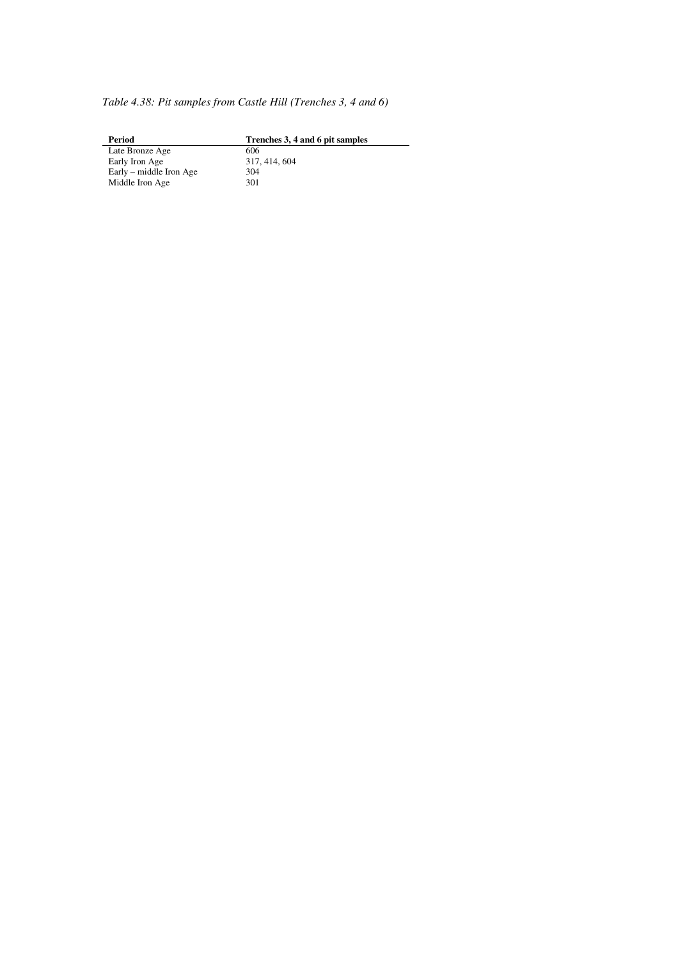*Table 4.38: Pit samples from Castle Hill (Trenches 3, 4 and 6)*

**Phenches 3, 4 and 6 pit samples** 606 Late Bronze Age 606 Early Iron Age 317, 414, 604 Early – middle Iron Age 304 Middle Iron Age 301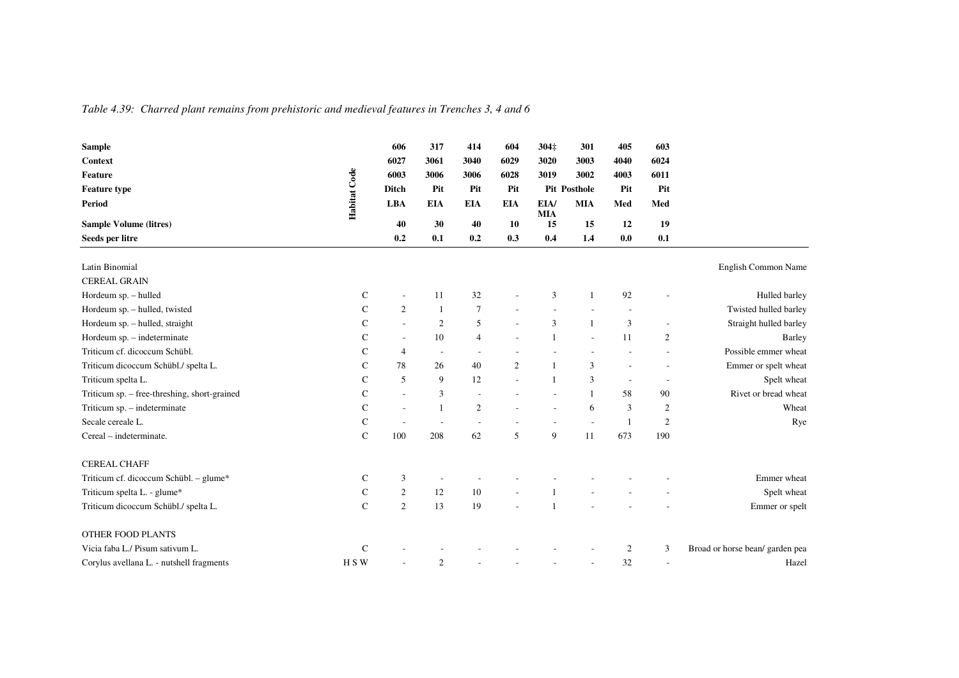*Table 4.39: Charred plant remains from prehistoric and medieval features in Trenches 3, 4 and 6* 

| <b>Sample</b>                                |              | 606                      | 317                      | 414             | 604              | 304‡               | 301                      | 405            | 603                      |                                 |
|----------------------------------------------|--------------|--------------------------|--------------------------|-----------------|------------------|--------------------|--------------------------|----------------|--------------------------|---------------------------------|
| <b>Context</b>                               |              | 6027                     | 3061                     | 3040            | 6029             | 3020               | 3003                     | 4040           | 6024                     |                                 |
| <b>Feature</b>                               |              | 6003                     | 3006                     | 3006            | 6028             | 3019               | 3002                     | 4003           | 6011                     |                                 |
| <b>Feature type</b>                          |              | <b>Ditch</b>             | Pit                      | Pit             | Pit              |                    | <b>Pit Posthole</b>      | Pit            | Pit                      |                                 |
| <b>Period</b>                                | Habitat Code | <b>LBA</b>               | <b>EIA</b>               | <b>EIA</b>      | <b>EIA</b>       | EIA/<br><b>MIA</b> | <b>MIA</b>               | Med            | Med                      |                                 |
| <b>Sample Volume (litres)</b>                |              | 40                       | 30                       | 40              | 10               | 15                 | 15                       | 12             | 19                       |                                 |
| Seeds per litre                              |              | 0.2                      | 0.1                      | 0.2             | 0.3              | 0.4                | 1.4                      | 0.0            | 0.1                      |                                 |
|                                              |              |                          |                          |                 |                  |                    |                          |                |                          |                                 |
| Latin Binomial                               |              |                          |                          |                 |                  |                    |                          |                |                          | English Common Name             |
| <b>CEREAL GRAIN</b>                          |              |                          |                          |                 |                  |                    |                          |                |                          |                                 |
| Hordeum sp. - hulled                         | $\mathsf{C}$ | $\overline{a}$           | 11                       | 32              |                  | 3                  | $\mathbf{1}$             | 92             |                          | Hulled barley                   |
| Hordeum sp. - hulled, twisted                | $\mathsf{C}$ | $\mathbf{2}$             |                          | $7\phantom{.0}$ |                  |                    |                          |                |                          | Twisted hulled barley           |
| Hordeum sp. - hulled, straight               | $\mathsf{C}$ | $\overline{\phantom{a}}$ | $\overline{2}$           | 5               |                  | 3                  | $\mathbf{1}$             | $\mathfrak{Z}$ |                          | Straight hulled barley          |
| Hordeum sp. - indeterminate                  | $\mathsf{C}$ | $\sim$                   | 10                       | $\overline{4}$  |                  | $\mathbf{1}$       |                          | 11             | $\mathbf{2}$             | Barley                          |
| Triticum cf. dicoccum Schübl.                | $\mathsf{C}$ | $\overline{4}$           | $\overline{\phantom{a}}$ |                 |                  |                    |                          |                |                          | Possible emmer wheat            |
| Triticum dicoccum Schübl./ spelta L.         | $\mathsf{C}$ | 78                       | 26                       | 40              | $\boldsymbol{2}$ | $\mathbf{1}$       | 3                        | ٠              |                          | Emmer or spelt wheat            |
| Triticum spelta L.                           | $\mathsf{C}$ | 5                        | 9                        | 12              |                  | $\mathbf{1}$       | 3                        | $\sim$         | $\overline{\phantom{a}}$ | Spelt wheat                     |
| Triticum sp. - free-threshing, short-grained | $\mathbf C$  | $\sim$                   | 3                        |                 |                  |                    | $\mathbf{1}$             | 58             | 90                       | Rivet or bread wheat            |
| Triticum sp. - indeterminate                 | $\mathsf{C}$ | $\sim$                   |                          | 2               |                  | ÷,                 | 6                        | 3              | $\sqrt{2}$               | Wheat                           |
| Secale cereale L.                            | C            |                          | $\tilde{\phantom{a}}$    |                 |                  |                    | $\overline{\phantom{a}}$ | -1             | $\boldsymbol{2}$         | Rye                             |
| Cereal - indeterminate.                      | $\mathsf{C}$ | 100                      | 208                      | 62              | 5                | 9                  | 11                       | 673            | 190                      |                                 |
| <b>CEREAL CHAFF</b>                          |              |                          |                          |                 |                  |                    |                          |                |                          |                                 |
| Triticum cf. dicoccum Schübl. - glume*       | $\mathsf{C}$ | 3                        |                          |                 |                  |                    |                          |                |                          | Emmer wheat                     |
| Triticum spelta L. - glume*                  | $\mathsf{C}$ | $\mathfrak{2}$           | 12                       | 10              |                  |                    |                          |                |                          | Spelt wheat                     |
| Triticum dicoccum Schübl./ spelta L.         | $\mathbf C$  | $\mathfrak{2}$           | 13                       | 19              |                  | $\mathbf{1}$       |                          |                |                          | Emmer or spelt                  |
| <b>OTHER FOOD PLANTS</b>                     |              |                          |                          |                 |                  |                    |                          |                |                          |                                 |
| Vicia faba L./ Pisum sativum L.              | C            |                          |                          |                 |                  |                    |                          | $\overline{c}$ | 3                        | Broad or horse bean/ garden pea |
| Corylus avellana L. - nutshell fragments     | H S W        |                          | 2                        |                 |                  |                    |                          | 32             | $\overline{\phantom{a}}$ | Hazel                           |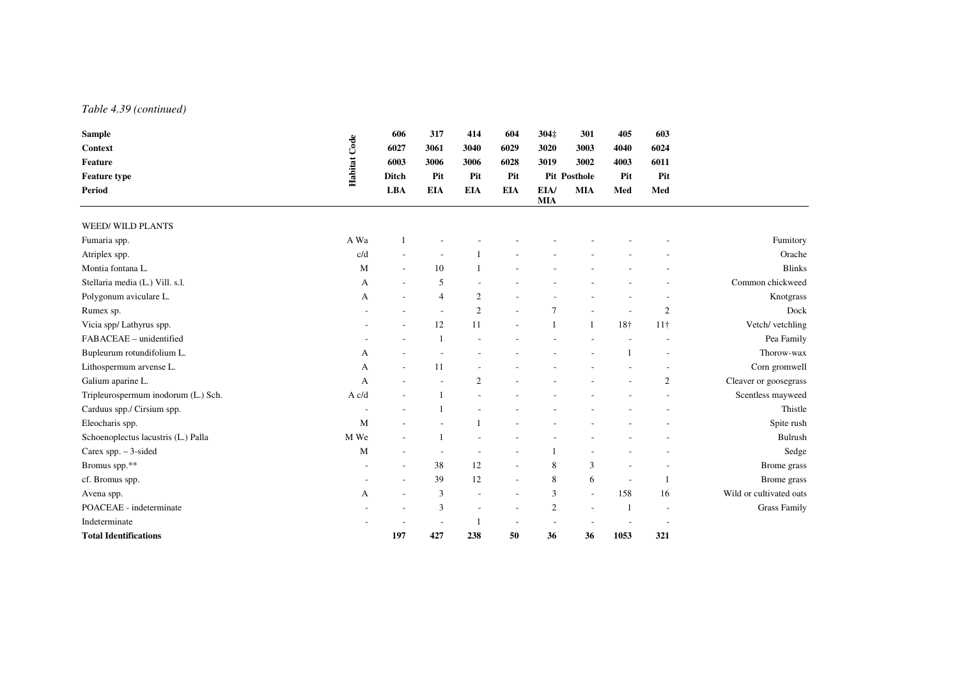#### *Table 4.39 (continued)*

| <b>Sample</b>                       |              | 606                      | 317                      | 414                      | 604               | 304‡               | 301                      | 405          | 603             |                         |
|-------------------------------------|--------------|--------------------------|--------------------------|--------------------------|-------------------|--------------------|--------------------------|--------------|-----------------|-------------------------|
| <b>Context</b>                      | Habitat Code | 6027                     | 3061                     | 3040                     | 6029              | 3020               | 3003                     | 4040         | 6024            |                         |
| Feature                             |              | 6003                     | 3006                     | 3006                     | 6028              | 3019               | 3002                     | 4003         | 6011            |                         |
| <b>Feature type</b>                 |              | <b>Ditch</b>             | Pit<br><b>EIA</b>        | Pit<br><b>EIA</b>        | Pit<br><b>EIA</b> |                    | <b>Pit Posthole</b>      | Pit          | Pit             |                         |
| <b>Period</b>                       |              | <b>LBA</b>               |                          |                          |                   | EIA/<br><b>MIA</b> | <b>MIA</b>               | Med          | Med             |                         |
| <b>WEED/ WILD PLANTS</b>            |              |                          |                          |                          |                   |                    |                          |              |                 |                         |
| Fumaria spp.                        | A Wa         |                          |                          |                          |                   |                    |                          |              |                 | Fumitory                |
| Atriplex spp.                       | c/d          |                          |                          |                          |                   |                    |                          |              |                 | Orache                  |
| Montia fontana L.                   | M            | $\sim$                   | 10                       |                          |                   |                    |                          |              |                 | <b>Blinks</b>           |
| Stellaria media (L.) Vill. s.l.     | A            | $\overline{\phantom{a}}$ | 5                        |                          |                   |                    |                          |              |                 | Common chickweed        |
| Polygonum aviculare L.              | A            | $\overline{\phantom{a}}$ | $\overline{4}$           | 2                        |                   |                    |                          |              |                 | Knotgrass               |
| Rumex sp.                           |              |                          |                          | 2                        |                   | $\overline{7}$     |                          |              | $\overline{2}$  | Dock                    |
| Vicia spp/ Lathyrus spp.            |              |                          | 12                       | 11                       |                   |                    | $\mathbf{1}$             | 18†          | 11 <sup>†</sup> | Vetch/ vetchling        |
| FABACEAE - unidentified             |              |                          |                          |                          |                   |                    |                          |              |                 | Pea Family              |
| Bupleurum rotundifolium L.          | A            |                          |                          |                          |                   |                    |                          |              |                 | Thorow-wax              |
| Lithospermum arvense L.             | A            |                          | 11                       |                          |                   |                    |                          |              |                 | Corn gromwell           |
| Galium aparine L.                   | A            |                          |                          | $\overline{c}$           |                   |                    |                          |              | $\mathfrak{2}$  | Cleaver or goosegrass   |
| Tripleurospermum inodorum (L.) Sch. | A c/d        |                          |                          |                          |                   |                    |                          |              |                 | Scentless mayweed       |
| Carduus spp./ Cirsium spp.          |              |                          |                          |                          |                   |                    |                          |              |                 | Thistle                 |
| Eleocharis spp.                     | M            |                          |                          |                          |                   |                    |                          |              |                 | Spite rush              |
| Schoenoplectus lacustris (L.) Palla | M We         |                          |                          |                          |                   |                    |                          |              |                 | <b>Bulrush</b>          |
| Carex spp. $-3$ -sided              | M            | $\overline{\phantom{a}}$ | $\overline{\phantom{a}}$ |                          |                   |                    |                          |              |                 | Sedge                   |
| Bromus spp.**                       |              | $\overline{\phantom{a}}$ | 38                       | 12                       | ٠                 | 8                  | 3                        |              |                 | Brome grass             |
| cf. Bromus spp.                     |              |                          | 39                       | 12                       | ä,                | 8                  | 6                        | ÷,           |                 | Brome grass             |
| Avena spp.                          | A            | $\overline{a}$           | 3                        | ÷                        | ÷                 | 3                  | $\overline{\phantom{a}}$ | 158          | 16              | Wild or cultivated oats |
| POACEAE - indeterminate             |              |                          | 3                        | $\overline{\phantom{a}}$ |                   | $\overline{2}$     |                          | $\mathbf{1}$ |                 | <b>Grass Family</b>     |
| Indeterminate                       |              |                          |                          |                          |                   |                    |                          |              |                 |                         |
| <b>Total Identifications</b>        |              | 197                      | 427                      | 238                      | 50                | 36                 | 36                       | 1053         | 321             |                         |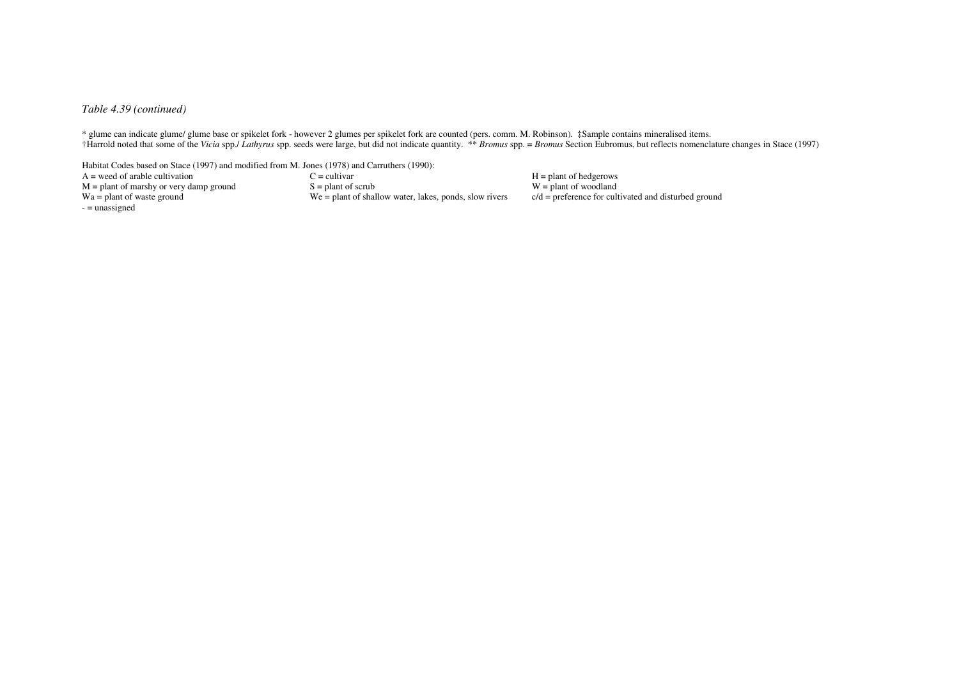#### *Table 4.39 (continued)*

\* glume can indicate glume/ glume base or spikelet fork - however 2 glumes per spikelet fork are counted (pers. comm. M. Robinson). ‡Sample contains mineralised items.†Harrold noted that some of the Vicia spp./ Lathyrus spp. seeds were large, but did not indicate quantity. \*\* Bromus spp. = Bromus Section Eubromus, but reflects nomenclature changes in Stace (1997)

Habitat Codes based on Stace (1997) and modified from M. Jones (1978) and Carruthers (1990):

 $A =$  weed of arable cultivation<br>  $M =$  plant of marshy or very damp ground<br>  $S =$  plant of scrub<br>  $A =$  plant of marshy or very damp ground<br>  $S =$  plant of scrub<br>  $A =$  plant of marshy or very damp ground<br>  $S =$  plant of scrub  $M =$  plant of marshy or very damp ground Wa = plant of waste ground  $-$  = unassigned

 $W =$  plant of woodland  $c/d$  = preference for cultivated and disturbed ground  $We = plant of shallow water, lakes, bonds, slow rivers$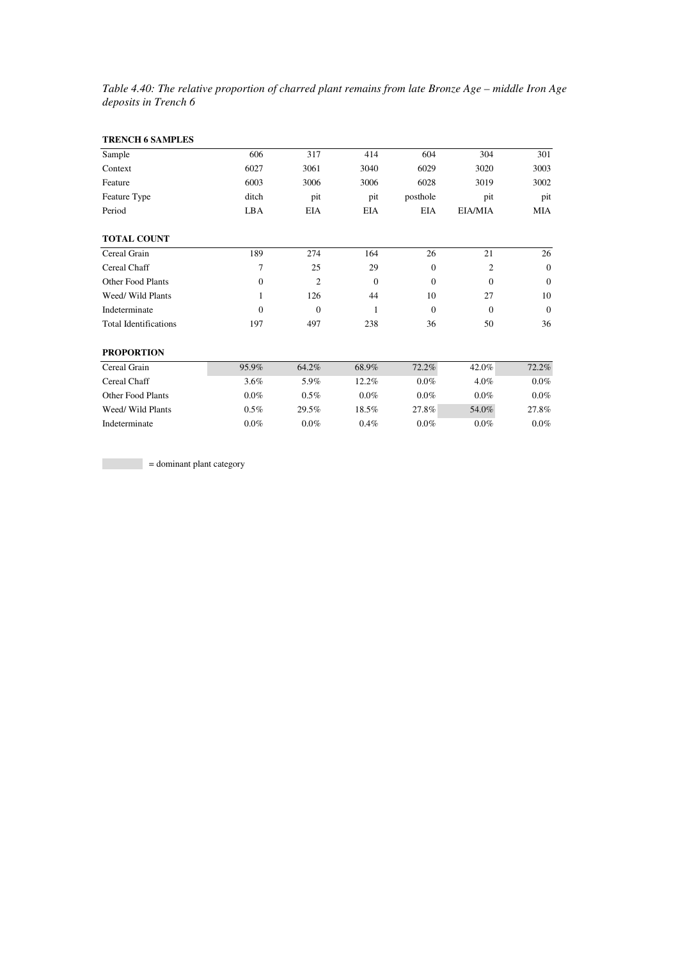*Table 4.40: The relative proportion of charred plant remains from late Bronze Age – middle Iron Age deposits in Trench 6* 

| <b>TRENCH 6 SAMPLES</b>      |                |            |              |              |                |              |
|------------------------------|----------------|------------|--------------|--------------|----------------|--------------|
| Sample                       | 606            | 317        | 414          | 604          | 304            | 301          |
| Context                      | 6027           | 3061       | 3040         | 6029         | 3020           | 3003         |
| Feature                      | 6003           | 3006       | 3006         | 6028         | 3019           | 3002         |
| Feature Type                 | ditch          | pit        | pit          | posthole     | pit            | pit          |
| Period                       | LBA            | <b>EIA</b> | <b>EIA</b>   | <b>EIA</b>   | EIA/MIA        | <b>MIA</b>   |
| <b>TOTAL COUNT</b>           |                |            |              |              |                |              |
| Cereal Grain                 | 189            | 274        | 164          | 26           | 21             | 26           |
| Cereal Chaff                 | $\overline{7}$ | 25         | 29           | $\mathbf{0}$ | $\overline{c}$ | $\mathbf{0}$ |
| Other Food Plants            | $\mathbf{0}$   | 2          | $\mathbf{0}$ | $\mathbf{0}$ | $\overline{0}$ | $\mathbf{0}$ |
| Weed/ Wild Plants            | $\mathbf{1}$   | 126        | 44           | 10           | 27             | 10           |
| Indeterminate                | $\Omega$       | $\Omega$   | $\mathbf{1}$ | $\theta$     | $\Omega$       | $\Omega$     |
| <b>Total Identifications</b> | 197            | 497        | 238          | 36           | 50             | 36           |
| <b>PROPORTION</b>            |                |            |              |              |                |              |
| Cereal Grain                 | 95.9%          | 64.2%      | 68.9%        | 72.2%        | 42.0%          | 72.2%        |
| Cereal Chaff                 | 3.6%           | 5.9%       | 12.2%        | $0.0\%$      | 4.0%           | $0.0\%$      |
| Other Food Plants            | $0.0\%$        | 0.5%       | 0.0%         | $0.0\%$      | $0.0\%$        | 0.0%         |
| Weed/ Wild Plants            | 0.5%           | 29.5%      | 18.5%        | 27.8%        | 54.0%          | 27.8%        |
| Indeterminate                | 0.0%           | 0.0%       | 0.4%         | 0.0%         | 0.0%           | $0.0\%$      |

= dominant plant category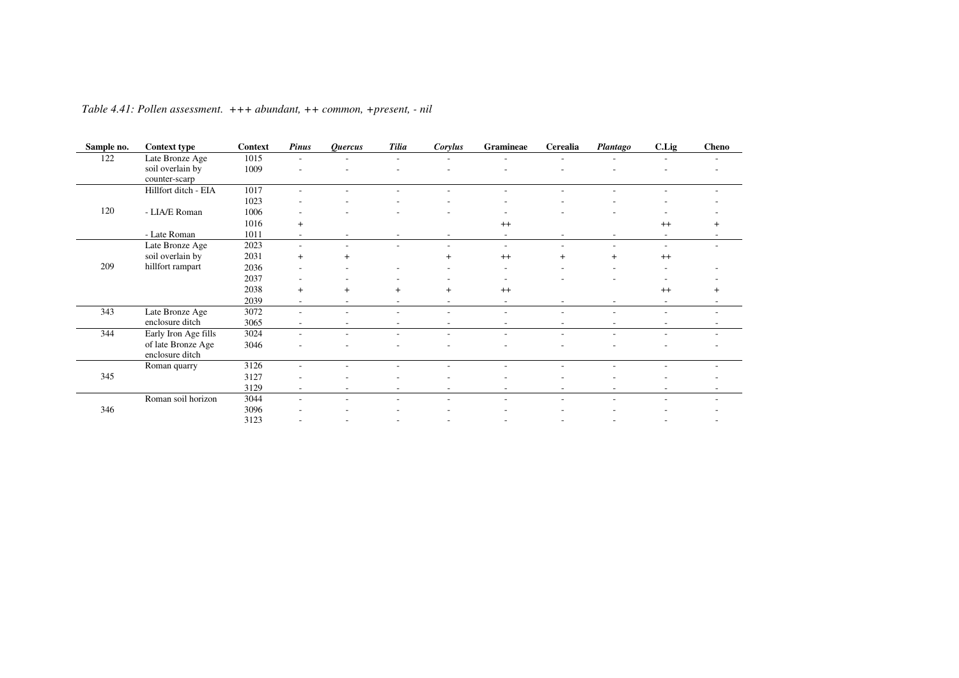| <b>Context type</b> | Context                                                                                          | <b>Pinus</b>             | <b>Ouercus</b> | <b>Tilia</b> | Corylus | Gramineae                | Cerealia                 | <b>Plantago</b> | C.Lig   | <b>Cheno</b> |
|---------------------|--------------------------------------------------------------------------------------------------|--------------------------|----------------|--------------|---------|--------------------------|--------------------------|-----------------|---------|--------------|
|                     | 1015                                                                                             |                          |                |              |         |                          |                          |                 |         |              |
| soil overlain by    | 1009                                                                                             |                          |                |              |         |                          |                          |                 |         |              |
| counter-scarp       |                                                                                                  |                          |                |              |         |                          |                          |                 |         |              |
|                     | 1017                                                                                             |                          |                |              |         |                          |                          |                 |         |              |
|                     | 1023                                                                                             |                          |                |              |         |                          |                          |                 |         |              |
|                     |                                                                                                  |                          |                |              |         |                          |                          |                 |         |              |
|                     | 1016                                                                                             | $+$                      |                |              |         | $^{++}$                  |                          |                 | $^{++}$ |              |
| - Late Roman        | 1011                                                                                             |                          |                |              |         |                          |                          |                 |         |              |
| Late Bronze Age     | 2023                                                                                             | ۰                        |                |              |         | $\overline{a}$           |                          |                 | $\sim$  |              |
| soil overlain by    | 2031                                                                                             | $+$                      | $^{+}$         |              | $+$     | $^{++}$                  | $^{+}$                   |                 | $^{++}$ |              |
| hillfort rampart    | 2036                                                                                             |                          |                |              |         | ٠                        |                          |                 |         |              |
|                     | 2037                                                                                             |                          |                |              |         |                          |                          |                 |         |              |
|                     | 2038                                                                                             | $+$                      | $+$            | $+$          | $+$     | $^{++}$                  |                          |                 | $^{++}$ | $\ddot{}$    |
|                     | 2039                                                                                             | $\overline{\phantom{a}}$ | $\sim$         | ۰.           |         | $\overline{\phantom{0}}$ |                          |                 | $\sim$  |              |
| Late Bronze Age     | 3072                                                                                             | ۰                        |                |              |         |                          |                          |                 |         |              |
| enclosure ditch     | 3065                                                                                             | $\sim$                   | ٠              | ۰            |         | ٠                        | $\overline{\phantom{a}}$ |                 |         |              |
|                     | 3024                                                                                             | $\overline{\phantom{a}}$ | $\sim$         |              |         |                          | $\overline{\phantom{a}}$ |                 |         |              |
| of late Bronze Age  | 3046                                                                                             |                          |                |              |         |                          |                          |                 |         |              |
| enclosure ditch     |                                                                                                  |                          |                |              |         |                          |                          |                 |         |              |
|                     | 3126                                                                                             | ٠                        |                |              |         |                          |                          |                 |         |              |
|                     | 3127                                                                                             |                          |                |              |         |                          |                          |                 |         |              |
|                     | 3129                                                                                             | $\overline{\phantom{a}}$ |                |              |         |                          |                          |                 |         |              |
| Roman soil horizon  | 3044                                                                                             | $\overline{\phantom{a}}$ |                |              |         |                          |                          |                 |         |              |
|                     | 3096                                                                                             |                          |                |              |         |                          |                          |                 |         |              |
|                     | 3123                                                                                             |                          |                |              |         |                          |                          |                 |         |              |
|                     | Late Bronze Age<br>Hillfort ditch - EIA<br>- LIA/E Roman<br>Early Iron Age fills<br>Roman quarry | 1006                     |                |              |         |                          |                          |                 |         |              |

*Table 4.41: Pollen assessment. +++ abundant, ++ common, +present, - nil*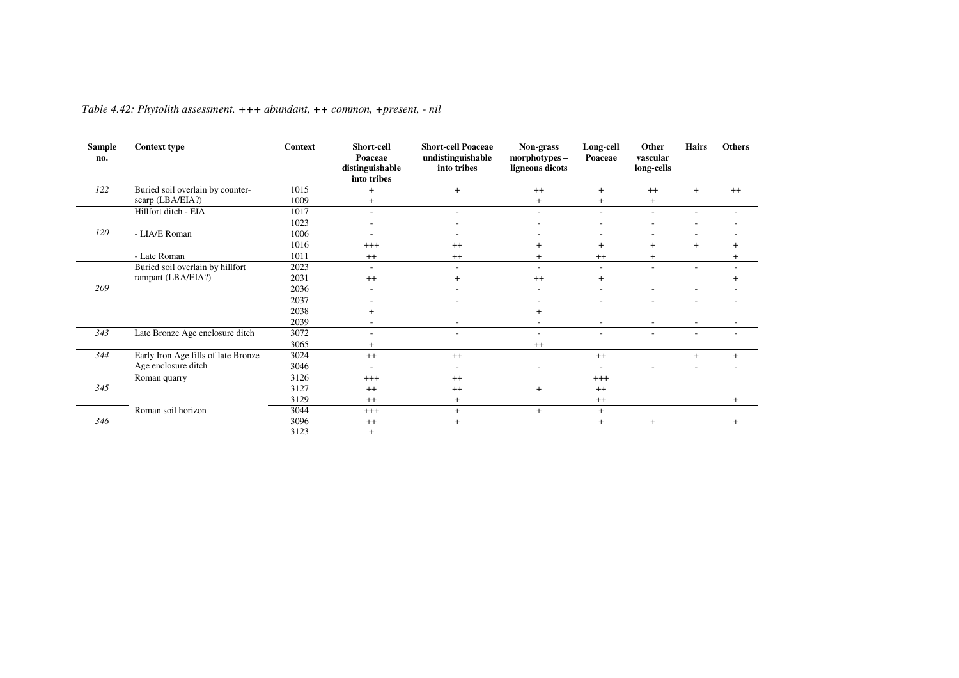| <b>Sample</b><br>no. | <b>Context type</b>                 | <b>Context</b> | Short-cell<br>Poaceae<br>distinguishable<br>into tribes | <b>Short-cell Poaceae</b><br>undistinguishable<br>into tribes | Non-grass<br>morphotypes -<br>ligneous dicots | Long-cell<br>Poaceae | Other<br>vascular<br>long-cells | <b>Hairs</b> | <b>Others</b> |
|----------------------|-------------------------------------|----------------|---------------------------------------------------------|---------------------------------------------------------------|-----------------------------------------------|----------------------|---------------------------------|--------------|---------------|
| 122                  | Buried soil overlain by counter-    | 1015           | $+$                                                     | $+$                                                           | $++$                                          | $+$                  | $++$                            | $+$          | $++$          |
|                      | scarp (LBA/EIA?)                    | 1009           | $^{+}$                                                  |                                                               | $\overline{+}$                                | $\pm$                | $\ddot{}$                       |              |               |
|                      | Hillfort ditch - EIA                | 1017           | $\overline{\phantom{a}}$                                |                                                               | ۰                                             |                      |                                 |              |               |
|                      |                                     | 1023           |                                                         |                                                               |                                               |                      |                                 |              |               |
| 120                  | - LIA/E Roman                       | 1006           |                                                         |                                                               |                                               |                      |                                 |              |               |
|                      |                                     | 1016           | $^{+++}$                                                | $^{++}$                                                       | $^{+}$                                        | $^{+}$               | $+$                             | $\ddot{}$    |               |
|                      | - Late Roman                        | 1011           | $^{++}$                                                 | $^{++}$                                                       | $\pm$                                         | $^{++}$              | $\pm$                           |              |               |
|                      | Buried soil overlain by hillfort    | 2023           | $\sim$                                                  |                                                               | $\sim$                                        |                      | ÷                               |              |               |
|                      | rampart (LBA/EIA?)                  | 2031           | $^{++}$                                                 |                                                               | $^{++}$                                       | $^{+}$               |                                 |              |               |
| 209                  |                                     | 2036           |                                                         |                                                               |                                               |                      |                                 |              |               |
|                      |                                     | 2037           |                                                         |                                                               |                                               |                      |                                 |              |               |
|                      |                                     | 2038           | $\hbox{ }$                                              |                                                               |                                               |                      |                                 |              |               |
|                      |                                     | 2039           | $\overline{\phantom{a}}$                                |                                                               |                                               |                      |                                 |              |               |
| 343                  | Late Bronze Age enclosure ditch     | 3072           | $\overline{\phantom{a}}$                                |                                                               |                                               |                      |                                 | ٠            |               |
|                      |                                     | 3065           | $+$                                                     |                                                               | $^{++}$                                       |                      |                                 |              |               |
| 344                  | Early Iron Age fills of late Bronze | 3024           | $^{++}$                                                 | $^{++}$                                                       |                                               | $^{++}$              |                                 | $^{+}$       | $+$           |
|                      | Age enclosure ditch                 | 3046           |                                                         |                                                               |                                               |                      |                                 |              |               |
|                      | Roman quarry                        | 3126           | $+++$                                                   | $++$                                                          |                                               | $+++$                |                                 |              |               |
| 345                  |                                     | 3127           | $++$                                                    | $^{++}$                                                       | $\overline{+}$                                | $^{++}$              |                                 |              |               |
|                      |                                     | 3129           | $^{++}$                                                 | $\overline{+}$                                                |                                               | $^{++}$              |                                 |              |               |
|                      | Roman soil horizon                  | 3044           | $+++$                                                   | $+$                                                           | $+$                                           | $+$                  |                                 |              |               |
| 346                  |                                     | 3096           | $^{++}$                                                 | $+$                                                           |                                               | $^{+}$               | $+$                             |              |               |
|                      |                                     | 3123           | $^{+}$                                                  |                                                               |                                               |                      |                                 |              |               |

*Table 4.42: Phytolith assessment. +++ abundant, ++ common, +present, - nil*